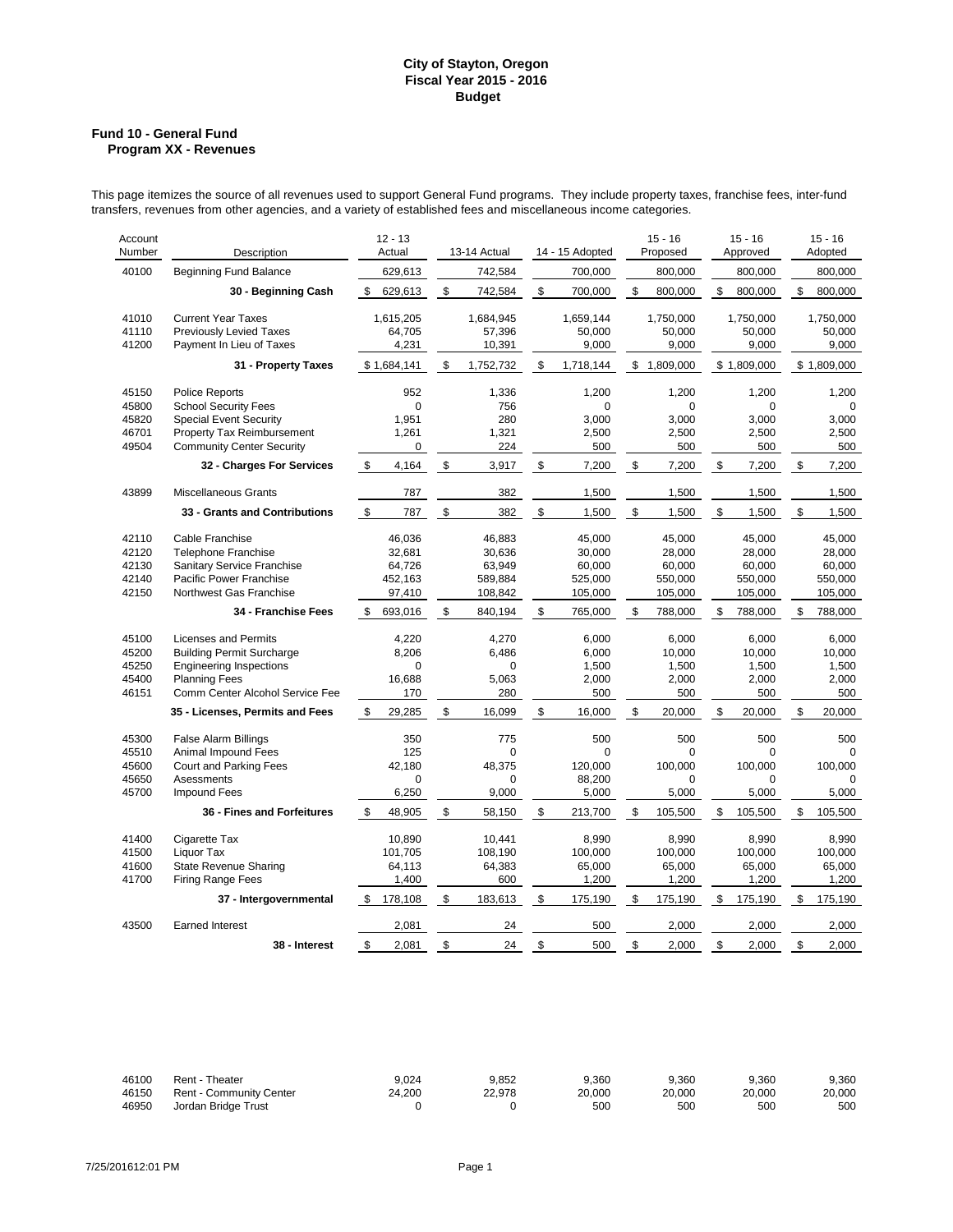### **Fund 10 - General Fund Program XX - Revenues**

This page itemizes the source of all revenues used to support General Fund programs. They include property taxes, franchise fees, inter-fund transfers, revenues from other agencies, and a variety of established fees and miscellaneous income categories.

| Account<br>Number                         | Description                                                                                                                                                  | $12 - 13$<br>Actual                             | 13-14 Actual |                                                  | 14 - 15 Adopted |                                                     | $15 - 16$<br>Proposed |                                                  | $15 - 16$<br>Approved |                                                  | $15 - 16$<br>Adopted                             |
|-------------------------------------------|--------------------------------------------------------------------------------------------------------------------------------------------------------------|-------------------------------------------------|--------------|--------------------------------------------------|-----------------|-----------------------------------------------------|-----------------------|--------------------------------------------------|-----------------------|--------------------------------------------------|--------------------------------------------------|
| 40100                                     | <b>Beginning Fund Balance</b>                                                                                                                                | 629,613                                         |              | 742,584                                          |                 | 700,000                                             |                       | 800,000                                          |                       | 800,000                                          | 800,000                                          |
|                                           | 30 - Beginning Cash                                                                                                                                          | \$<br>629,613                                   | \$           | 742,584                                          | \$              | 700,000                                             | \$                    | 800,000                                          | \$                    | 800,000                                          | \$<br>800,000                                    |
| 41010<br>41110<br>41200                   | <b>Current Year Taxes</b><br><b>Previously Levied Taxes</b><br>Payment In Lieu of Taxes                                                                      | 1,615,205<br>64,705<br>4,231                    |              | 1,684,945<br>57,396<br>10,391                    |                 | 1,659,144<br>50,000<br>9,000                        |                       | 1,750,000<br>50,000<br>9,000                     |                       | 1,750,000<br>50,000<br>9,000                     | 1,750,000<br>50,000<br>9,000                     |
|                                           | 31 - Property Taxes                                                                                                                                          | \$1,684,141                                     | \$           | 1,752,732                                        | \$              | 1,718,144                                           |                       | \$1,809,000                                      |                       | \$1.809.000                                      | \$1,809,000                                      |
| 45150<br>45800<br>45820<br>46701<br>49504 | <b>Police Reports</b><br><b>School Security Fees</b><br><b>Special Event Security</b><br>Property Tax Reimbursement<br><b>Community Center Security</b>      | 952<br>$\mathbf 0$<br>1,951<br>1,261<br>0       |              | 1,336<br>756<br>280<br>1,321<br>224              |                 | 1,200<br>0<br>3,000<br>2,500<br>500                 |                       | 1,200<br>0<br>3,000<br>2,500<br>500              |                       | 1,200<br>$\Omega$<br>3,000<br>2,500<br>500       | 1,200<br>$\Omega$<br>3,000<br>2,500<br>500       |
|                                           | 32 - Charges For Services                                                                                                                                    | \$<br>4,164                                     | \$           | 3,917                                            | \$              | 7,200                                               | \$                    | 7,200                                            | \$                    | 7,200                                            | \$<br>7,200                                      |
| 43899                                     | <b>Miscellaneous Grants</b>                                                                                                                                  | 787                                             |              | 382                                              |                 | 1,500                                               |                       | 1,500                                            |                       | 1,500                                            | 1,500                                            |
|                                           | 33 - Grants and Contributions                                                                                                                                | \$<br>787                                       | \$           | 382                                              | \$              | 1,500                                               | \$                    | 1,500                                            | \$                    | 1,500                                            | \$<br>1,500                                      |
| 42110<br>42120<br>42130<br>42140<br>42150 | Cable Franchise<br><b>Telephone Franchise</b><br>Sanitary Service Franchise<br>Pacific Power Franchise<br>Northwest Gas Franchise                            | 46,036<br>32,681<br>64,726<br>452,163<br>97,410 |              | 46,883<br>30,636<br>63,949<br>589.884<br>108,842 |                 | 45,000<br>30,000<br>60,000<br>525,000<br>105,000    |                       | 45,000<br>28,000<br>60,000<br>550,000<br>105,000 |                       | 45,000<br>28,000<br>60,000<br>550,000<br>105,000 | 45,000<br>28,000<br>60,000<br>550,000<br>105,000 |
|                                           | 34 - Franchise Fees                                                                                                                                          | \$<br>693,016                                   | \$           | 840,194                                          | \$              | 765,000                                             | \$                    | 788,000                                          | \$                    | 788,000                                          | \$<br>788,000                                    |
| 45100<br>45200<br>45250<br>45400<br>46151 | <b>Licenses and Permits</b><br><b>Building Permit Surcharge</b><br><b>Engineering Inspections</b><br><b>Planning Fees</b><br>Comm Center Alcohol Service Fee | 4,220<br>8,206<br>$\Omega$<br>16,688<br>170     |              | 4,270<br>6,486<br>$\Omega$<br>5,063<br>280       |                 | 6,000<br>6,000<br>1,500<br>2,000<br>500             |                       | 6,000<br>10,000<br>1,500<br>2,000<br>500         |                       | 6,000<br>10,000<br>1,500<br>2,000<br>500         | 6,000<br>10,000<br>1,500<br>2,000<br>500         |
|                                           | 35 - Licenses, Permits and Fees                                                                                                                              | 29,285<br>\$                                    | \$           | 16,099                                           | \$              | 16,000                                              | \$                    | 20,000                                           | \$                    | 20,000                                           | \$<br>20,000                                     |
| 45300<br>45510<br>45600<br>45650<br>45700 | False Alarm Billings<br>Animal Impound Fees<br>Court and Parking Fees<br><b>Asessments</b><br><b>Impound Fees</b>                                            | 350<br>125<br>42,180<br>$\mathbf 0$<br>6,250    |              | 775<br>$\Omega$<br>48,375<br>$\Omega$<br>9,000   |                 | 500<br>$\overline{0}$<br>120,000<br>88,200<br>5,000 |                       | 500<br>$\Omega$<br>100,000<br>$\Omega$<br>5,000  |                       | 500<br>$\Omega$<br>100,000<br>0<br>5,000         | 500<br>$\Omega$<br>100,000<br>0<br>5,000         |
|                                           | 36 - Fines and Forfeitures                                                                                                                                   | \$<br>48,905                                    | \$           | 58,150                                           | \$              | 213,700                                             | \$                    | 105,500                                          | \$                    | 105,500                                          | \$<br>105,500                                    |
| 41400<br>41500<br>41600<br>41700          | Cigarette Tax<br>Liquor Tax<br><b>State Revenue Sharing</b><br><b>Firing Range Fees</b>                                                                      | 10,890<br>101,705<br>64,113<br>1,400            |              | 10,441<br>108.190<br>64,383<br>600               |                 | 8,990<br>100.000<br>65,000<br>1,200                 |                       | 8,990<br>100,000<br>65,000<br>1,200              |                       | 8,990<br>100.000<br>65,000<br>1,200              | 8,990<br>100,000<br>65,000<br>1,200              |
|                                           | 37 - Intergovernmental                                                                                                                                       | 178,108<br>\$                                   | \$           | 183,613                                          | \$              | 175,190                                             | \$                    | 175,190                                          | \$                    | 175,190                                          | \$<br>175,190                                    |
| 43500                                     | <b>Earned Interest</b>                                                                                                                                       | 2,081                                           |              | 24                                               |                 | 500                                                 |                       | 2,000                                            |                       | 2,000                                            | 2,000                                            |
|                                           | 38 - Interest                                                                                                                                                | \$<br>2,081                                     | \$           | 24                                               | \$              | 500                                                 | \$                    | 2,000                                            | \$                    | 2,000                                            | \$<br>2,000                                      |

| 46100 | Rent - Theater                 | 9.024  | 9.852  | 9.360           | 9.360  | 9.360  | 9.360  |
|-------|--------------------------------|--------|--------|-----------------|--------|--------|--------|
| 46150 | <b>Rent - Community Center</b> | 24.200 | 22.978 | 20.000          | 20.000 | 20,000 | 20,000 |
| 46950 | Jordan Bridge Trust            |        |        | 50 <sub>C</sub> | 500    | 500    | 500    |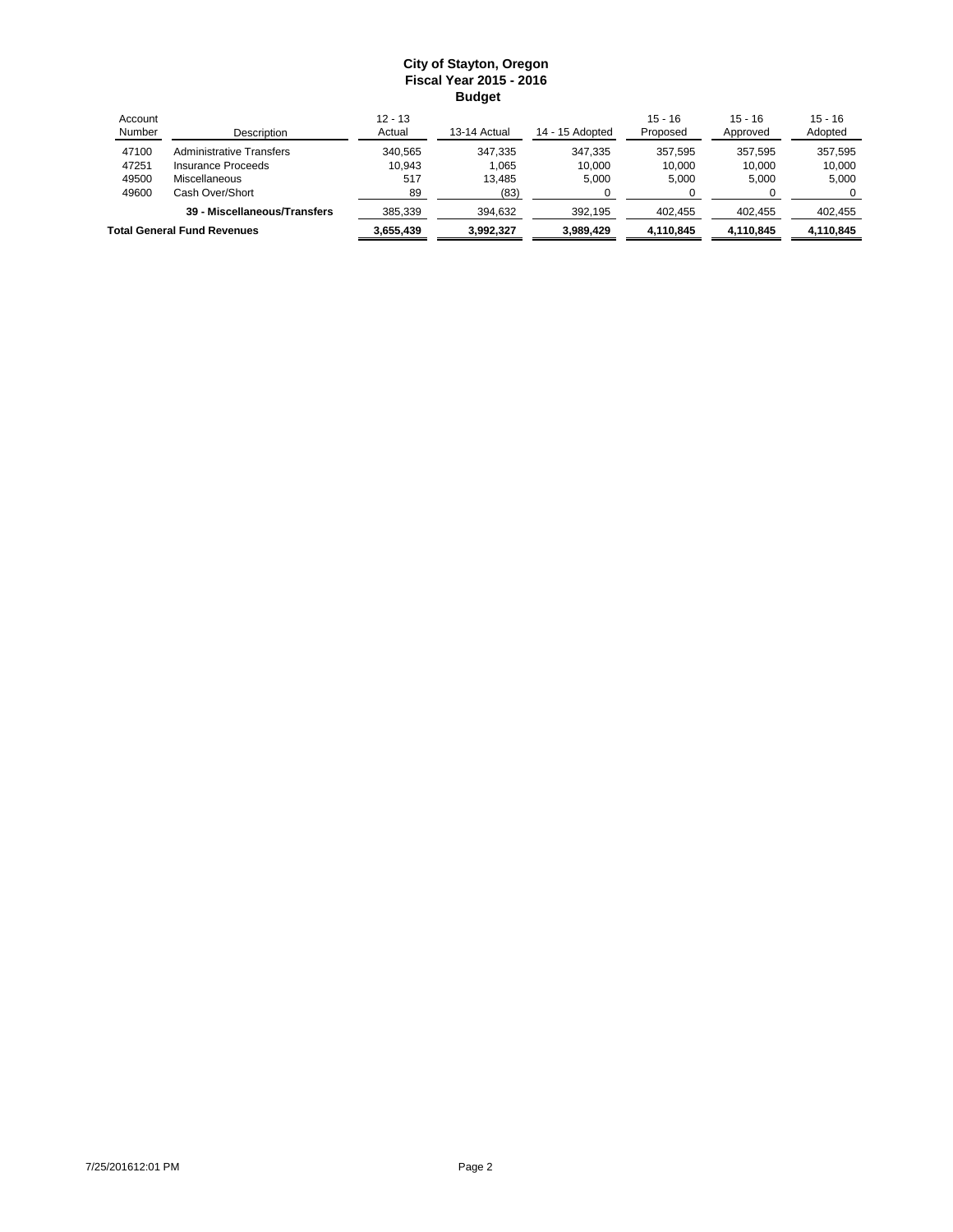| Account<br>Number                  | Description                  | $12 - 13$<br>Actual | 13-14 Actual | 14 - 15 Adopted | $15 - 16$<br>Proposed | $15 - 16$<br>Approved | $15 - 16$<br>Adopted |
|------------------------------------|------------------------------|---------------------|--------------|-----------------|-----------------------|-----------------------|----------------------|
| 47100                              | Administrative Transfers     | 340.565             | 347.335      | 347.335         | 357.595               | 357.595               | 357.595              |
| 47251                              | Insurance Proceeds           | 10.943              | 1.065        | 10.000          | 10.000                | 10.000                | 10.000               |
| 49500                              | Miscellaneous                | 517                 | 13.485       | 5.000           | 5.000                 | 5.000                 | 5.000                |
| 49600                              | Cash Over/Short              | 89                  | (83)         |                 |                       |                       |                      |
|                                    | 39 - Miscellaneous/Transfers | 385.339             | 394.632      | 392.195         | 402.455               | 402.455               | 402.455              |
| <b>Total General Fund Revenues</b> |                              | 3,655,439           | 3,992,327    | 3,989,429       | 4,110,845             | 4,110,845             | 4,110,845            |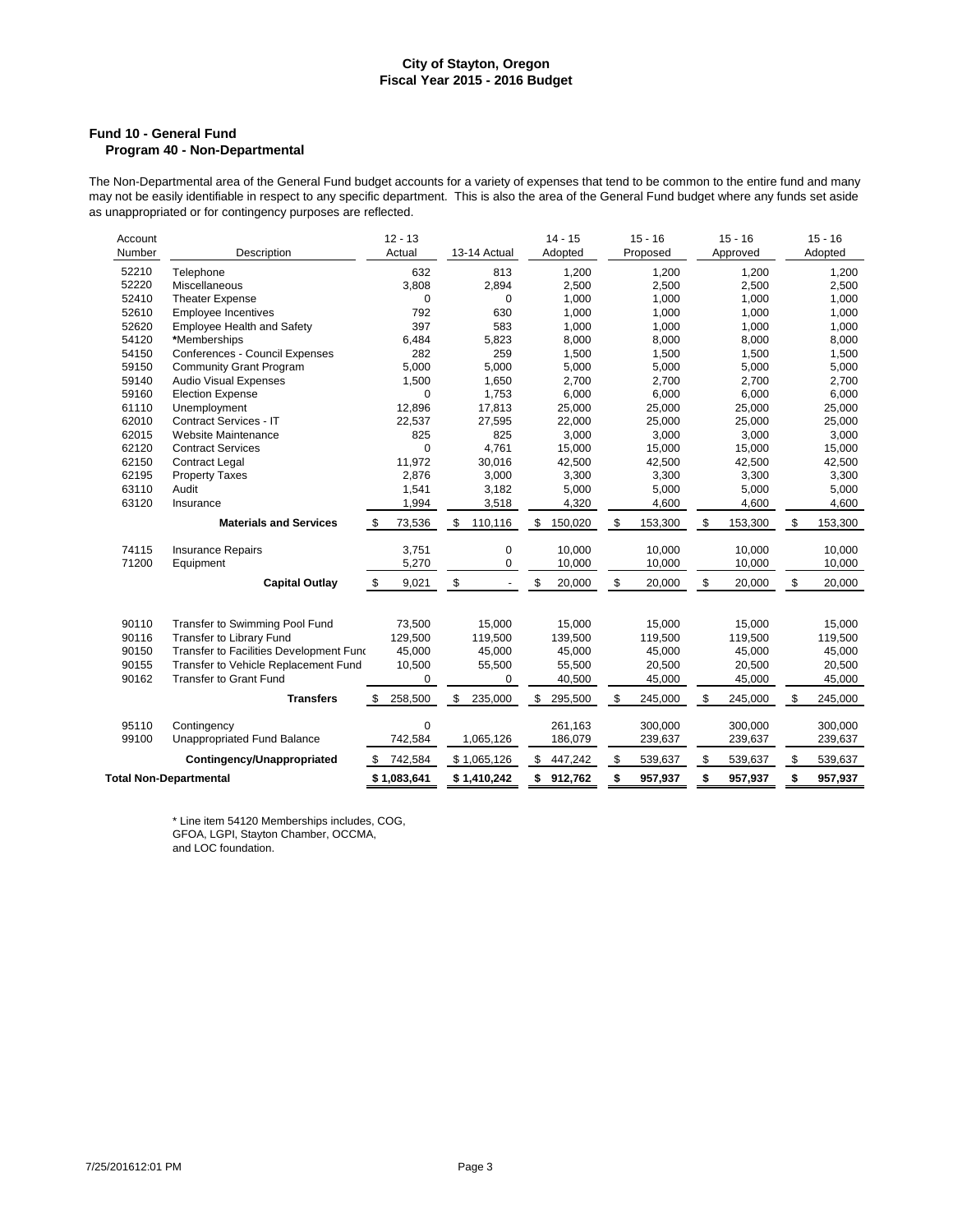### **Fund 10 - General Fund Program 40 - Non-Departmental**

The Non-Departmental area of the General Fund budget accounts for a variety of expenses that tend to be common to the entire fund and many may not be easily identifiable in respect to any specific department. This is also the area of the General Fund budget where any funds set aside may not be easily identifiable in respect to any specific department. This is as unappropriated or for contingency purposes are reflected.

| 52210<br>632<br>813<br>Telephone<br>1,200<br>1,200<br>1,200<br>1,200<br>52220<br>3,808<br>2,894<br>2,500<br>2,500<br>2,500<br>2,500<br>Miscellaneous<br>52410<br>1,000<br>1,000<br>1,000<br><b>Theater Expense</b><br>0<br>$\Omega$<br>1,000<br>792<br>630<br>52610<br><b>Employee Incentives</b><br>1,000<br>1,000<br>1,000<br>1,000<br>52620<br>397<br>583<br>1,000<br>Employee Health and Safety<br>1,000<br>1,000<br>1,000<br>54120<br>8,000<br>*Memberships<br>6,484<br>5,823<br>8,000<br>8,000<br>8,000<br>54150<br>Conferences - Council Expenses<br>282<br>259<br>1,500<br>1,500<br>1,500<br>1,500<br>5,000<br>59150<br><b>Community Grant Program</b><br>5,000<br>5,000<br>5,000<br>5,000<br>5,000<br>59140<br><b>Audio Visual Expenses</b><br>1,500<br>1,650<br>2,700<br>2,700<br>2,700<br>2,700<br>6,000<br>6,000<br>59160<br><b>Election Expense</b><br>0<br>1,753<br>6,000<br>6,000<br>61110<br>12,896<br>17,813<br>25,000<br>25,000<br>Unemployment<br>25,000<br>25,000<br>62010<br>Contract Services - IT<br>22,537<br>27,595<br>22,000<br>25,000<br>25,000<br>25,000<br>62015<br>825<br>825<br>3,000<br>Website Maintenance<br>3,000<br>3,000<br>3,000<br>$\Omega$<br>4,761<br>62120<br><b>Contract Services</b><br>15,000<br>15,000<br>15,000<br>15,000<br>62150<br><b>Contract Legal</b><br>11,972<br>42,500<br>30,016<br>42,500<br>42,500<br>42,500<br>62195<br>2,876<br>3,000<br>3,300<br>3,300<br>3,300<br>3,300<br><b>Property Taxes</b><br>63110<br>Audit<br>1,541<br>3,182<br>5,000<br>5,000<br>5,000<br>5,000<br>63120<br>1,994<br>4,320<br>4,600<br>4,600<br>Insurance<br>3,518<br>4,600<br>\$<br><b>Materials and Services</b><br>73,536<br>150,020<br>153,300<br>\$<br>\$<br>153,300<br>\$<br>\$<br>110,116<br>\$<br>153,300<br>74115<br>0<br>10.000<br><b>Insurance Repairs</b><br>3,751<br>10,000<br>10,000<br>10,000<br>71200<br>5,270<br>0<br>10,000<br>10,000<br>10,000<br>Equipment<br>10,000<br>\$<br>\$<br>\$<br>\$<br>\$<br><b>Capital Outlay</b><br>-\$<br>9,021<br>20,000<br>20,000<br>20,000<br>20,000<br>90110<br>Transfer to Swimming Pool Fund<br>73,500<br>15,000<br>15,000<br>15,000<br>15,000<br>15,000<br><b>Transfer to Library Fund</b><br>129,500<br>139,500<br>90116<br>119,500<br>119,500<br>119,500<br>119,500<br>90150<br>Transfer to Facilities Development Fund<br>45,000<br>45,000<br>45,000<br>45,000<br>45,000<br>45,000<br>90155<br>Transfer to Vehicle Replacement Fund<br>10,500<br>55,500<br>55,500<br>20,500<br>20,500<br>20,500<br>90162<br><b>Transfer to Grant Fund</b><br>40,500<br>45,000<br>45,000<br>0<br>0<br>45,000<br>\$<br>\$<br>\$<br>\$<br>245,000<br>\$<br>245,000<br><b>Transfers</b><br>\$<br>258,500<br>235,000<br>295,500<br>245,000<br>95110<br>$\mathbf 0$<br>261,163<br>Contingency<br>300.000<br>300,000<br>300,000<br>1,065,126<br>186,079<br>99100<br>Unappropriated Fund Balance<br>742,584<br>239,637<br>239,637<br>239,637<br>\$<br>742,584<br>539,637<br>\$<br>\$<br>539,637<br>Contingency/Unappropriated<br>\$1,065,126<br>\$<br>447,242<br>539,637<br>S<br>\$<br>\$<br>\$<br><b>Total Non-Departmental</b><br>\$1,083,641<br>\$1,410,242<br>\$912,762<br>957,937<br>957,937<br>957,937 | Account<br>Number | Description | $12 - 13$<br>Actual | 13-14 Actual | $14 - 15$<br>Adopted | $15 - 16$<br>Proposed | $15 - 16$<br>Approved | $15 - 16$<br>Adopted |
|---------------------------------------------------------------------------------------------------------------------------------------------------------------------------------------------------------------------------------------------------------------------------------------------------------------------------------------------------------------------------------------------------------------------------------------------------------------------------------------------------------------------------------------------------------------------------------------------------------------------------------------------------------------------------------------------------------------------------------------------------------------------------------------------------------------------------------------------------------------------------------------------------------------------------------------------------------------------------------------------------------------------------------------------------------------------------------------------------------------------------------------------------------------------------------------------------------------------------------------------------------------------------------------------------------------------------------------------------------------------------------------------------------------------------------------------------------------------------------------------------------------------------------------------------------------------------------------------------------------------------------------------------------------------------------------------------------------------------------------------------------------------------------------------------------------------------------------------------------------------------------------------------------------------------------------------------------------------------------------------------------------------------------------------------------------------------------------------------------------------------------------------------------------------------------------------------------------------------------------------------------------------------------------------------------------------------------------------------------------------------------------------------------------------------------------------------------------------------------------------------------------------------------------------------------------------------------------------------------------------------------------------------------------------------------------------------------------------------------------------------------------------------------------------------------------------------------------------------------------------------------------------------------------------------------------------------------------------------------------------------------------------------------------------------------------------------------------------------------------------------------------------------------------------------------------|-------------------|-------------|---------------------|--------------|----------------------|-----------------------|-----------------------|----------------------|
|                                                                                                                                                                                                                                                                                                                                                                                                                                                                                                                                                                                                                                                                                                                                                                                                                                                                                                                                                                                                                                                                                                                                                                                                                                                                                                                                                                                                                                                                                                                                                                                                                                                                                                                                                                                                                                                                                                                                                                                                                                                                                                                                                                                                                                                                                                                                                                                                                                                                                                                                                                                                                                                                                                                                                                                                                                                                                                                                                                                                                                                                                                                                                                                       |                   |             |                     |              |                      |                       |                       |                      |
|                                                                                                                                                                                                                                                                                                                                                                                                                                                                                                                                                                                                                                                                                                                                                                                                                                                                                                                                                                                                                                                                                                                                                                                                                                                                                                                                                                                                                                                                                                                                                                                                                                                                                                                                                                                                                                                                                                                                                                                                                                                                                                                                                                                                                                                                                                                                                                                                                                                                                                                                                                                                                                                                                                                                                                                                                                                                                                                                                                                                                                                                                                                                                                                       |                   |             |                     |              |                      |                       |                       |                      |
|                                                                                                                                                                                                                                                                                                                                                                                                                                                                                                                                                                                                                                                                                                                                                                                                                                                                                                                                                                                                                                                                                                                                                                                                                                                                                                                                                                                                                                                                                                                                                                                                                                                                                                                                                                                                                                                                                                                                                                                                                                                                                                                                                                                                                                                                                                                                                                                                                                                                                                                                                                                                                                                                                                                                                                                                                                                                                                                                                                                                                                                                                                                                                                                       |                   |             |                     |              |                      |                       |                       |                      |
|                                                                                                                                                                                                                                                                                                                                                                                                                                                                                                                                                                                                                                                                                                                                                                                                                                                                                                                                                                                                                                                                                                                                                                                                                                                                                                                                                                                                                                                                                                                                                                                                                                                                                                                                                                                                                                                                                                                                                                                                                                                                                                                                                                                                                                                                                                                                                                                                                                                                                                                                                                                                                                                                                                                                                                                                                                                                                                                                                                                                                                                                                                                                                                                       |                   |             |                     |              |                      |                       |                       |                      |
|                                                                                                                                                                                                                                                                                                                                                                                                                                                                                                                                                                                                                                                                                                                                                                                                                                                                                                                                                                                                                                                                                                                                                                                                                                                                                                                                                                                                                                                                                                                                                                                                                                                                                                                                                                                                                                                                                                                                                                                                                                                                                                                                                                                                                                                                                                                                                                                                                                                                                                                                                                                                                                                                                                                                                                                                                                                                                                                                                                                                                                                                                                                                                                                       |                   |             |                     |              |                      |                       |                       |                      |
|                                                                                                                                                                                                                                                                                                                                                                                                                                                                                                                                                                                                                                                                                                                                                                                                                                                                                                                                                                                                                                                                                                                                                                                                                                                                                                                                                                                                                                                                                                                                                                                                                                                                                                                                                                                                                                                                                                                                                                                                                                                                                                                                                                                                                                                                                                                                                                                                                                                                                                                                                                                                                                                                                                                                                                                                                                                                                                                                                                                                                                                                                                                                                                                       |                   |             |                     |              |                      |                       |                       |                      |
|                                                                                                                                                                                                                                                                                                                                                                                                                                                                                                                                                                                                                                                                                                                                                                                                                                                                                                                                                                                                                                                                                                                                                                                                                                                                                                                                                                                                                                                                                                                                                                                                                                                                                                                                                                                                                                                                                                                                                                                                                                                                                                                                                                                                                                                                                                                                                                                                                                                                                                                                                                                                                                                                                                                                                                                                                                                                                                                                                                                                                                                                                                                                                                                       |                   |             |                     |              |                      |                       |                       |                      |
|                                                                                                                                                                                                                                                                                                                                                                                                                                                                                                                                                                                                                                                                                                                                                                                                                                                                                                                                                                                                                                                                                                                                                                                                                                                                                                                                                                                                                                                                                                                                                                                                                                                                                                                                                                                                                                                                                                                                                                                                                                                                                                                                                                                                                                                                                                                                                                                                                                                                                                                                                                                                                                                                                                                                                                                                                                                                                                                                                                                                                                                                                                                                                                                       |                   |             |                     |              |                      |                       |                       |                      |
|                                                                                                                                                                                                                                                                                                                                                                                                                                                                                                                                                                                                                                                                                                                                                                                                                                                                                                                                                                                                                                                                                                                                                                                                                                                                                                                                                                                                                                                                                                                                                                                                                                                                                                                                                                                                                                                                                                                                                                                                                                                                                                                                                                                                                                                                                                                                                                                                                                                                                                                                                                                                                                                                                                                                                                                                                                                                                                                                                                                                                                                                                                                                                                                       |                   |             |                     |              |                      |                       |                       |                      |
|                                                                                                                                                                                                                                                                                                                                                                                                                                                                                                                                                                                                                                                                                                                                                                                                                                                                                                                                                                                                                                                                                                                                                                                                                                                                                                                                                                                                                                                                                                                                                                                                                                                                                                                                                                                                                                                                                                                                                                                                                                                                                                                                                                                                                                                                                                                                                                                                                                                                                                                                                                                                                                                                                                                                                                                                                                                                                                                                                                                                                                                                                                                                                                                       |                   |             |                     |              |                      |                       |                       |                      |
|                                                                                                                                                                                                                                                                                                                                                                                                                                                                                                                                                                                                                                                                                                                                                                                                                                                                                                                                                                                                                                                                                                                                                                                                                                                                                                                                                                                                                                                                                                                                                                                                                                                                                                                                                                                                                                                                                                                                                                                                                                                                                                                                                                                                                                                                                                                                                                                                                                                                                                                                                                                                                                                                                                                                                                                                                                                                                                                                                                                                                                                                                                                                                                                       |                   |             |                     |              |                      |                       |                       |                      |
|                                                                                                                                                                                                                                                                                                                                                                                                                                                                                                                                                                                                                                                                                                                                                                                                                                                                                                                                                                                                                                                                                                                                                                                                                                                                                                                                                                                                                                                                                                                                                                                                                                                                                                                                                                                                                                                                                                                                                                                                                                                                                                                                                                                                                                                                                                                                                                                                                                                                                                                                                                                                                                                                                                                                                                                                                                                                                                                                                                                                                                                                                                                                                                                       |                   |             |                     |              |                      |                       |                       |                      |
|                                                                                                                                                                                                                                                                                                                                                                                                                                                                                                                                                                                                                                                                                                                                                                                                                                                                                                                                                                                                                                                                                                                                                                                                                                                                                                                                                                                                                                                                                                                                                                                                                                                                                                                                                                                                                                                                                                                                                                                                                                                                                                                                                                                                                                                                                                                                                                                                                                                                                                                                                                                                                                                                                                                                                                                                                                                                                                                                                                                                                                                                                                                                                                                       |                   |             |                     |              |                      |                       |                       |                      |
|                                                                                                                                                                                                                                                                                                                                                                                                                                                                                                                                                                                                                                                                                                                                                                                                                                                                                                                                                                                                                                                                                                                                                                                                                                                                                                                                                                                                                                                                                                                                                                                                                                                                                                                                                                                                                                                                                                                                                                                                                                                                                                                                                                                                                                                                                                                                                                                                                                                                                                                                                                                                                                                                                                                                                                                                                                                                                                                                                                                                                                                                                                                                                                                       |                   |             |                     |              |                      |                       |                       |                      |
|                                                                                                                                                                                                                                                                                                                                                                                                                                                                                                                                                                                                                                                                                                                                                                                                                                                                                                                                                                                                                                                                                                                                                                                                                                                                                                                                                                                                                                                                                                                                                                                                                                                                                                                                                                                                                                                                                                                                                                                                                                                                                                                                                                                                                                                                                                                                                                                                                                                                                                                                                                                                                                                                                                                                                                                                                                                                                                                                                                                                                                                                                                                                                                                       |                   |             |                     |              |                      |                       |                       |                      |
|                                                                                                                                                                                                                                                                                                                                                                                                                                                                                                                                                                                                                                                                                                                                                                                                                                                                                                                                                                                                                                                                                                                                                                                                                                                                                                                                                                                                                                                                                                                                                                                                                                                                                                                                                                                                                                                                                                                                                                                                                                                                                                                                                                                                                                                                                                                                                                                                                                                                                                                                                                                                                                                                                                                                                                                                                                                                                                                                                                                                                                                                                                                                                                                       |                   |             |                     |              |                      |                       |                       |                      |
|                                                                                                                                                                                                                                                                                                                                                                                                                                                                                                                                                                                                                                                                                                                                                                                                                                                                                                                                                                                                                                                                                                                                                                                                                                                                                                                                                                                                                                                                                                                                                                                                                                                                                                                                                                                                                                                                                                                                                                                                                                                                                                                                                                                                                                                                                                                                                                                                                                                                                                                                                                                                                                                                                                                                                                                                                                                                                                                                                                                                                                                                                                                                                                                       |                   |             |                     |              |                      |                       |                       |                      |
|                                                                                                                                                                                                                                                                                                                                                                                                                                                                                                                                                                                                                                                                                                                                                                                                                                                                                                                                                                                                                                                                                                                                                                                                                                                                                                                                                                                                                                                                                                                                                                                                                                                                                                                                                                                                                                                                                                                                                                                                                                                                                                                                                                                                                                                                                                                                                                                                                                                                                                                                                                                                                                                                                                                                                                                                                                                                                                                                                                                                                                                                                                                                                                                       |                   |             |                     |              |                      |                       |                       |                      |
|                                                                                                                                                                                                                                                                                                                                                                                                                                                                                                                                                                                                                                                                                                                                                                                                                                                                                                                                                                                                                                                                                                                                                                                                                                                                                                                                                                                                                                                                                                                                                                                                                                                                                                                                                                                                                                                                                                                                                                                                                                                                                                                                                                                                                                                                                                                                                                                                                                                                                                                                                                                                                                                                                                                                                                                                                                                                                                                                                                                                                                                                                                                                                                                       |                   |             |                     |              |                      |                       |                       |                      |
|                                                                                                                                                                                                                                                                                                                                                                                                                                                                                                                                                                                                                                                                                                                                                                                                                                                                                                                                                                                                                                                                                                                                                                                                                                                                                                                                                                                                                                                                                                                                                                                                                                                                                                                                                                                                                                                                                                                                                                                                                                                                                                                                                                                                                                                                                                                                                                                                                                                                                                                                                                                                                                                                                                                                                                                                                                                                                                                                                                                                                                                                                                                                                                                       |                   |             |                     |              |                      |                       |                       |                      |
|                                                                                                                                                                                                                                                                                                                                                                                                                                                                                                                                                                                                                                                                                                                                                                                                                                                                                                                                                                                                                                                                                                                                                                                                                                                                                                                                                                                                                                                                                                                                                                                                                                                                                                                                                                                                                                                                                                                                                                                                                                                                                                                                                                                                                                                                                                                                                                                                                                                                                                                                                                                                                                                                                                                                                                                                                                                                                                                                                                                                                                                                                                                                                                                       |                   |             |                     |              |                      |                       |                       |                      |
|                                                                                                                                                                                                                                                                                                                                                                                                                                                                                                                                                                                                                                                                                                                                                                                                                                                                                                                                                                                                                                                                                                                                                                                                                                                                                                                                                                                                                                                                                                                                                                                                                                                                                                                                                                                                                                                                                                                                                                                                                                                                                                                                                                                                                                                                                                                                                                                                                                                                                                                                                                                                                                                                                                                                                                                                                                                                                                                                                                                                                                                                                                                                                                                       |                   |             |                     |              |                      |                       |                       |                      |
|                                                                                                                                                                                                                                                                                                                                                                                                                                                                                                                                                                                                                                                                                                                                                                                                                                                                                                                                                                                                                                                                                                                                                                                                                                                                                                                                                                                                                                                                                                                                                                                                                                                                                                                                                                                                                                                                                                                                                                                                                                                                                                                                                                                                                                                                                                                                                                                                                                                                                                                                                                                                                                                                                                                                                                                                                                                                                                                                                                                                                                                                                                                                                                                       |                   |             |                     |              |                      |                       |                       |                      |
|                                                                                                                                                                                                                                                                                                                                                                                                                                                                                                                                                                                                                                                                                                                                                                                                                                                                                                                                                                                                                                                                                                                                                                                                                                                                                                                                                                                                                                                                                                                                                                                                                                                                                                                                                                                                                                                                                                                                                                                                                                                                                                                                                                                                                                                                                                                                                                                                                                                                                                                                                                                                                                                                                                                                                                                                                                                                                                                                                                                                                                                                                                                                                                                       |                   |             |                     |              |                      |                       |                       |                      |
|                                                                                                                                                                                                                                                                                                                                                                                                                                                                                                                                                                                                                                                                                                                                                                                                                                                                                                                                                                                                                                                                                                                                                                                                                                                                                                                                                                                                                                                                                                                                                                                                                                                                                                                                                                                                                                                                                                                                                                                                                                                                                                                                                                                                                                                                                                                                                                                                                                                                                                                                                                                                                                                                                                                                                                                                                                                                                                                                                                                                                                                                                                                                                                                       |                   |             |                     |              |                      |                       |                       |                      |
|                                                                                                                                                                                                                                                                                                                                                                                                                                                                                                                                                                                                                                                                                                                                                                                                                                                                                                                                                                                                                                                                                                                                                                                                                                                                                                                                                                                                                                                                                                                                                                                                                                                                                                                                                                                                                                                                                                                                                                                                                                                                                                                                                                                                                                                                                                                                                                                                                                                                                                                                                                                                                                                                                                                                                                                                                                                                                                                                                                                                                                                                                                                                                                                       |                   |             |                     |              |                      |                       |                       |                      |
|                                                                                                                                                                                                                                                                                                                                                                                                                                                                                                                                                                                                                                                                                                                                                                                                                                                                                                                                                                                                                                                                                                                                                                                                                                                                                                                                                                                                                                                                                                                                                                                                                                                                                                                                                                                                                                                                                                                                                                                                                                                                                                                                                                                                                                                                                                                                                                                                                                                                                                                                                                                                                                                                                                                                                                                                                                                                                                                                                                                                                                                                                                                                                                                       |                   |             |                     |              |                      |                       |                       |                      |
|                                                                                                                                                                                                                                                                                                                                                                                                                                                                                                                                                                                                                                                                                                                                                                                                                                                                                                                                                                                                                                                                                                                                                                                                                                                                                                                                                                                                                                                                                                                                                                                                                                                                                                                                                                                                                                                                                                                                                                                                                                                                                                                                                                                                                                                                                                                                                                                                                                                                                                                                                                                                                                                                                                                                                                                                                                                                                                                                                                                                                                                                                                                                                                                       |                   |             |                     |              |                      |                       |                       |                      |
|                                                                                                                                                                                                                                                                                                                                                                                                                                                                                                                                                                                                                                                                                                                                                                                                                                                                                                                                                                                                                                                                                                                                                                                                                                                                                                                                                                                                                                                                                                                                                                                                                                                                                                                                                                                                                                                                                                                                                                                                                                                                                                                                                                                                                                                                                                                                                                                                                                                                                                                                                                                                                                                                                                                                                                                                                                                                                                                                                                                                                                                                                                                                                                                       |                   |             |                     |              |                      |                       |                       |                      |
|                                                                                                                                                                                                                                                                                                                                                                                                                                                                                                                                                                                                                                                                                                                                                                                                                                                                                                                                                                                                                                                                                                                                                                                                                                                                                                                                                                                                                                                                                                                                                                                                                                                                                                                                                                                                                                                                                                                                                                                                                                                                                                                                                                                                                                                                                                                                                                                                                                                                                                                                                                                                                                                                                                                                                                                                                                                                                                                                                                                                                                                                                                                                                                                       |                   |             |                     |              |                      |                       |                       |                      |
|                                                                                                                                                                                                                                                                                                                                                                                                                                                                                                                                                                                                                                                                                                                                                                                                                                                                                                                                                                                                                                                                                                                                                                                                                                                                                                                                                                                                                                                                                                                                                                                                                                                                                                                                                                                                                                                                                                                                                                                                                                                                                                                                                                                                                                                                                                                                                                                                                                                                                                                                                                                                                                                                                                                                                                                                                                                                                                                                                                                                                                                                                                                                                                                       |                   |             |                     |              |                      |                       |                       |                      |
|                                                                                                                                                                                                                                                                                                                                                                                                                                                                                                                                                                                                                                                                                                                                                                                                                                                                                                                                                                                                                                                                                                                                                                                                                                                                                                                                                                                                                                                                                                                                                                                                                                                                                                                                                                                                                                                                                                                                                                                                                                                                                                                                                                                                                                                                                                                                                                                                                                                                                                                                                                                                                                                                                                                                                                                                                                                                                                                                                                                                                                                                                                                                                                                       |                   |             |                     |              |                      |                       |                       |                      |
|                                                                                                                                                                                                                                                                                                                                                                                                                                                                                                                                                                                                                                                                                                                                                                                                                                                                                                                                                                                                                                                                                                                                                                                                                                                                                                                                                                                                                                                                                                                                                                                                                                                                                                                                                                                                                                                                                                                                                                                                                                                                                                                                                                                                                                                                                                                                                                                                                                                                                                                                                                                                                                                                                                                                                                                                                                                                                                                                                                                                                                                                                                                                                                                       |                   |             |                     |              |                      |                       |                       |                      |

\* Line item 54120 Memberships includes, COG, GFOA, LGPI, Stayton Chamber, OCCMA,

and LOC foundation.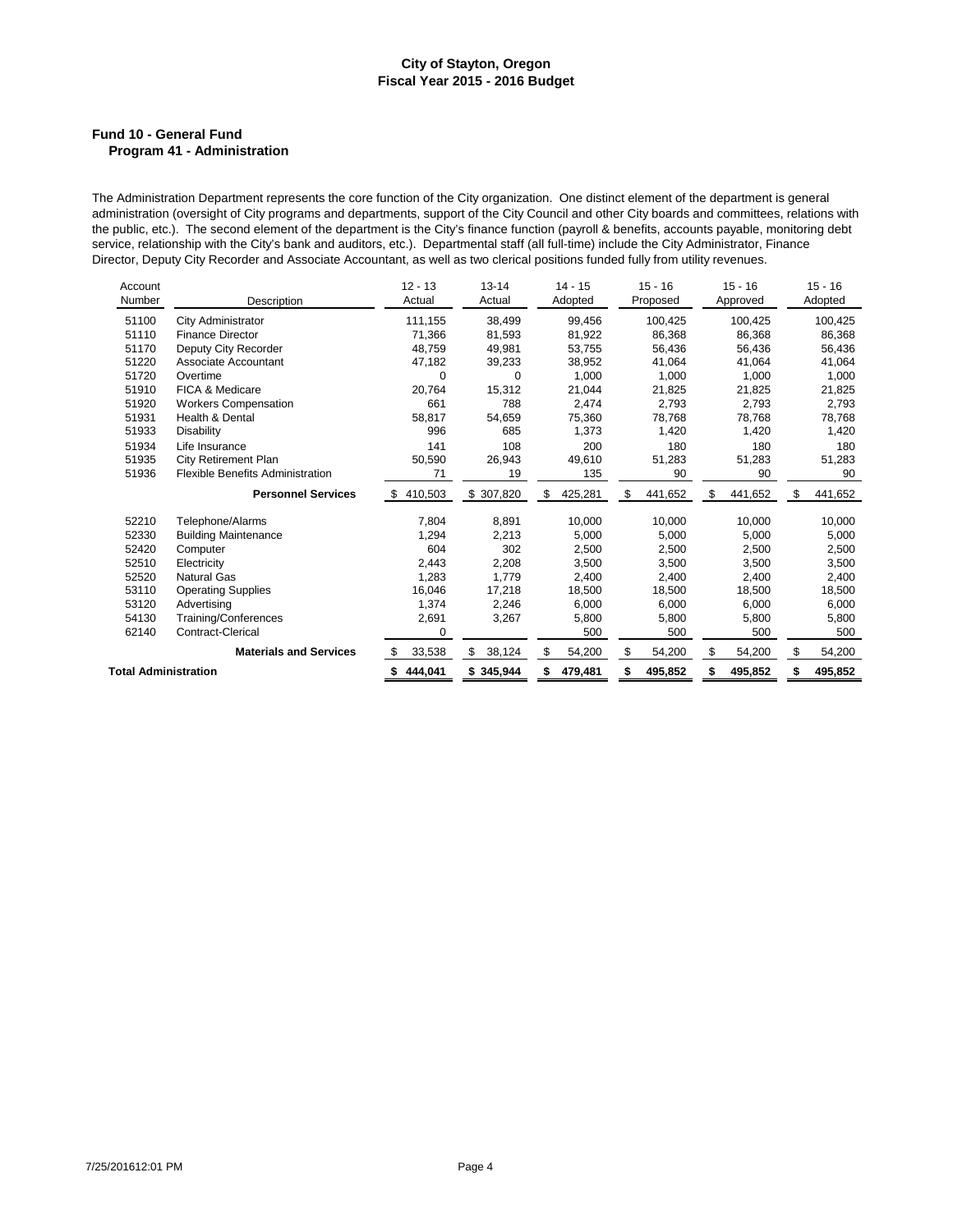### **Fund 10 - General Fund Program 41 - Administration**

The Administration Department represents the core function of the City organization. One distinct element of the department is general administration (oversight of City programs and departments, support of the City Council and other City boards and committees, relations with the public, etc.). The second element of the department is the City's finance function (payroll & benefits, accounts payable, monitoring debt service, relationship with the City's bank and auditors, etc.). Departmental staff (all full-time) include the City Administrator, Finance Director, Deputy City Recorder and Associate Accountant, as well as two clerical positions funded fully from utility revenues.

| Account              |                                         | $12 - 13$     | $13 - 14$    | $14 - 15$     | $15 - 16$     | $15 - 16$     | $15 - 16$     |
|----------------------|-----------------------------------------|---------------|--------------|---------------|---------------|---------------|---------------|
| Number               | Description                             | Actual        | Actual       | Adopted       | Proposed      | Approved      | Adopted       |
| 51100                | City Administrator                      | 111,155       | 38,499       | 99,456        | 100,425       | 100,425       | 100,425       |
| 51110                | <b>Finance Director</b>                 | 71,366        | 81,593       | 81,922        | 86,368        | 86,368        | 86,368        |
| 51170                | Deputy City Recorder                    | 48,759        | 49,981       | 53,755        | 56,436        | 56,436        | 56,436        |
| 51220                | Associate Accountant                    | 47,182        | 39,233       | 38,952        | 41.064        | 41.064        | 41,064        |
| 51720                | Overtime                                | 0             | $\Omega$     | 1.000         | 1,000         | 1,000         | 1,000         |
| 51910                | FICA & Medicare                         | 20,764        | 15,312       | 21,044        | 21,825        | 21,825        | 21,825        |
| 51920                | <b>Workers Compensation</b>             | 661           | 788          | 2,474         | 2,793         | 2.793         | 2,793         |
| 51931                | Health & Dental                         | 58,817        | 54,659       | 75,360        | 78,768        | 78,768        | 78,768        |
| 51933                | <b>Disability</b>                       | 996           | 685          | 1,373         | 1,420         | 1,420         | 1,420         |
| 51934                | Life Insurance                          | 141           | 108          | 200           | 180           | 180           | 180           |
| 51935                | City Retirement Plan                    | 50,590        | 26,943       | 49,610        | 51,283        | 51,283        | 51,283        |
| 51936                | <b>Flexible Benefits Administration</b> | 71            | 19           | 135           | 90            | 90            | 90            |
|                      | <b>Personnel Services</b>               | 410,503<br>\$ | \$ 307,820   | \$<br>425,281 | \$<br>441,652 | \$<br>441,652 | \$<br>441,652 |
| 52210                | Telephone/Alarms                        | 7.804         | 8.891        | 10.000        | 10.000        | 10.000        | 10,000        |
| 52330                | <b>Building Maintenance</b>             | 1,294         | 2,213        | 5,000         | 5.000         | 5,000         | 5,000         |
| 52420                | Computer                                | 604           | 302          | 2,500         | 2,500         | 2,500         | 2,500         |
| 52510                | Electricity                             | 2,443         | 2,208        | 3,500         | 3.500         | 3,500         | 3,500         |
| 52520                | <b>Natural Gas</b>                      | 1,283         | 1,779        | 2,400         | 2,400         | 2.400         | 2,400         |
| 53110                | <b>Operating Supplies</b>               | 16,046        | 17,218       | 18,500        | 18,500        | 18,500        | 18,500        |
| 53120                | Advertising                             | 1,374         | 2,246        | 6,000         | 6,000         | 6,000         | 6,000         |
| 54130                | Training/Conferences                    | 2,691         | 3,267        | 5.800         | 5,800         | 5.800         | 5,800         |
| 62140                | <b>Contract-Clerical</b>                | 0             |              | 500           | 500           | 500           | 500           |
|                      | <b>Materials and Services</b>           | 33,538<br>S   | 38,124<br>\$ | \$<br>54,200  | \$<br>54,200  | 54,200<br>\$  | \$<br>54,200  |
| Total Administration |                                         | 444,041       | \$345,944    | 479,481       | 495,852       | 495,852       | 495,852       |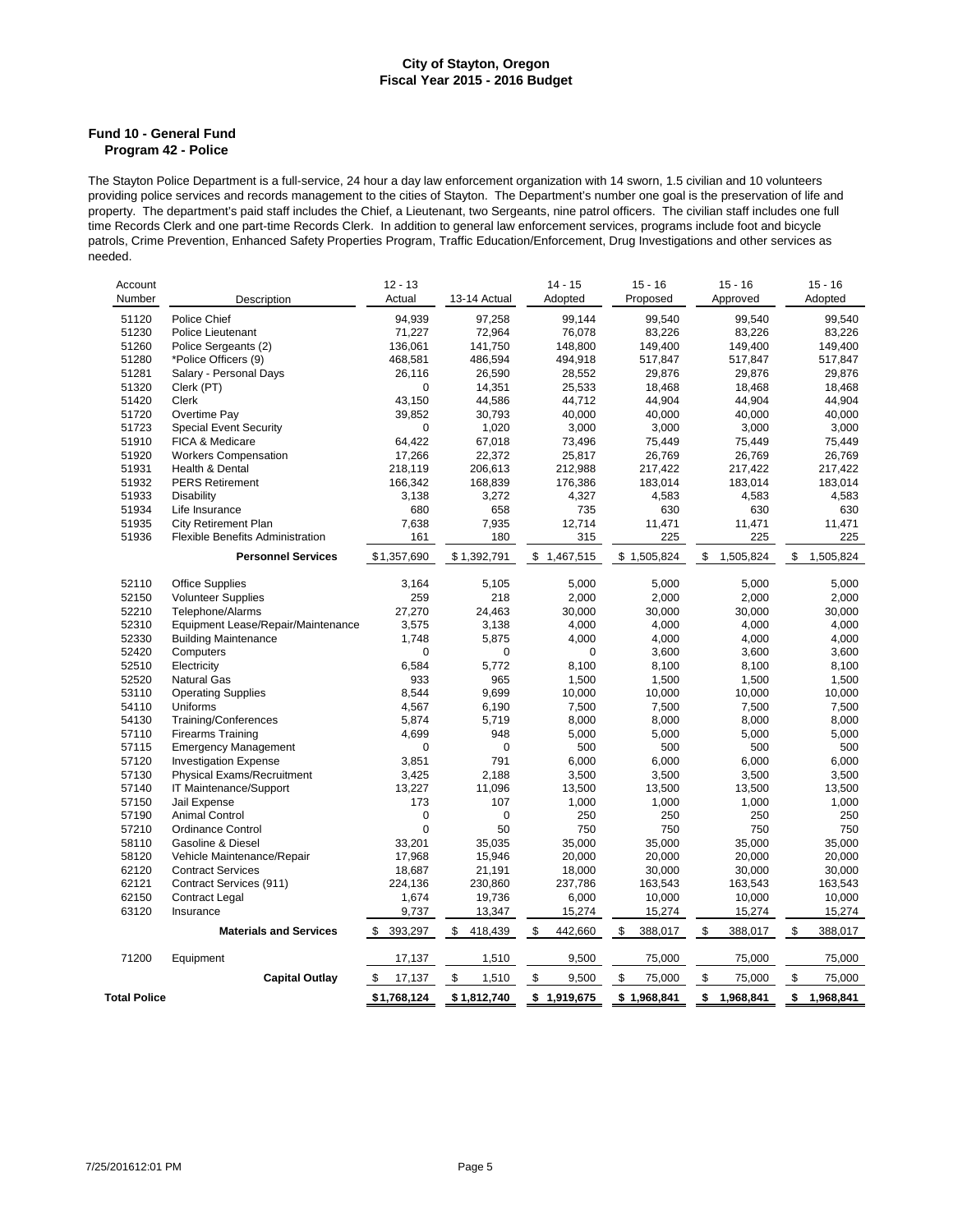#### **Fund 10 - General Fund Program 42 - Police**

The Stayton Police Department is a full-service, 24 hour a day law enforcement organization with 14 sworn, 1.5 civilian and 10 volunteers providing police services and records management to the cities of Stayton. The Department's number one goal is the preservation of life and property. The department's paid staff includes the Chief, a Lieutenant, two Sergeants, nine patrol officers. The civilian staff includes one full time Records Clerk and one part-time Records Clerk. In addition to general law enforcement services, programs include foot and bicycle patrols, Crime Prevention, Enhanced Safety Properties Program, Traffic Education/Enforcement, Drug Investigations and other services as needed.

| Account             |                                    | $12 - 13$     |               | $14 - 15$     | $15 - 16$     | $15 - 16$       | $15 - 16$       |
|---------------------|------------------------------------|---------------|---------------|---------------|---------------|-----------------|-----------------|
| Number              | Description                        | Actual        | 13-14 Actual  | Adopted       | Proposed      | Approved        | Adopted         |
| 51120               | Police Chief                       | 94,939        | 97,258        | 99,144        | 99,540        | 99,540          | 99,540          |
| 51230               | Police Lieutenant                  | 71,227        | 72,964        | 76,078        | 83,226        | 83,226          | 83,226          |
| 51260               | Police Sergeants (2)               | 136,061       | 141,750       | 148,800       | 149,400       | 149,400         | 149,400         |
| 51280               | *Police Officers (9)               | 468,581       | 486,594       | 494,918       | 517,847       | 517,847         | 517,847         |
| 51281               | Salary - Personal Days             | 26,116        | 26,590        | 28,552        | 29,876        | 29,876          | 29.876          |
| 51320               | Clerk (PT)                         | 0             | 14,351        | 25,533        | 18,468        | 18,468          | 18,468          |
| 51420               | Clerk                              | 43,150        | 44,586        | 44,712        | 44,904        | 44,904          | 44,904          |
| 51720               | Overtime Pay                       | 39,852        | 30,793        | 40,000        | 40,000        | 40,000          | 40,000          |
| 51723               | <b>Special Event Security</b>      | 0             | 1,020         | 3,000         | 3,000         | 3,000           | 3,000           |
| 51910               | FICA & Medicare                    | 64,422        | 67,018        | 73,496        | 75,449        | 75,449          | 75,449          |
| 51920               | <b>Workers Compensation</b>        | 17,266        | 22,372        | 25,817        | 26,769        | 26,769          | 26,769          |
| 51931               | Health & Dental                    | 218,119       | 206,613       | 212,988       | 217,422       | 217,422         | 217,422         |
| 51932               |                                    |               |               |               | 183,014       | 183,014         |                 |
|                     | <b>PERS Retirement</b>             | 166,342       | 168,839       | 176,386       |               |                 | 183,014         |
| 51933               | <b>Disability</b>                  | 3,138         | 3,272         | 4,327         | 4,583         | 4,583           | 4,583           |
| 51934               | Life Insurance                     | 680           | 658           | 735           | 630           | 630             | 630             |
| 51935               | <b>City Retirement Plan</b>        | 7,638         | 7,935         | 12,714        | 11,471        | 11,471          | 11,471          |
| 51936               | Flexible Benefits Administration   | 161           | 180           | 315           | 225           | 225             | 225             |
|                     | <b>Personnel Services</b>          | \$1,357,690   | \$1,392,791   | \$1,467,515   | \$1,505,824   | \$<br>1,505,824 | \$<br>1,505,824 |
|                     |                                    |               |               |               |               |                 |                 |
| 52110               | <b>Office Supplies</b>             | 3,164         | 5,105         | 5,000         | 5,000         | 5,000           | 5,000           |
| 52150               | <b>Volunteer Supplies</b>          | 259           | 218           | 2,000         | 2,000         | 2,000           | 2,000           |
| 52210               | Telephone/Alarms                   | 27,270        | 24,463        | 30,000        | 30,000        | 30,000          | 30,000          |
| 52310               | Equipment Lease/Repair/Maintenance | 3,575         | 3,138         | 4,000         | 4,000         | 4,000           | 4,000           |
| 52330               | <b>Building Maintenance</b>        | 1,748         | 5,875         | 4,000         | 4,000         | 4,000           | 4,000           |
| 52420               | Computers                          | 0             | 0             | 0             | 3,600         | 3,600           | 3,600           |
| 52510               | Electricity                        | 6.584         | 5,772         | 8,100         | 8,100         | 8,100           | 8,100           |
| 52520               | <b>Natural Gas</b>                 | 933           | 965           | 1,500         | 1,500         | 1,500           | 1,500           |
| 53110               | <b>Operating Supplies</b>          | 8,544         | 9,699         | 10,000        | 10,000        | 10,000          | 10,000          |
| 54110               | Uniforms                           | 4,567         | 6,190         | 7,500         | 7,500         | 7,500           | 7,500           |
| 54130               | Training/Conferences               | 5,874         | 5,719         | 8,000         | 8,000         | 8,000           | 8,000           |
| 57110               | <b>Firearms Training</b>           | 4,699         | 948           | 5,000         | 5,000         | 5,000           | 5,000           |
| 57115               | <b>Emergency Management</b>        | 0             | 0             | 500           | 500           | 500             | 500             |
| 57120               | <b>Investigation Expense</b>       | 3,851         | 791           | 6,000         | 6,000         | 6,000           | 6,000           |
| 57130               | Physical Exams/Recruitment         | 3,425         | 2,188         | 3,500         | 3,500         | 3,500           | 3,500           |
| 57140               | IT Maintenance/Support             | 13,227        | 11,096        | 13,500        | 13,500        | 13,500          | 13,500          |
| 57150               | Jail Expense                       | 173           | 107           | 1,000         | 1,000         | 1,000           | 1,000           |
| 57190               | <b>Animal Control</b>              | 0             | 0             | 250           | 250           | 250             | 250             |
| 57210               | <b>Ordinance Control</b>           | 0             | 50            | 750           | 750           | 750             | 750             |
| 58110               | <b>Gasoline &amp; Diesel</b>       | 33,201        | 35,035        | 35,000        | 35,000        | 35,000          | 35,000          |
| 58120               | Vehicle Maintenance/Repair         | 17,968        | 15,946        | 20,000        | 20,000        | 20,000          | 20,000          |
| 62120               | <b>Contract Services</b>           | 18,687        | 21,191        | 18,000        | 30,000        | 30,000          | 30,000          |
| 62121               | Contract Services (911)            | 224,136       | 230,860       | 237,786       | 163,543       | 163,543         | 163,543         |
| 62150               | <b>Contract Legal</b>              | 1,674         | 19,736        | 6,000         | 10,000        | 10,000          | 10,000          |
| 63120               | Insurance                          | 9,737         | 13,347        | 15,274        | 15,274        | 15,274          | 15,274          |
|                     | <b>Materials and Services</b>      | \$<br>393,297 | \$<br>418,439 | \$<br>442,660 | \$<br>388,017 | \$<br>388,017   | \$<br>388,017   |
|                     |                                    |               |               |               |               |                 |                 |
| 71200               | Equipment                          | 17,137        | 1,510         | 9,500         | 75,000        | 75,000          | 75,000          |
|                     | <b>Capital Outlay</b>              | \$<br>17,137  | \$<br>1,510   | \$<br>9,500   | \$<br>75,000  | \$<br>75,000    | \$<br>75,000    |
| <b>Total Police</b> |                                    | \$1,768,124   | \$1,812,740   | \$1,919,675   | \$1,968,841   | \$<br>1,968,841 | \$<br>1,968,841 |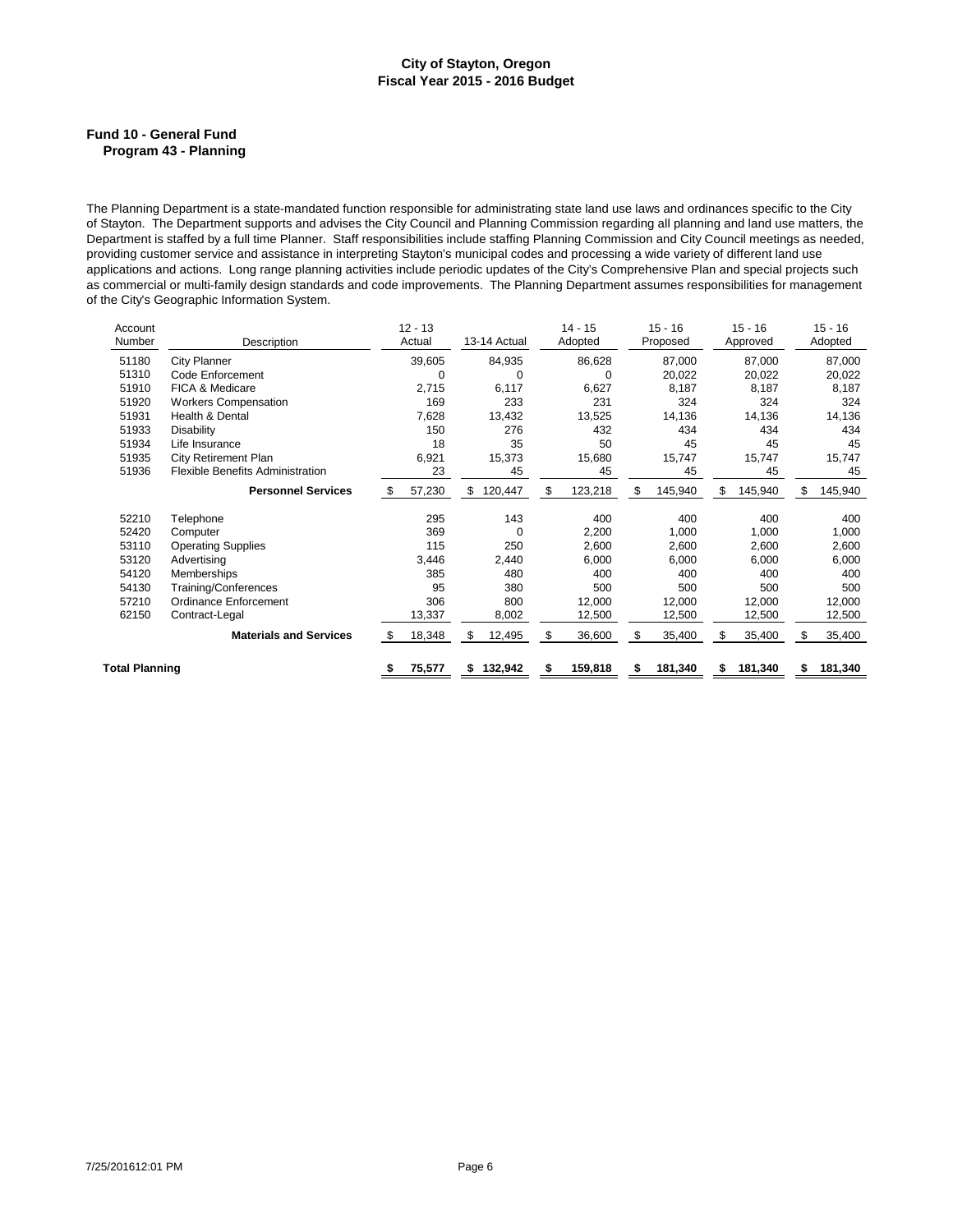### **Fund 10 - General Fund Program 43 - Planning**

The Planning Department is a state-mandated function responsible for administrating state land use laws and ordinances specific to the City of Stayton. The Department supports and advises the City Council and Planning Commission regarding all planning and land use matters, the Department is staffed by a full time Planner. Staff responsibilities include staffing Planning Commission and City Council meetings as needed, providing customer service and assistance in interpreting Stayton's municipal codes and processing a wide variety of different land use applications and actions. Long range planning activities include periodic updates of the City's Comprehensive Plan and special projects such as commercial or multi-family design standards and code improvements. The Planning Department assumes responsibilities for management of the City's Geographic Information System.

| Account<br>Number     | Description                             | $12 - 13$<br>Actual |    | 13-14 Actual |    | $14 - 15$<br>Adopted |    | $15 - 16$<br>Proposed |   | $15 - 16$<br>Approved |     | $15 - 16$<br>Adopted |
|-----------------------|-----------------------------------------|---------------------|----|--------------|----|----------------------|----|-----------------------|---|-----------------------|-----|----------------------|
| 51180                 | City Planner                            | 39,605              |    | 84,935       |    | 86,628               |    | 87.000                |   | 87.000                |     | 87,000               |
| 51310                 | Code Enforcement                        | 0                   |    | 0            |    | 0                    |    | 20,022                |   | 20,022                |     | 20,022               |
| 51910                 | <b>FICA &amp; Medicare</b>              | 2,715               |    | 6,117        |    | 6,627                |    | 8,187                 |   | 8,187                 |     | 8,187                |
| 51920                 | <b>Workers Compensation</b>             | 169                 |    | 233          |    | 231                  |    | 324                   |   | 324                   |     | 324                  |
| 51931                 | Health & Dental                         | 7,628               |    | 13,432       |    | 13,525               |    | 14,136                |   | 14,136                |     | 14,136               |
| 51933                 | <b>Disability</b>                       | 150                 |    | 276          |    | 432                  |    | 434                   |   | 434                   |     | 434                  |
| 51934                 | Life Insurance                          | 18                  |    | 35           |    | 50                   |    | 45                    |   | 45                    |     | 45                   |
| 51935                 | <b>City Retirement Plan</b>             | 6,921               |    | 15,373       |    | 15,680               |    | 15,747                |   | 15,747                |     | 15,747               |
| 51936                 | <b>Flexible Benefits Administration</b> | 23                  |    | 45           |    | 45                   |    | 45                    |   | 45                    |     | 45                   |
|                       | <b>Personnel Services</b>               | \$<br>57,230        | \$ | 120,447      | \$ | 123,218              | \$ | 145,940               | S | 145,940               | \$. | 145,940              |
| 52210                 | Telephone                               | 295                 |    | 143          |    | 400                  |    | 400                   |   | 400                   |     | 400                  |
| 52420                 | Computer                                | 369                 |    | $\Omega$     |    | 2,200                |    | 1,000                 |   | 1,000                 |     | 1,000                |
| 53110                 | <b>Operating Supplies</b>               | 115                 |    | 250          |    | 2,600                |    | 2,600                 |   | 2,600                 |     | 2,600                |
| 53120                 | Advertising                             | 3,446               |    | 2,440        |    | 6,000                |    | 6,000                 |   | 6,000                 |     | 6,000                |
| 54120                 | Memberships                             | 385                 |    | 480          |    | 400                  |    | 400                   |   | 400                   |     | 400                  |
| 54130                 | Training/Conferences                    | 95                  |    | 380          |    | 500                  |    | 500                   |   | 500                   |     | 500                  |
| 57210                 | Ordinance Enforcement                   | 306                 |    | 800          |    | 12,000               |    | 12,000                |   | 12,000                |     | 12,000               |
| 62150                 | Contract-Legal                          | 13,337              |    | 8,002        |    | 12,500               |    | 12,500                |   | 12,500                |     | 12,500               |
|                       | <b>Materials and Services</b>           | \$<br>18,348        | S  | 12,495       | \$ | 36,600               | \$ | 35,400                | S | 35,400                | S   | 35,400               |
| <b>Total Planning</b> |                                         | \$<br>75,577        |    | 132,942      | S  | 159,818              | S  | 181,340               | S | 181,340               | \$  | 181,340              |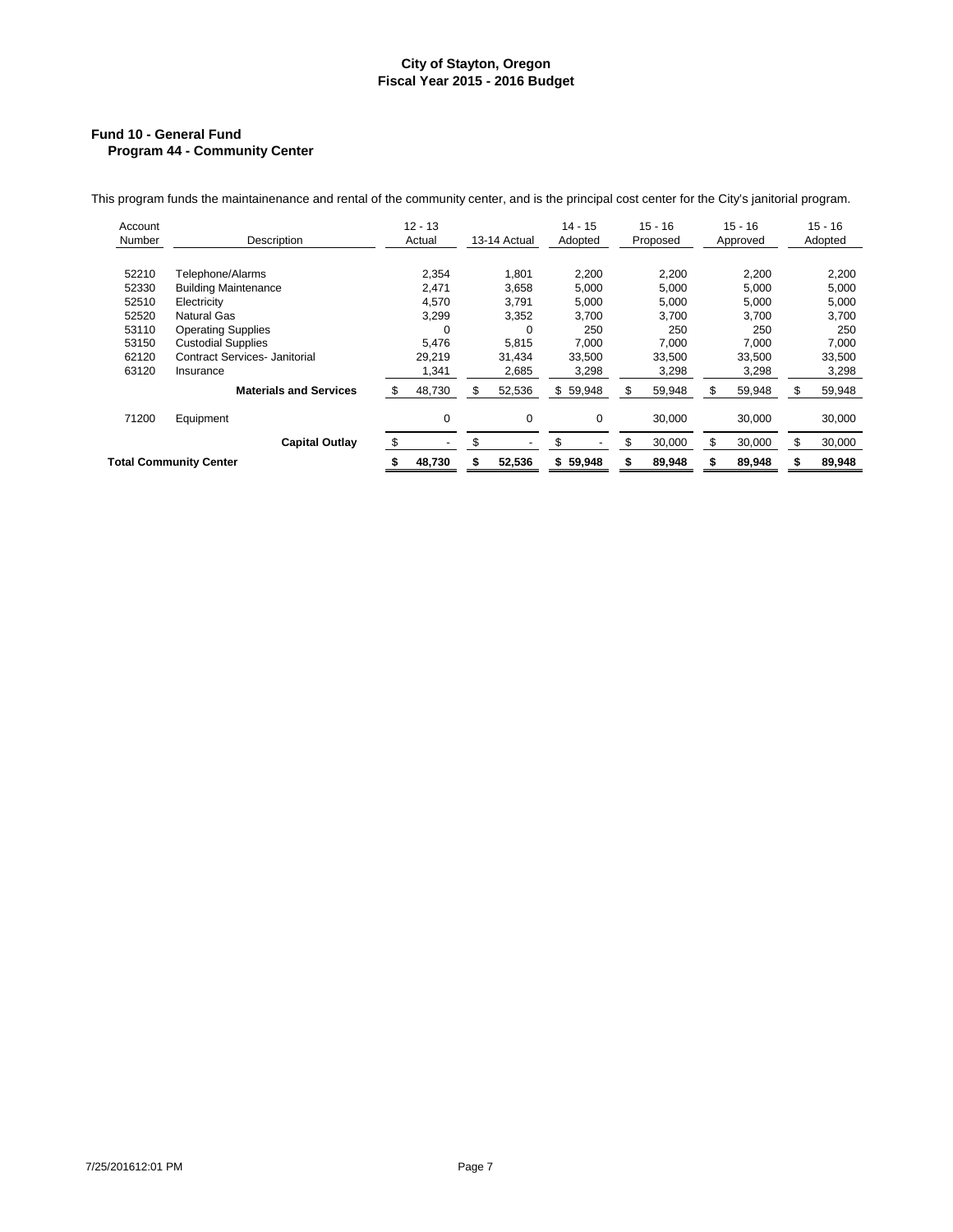### **Fund 10 - General Fund Program 44 - Community Center**

This program funds the maintainenance and rental of the community center, and is the principal cost center for the City's janitorial program.

| Account<br>Number | Description                          | $12 - 13$<br>Actual |             | 13-14 Actual | $14 - 15$<br>Adopted | $15 - 16$<br>Proposed |        | $15 - 16$<br>Approved |        |     | $15 - 16$<br>Adopted |
|-------------------|--------------------------------------|---------------------|-------------|--------------|----------------------|-----------------------|--------|-----------------------|--------|-----|----------------------|
|                   |                                      |                     |             |              |                      |                       |        |                       |        |     |                      |
| 52210             | Telephone/Alarms                     |                     | 2,354       | 1,801        | 2,200                |                       | 2,200  |                       | 2,200  |     | 2,200                |
| 52330             | <b>Building Maintenance</b>          |                     | 2,471       | 3,658        | 5,000                |                       | 5,000  |                       | 5,000  |     | 5,000                |
| 52510             | Electricity                          |                     | 4,570       | 3,791        | 5,000                |                       | 5,000  |                       | 5,000  |     | 5,000                |
| 52520             | <b>Natural Gas</b>                   |                     | 3,299       | 3,352        | 3,700                |                       | 3,700  |                       | 3,700  |     | 3,700                |
| 53110             | <b>Operating Supplies</b>            |                     |             | 0            | 250                  |                       | 250    |                       | 250    |     | 250                  |
| 53150             | <b>Custodial Supplies</b>            |                     | 5.476       | 5.815        | 7,000                |                       | 7.000  |                       | 7.000  |     | 7,000                |
| 62120             | <b>Contract Services- Janitorial</b> |                     | 29,219      | 31.434       | 33,500               |                       | 33,500 |                       | 33.500 |     | 33,500               |
| 63120             | Insurance                            |                     | 1,341       | 2,685        | 3,298                |                       | 3,298  |                       | 3,298  |     | 3,298                |
|                   | <b>Materials and Services</b>        |                     | 48,730      | \$<br>52,536 | \$<br>59,948         | S                     | 59,948 | \$.                   | 59,948 | \$. | 59,948               |
| 71200             | Equipment                            |                     | $\mathbf 0$ | 0            | $\mathbf 0$          |                       | 30.000 |                       | 30.000 |     | 30,000               |
|                   | <b>Capital Outlay</b>                | \$                  |             | \$           | \$                   | \$                    | 30,000 | \$                    | 30.000 | \$  | 30,000               |
|                   | <b>Total Community Center</b>        |                     | 48,730      | 52,536       | 59,948<br>\$         |                       | 89,948 |                       | 89,948 |     | 89,948               |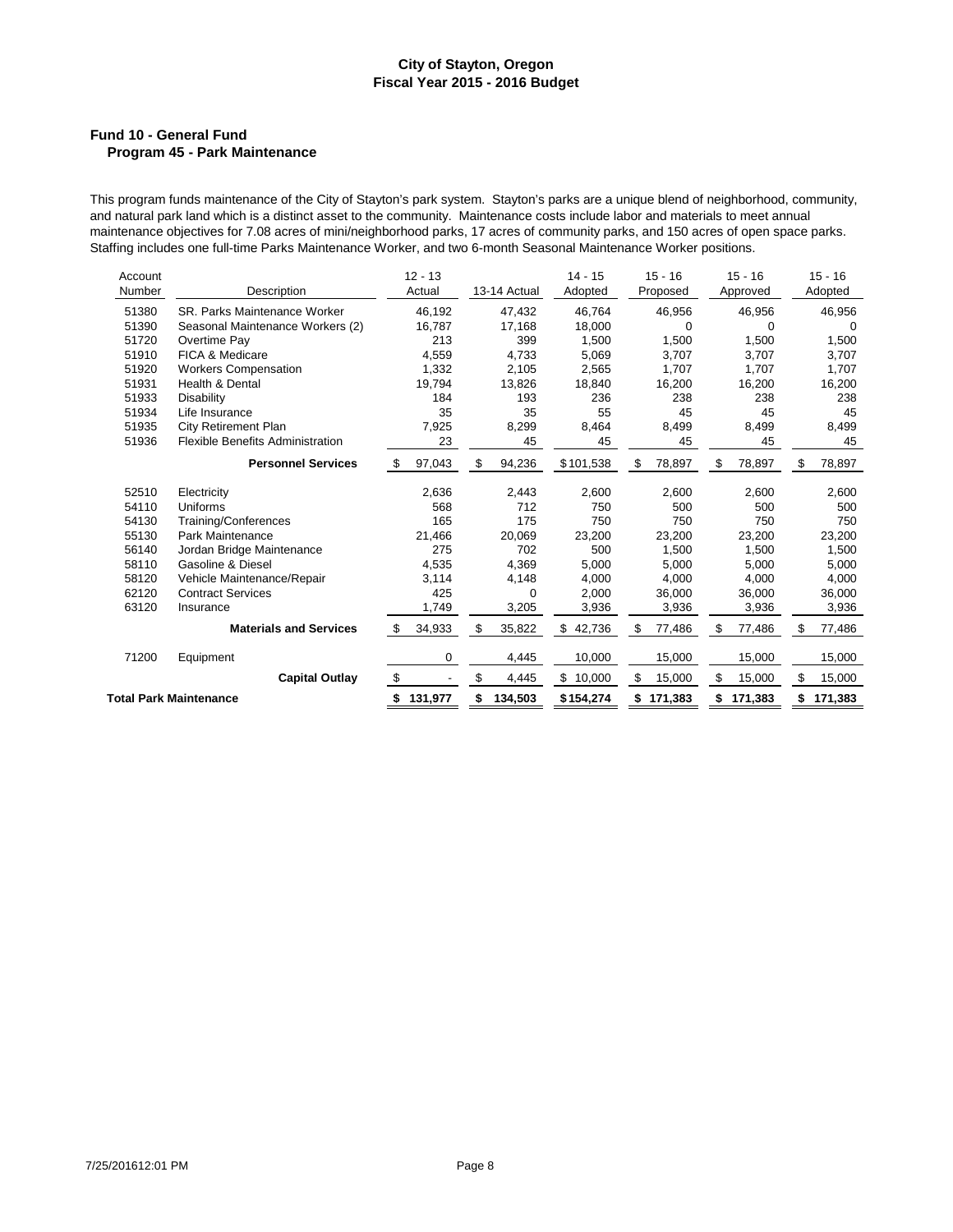# **Fund 10 - General Fund Program 45 - Park Maintenance**

This program funds maintenance of the City of Stayton's park system. Stayton's parks are a unique blend of neighborhood, community, and natural park land which is a distinct asset to the community. Maintenance costs include labor and materials to meet annual maintenance objectives for 7.08 acres of mini/neighborhood parks, 17 acres of community parks, and 150 acres of open space parks. Staffing includes one full-time Parks Maintenance Worker, and two 6-month Seasonal Maintenance Worker positions.

| Account<br>Number | Description                             | $12 - 13$<br>Actual | 13-14 Actual  | $14 - 15$<br>Adopted | $15 - 16$<br>Proposed | $15 - 16$<br>Approved | $15 - 16$<br>Adopted |
|-------------------|-----------------------------------------|---------------------|---------------|----------------------|-----------------------|-----------------------|----------------------|
| 51380             | SR. Parks Maintenance Worker            | 46,192              | 47,432        | 46,764               | 46,956                | 46,956                | 46,956               |
| 51390             | Seasonal Maintenance Workers (2)        | 16.787              | 17,168        | 18.000               | 0                     | $\Omega$              | $\Omega$             |
| 51720             | Overtime Pay                            | 213                 | 399           | 1,500                | 1,500                 | 1,500                 | 1,500                |
| 51910             | FICA & Medicare                         | 4,559               | 4,733         | 5,069                | 3,707                 | 3,707                 | 3,707                |
| 51920             | <b>Workers Compensation</b>             | 1,332               | 2,105         | 2.565                | 1.707                 | 1.707                 | 1.707                |
| 51931             | Health & Dental                         | 19,794              | 13,826        | 18,840               | 16,200                | 16,200                | 16,200               |
| 51933             | Disability                              | 184                 | 193           | 236                  | 238                   | 238                   | 238                  |
| 51934             | Life Insurance                          | 35                  | 35            | 55                   | 45                    | 45                    | 45                   |
| 51935             | <b>City Retirement Plan</b>             | 7,925               | 8,299         | 8,464                | 8,499                 | 8,499                 | 8,499                |
| 51936             | <b>Flexible Benefits Administration</b> | 23                  | 45            | 45                   | 45                    | 45                    | 45                   |
|                   | <b>Personnel Services</b>               | 97,043<br>S         | 94,236<br>S   | \$101,538            | 78,897<br>S           | 78,897<br>S           | 78,897<br>S          |
| 52510             | Electricity                             | 2,636               | 2,443         | 2,600                | 2,600                 | 2,600                 | 2,600                |
| 54110             | Uniforms                                | 568                 | 712           | 750                  | 500                   | 500                   | 500                  |
| 54130             | Training/Conferences                    | 165                 | 175           | 750                  | 750                   | 750                   | 750                  |
| 55130             | <b>Park Maintenance</b>                 | 21,466              | 20,069        | 23,200               | 23,200                | 23,200                | 23,200               |
| 56140             | Jordan Bridge Maintenance               | 275                 | 702           | 500                  | 1,500                 | 1,500                 | 1,500                |
| 58110             | Gasoline & Diesel                       | 4,535               | 4,369         | 5,000                | 5,000                 | 5,000                 | 5,000                |
| 58120             | Vehicle Maintenance/Repair              | 3,114               | 4,148         | 4,000                | 4.000                 | 4.000                 | 4,000                |
| 62120             | <b>Contract Services</b>                | 425                 | 0             | 2,000                | 36,000                | 36,000                | 36,000               |
| 63120             | Insurance                               | 1,749               | 3,205         | 3,936                | 3,936                 | 3,936                 | 3,936                |
|                   | <b>Materials and Services</b>           | 34,933<br>S         | \$<br>35,822  | \$<br>42,736         | \$<br>77,486          | \$<br>77,486          | S<br>77,486          |
| 71200             | Equipment                               | 0                   | 4,445         | 10,000               | 15,000                | 15,000                | 15,000               |
|                   | <b>Capital Outlay</b>                   | \$                  | \$<br>4,445   | \$<br>10,000         | 15,000<br>\$          | \$<br>15,000          | 15,000<br>\$         |
|                   | <b>Total Park Maintenance</b>           | \$131,977           | 134,503<br>\$ | \$154,274            | \$171,383             | 171,383<br>\$         | 171,383<br>\$        |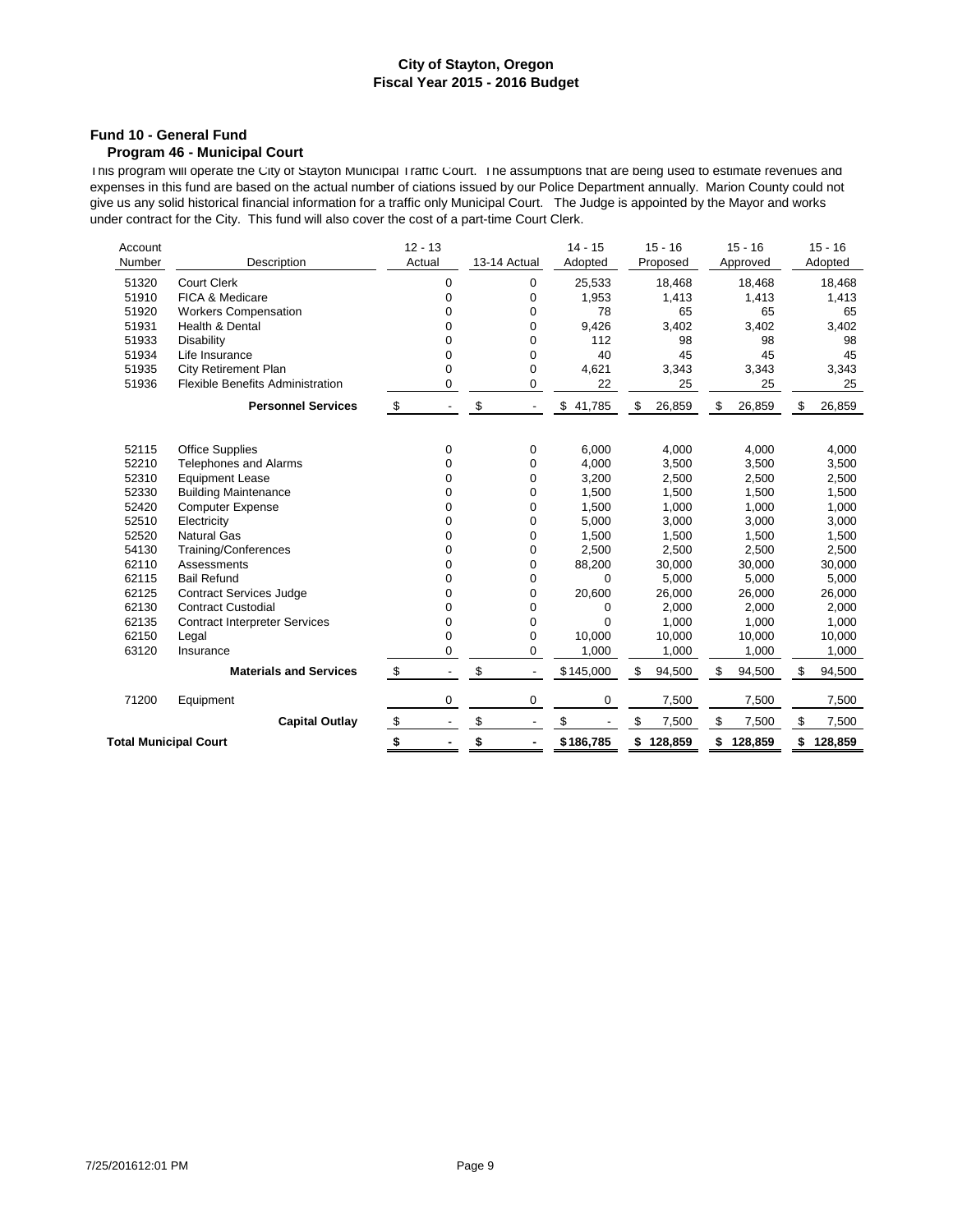### **Fund 10 - General Fund**

### **Program 46 - Municipal Court**

This program will operate the City of Stayton Municipal Traffic Court. The assumptions that are being used to estimate revenues and expenses in this fund are based on the actual number of ciations issued by our Police Department annually. Marion County could not give us any solid historical financial information for a traffic only Municipal Court. The Judge is appointed by the Mayor and works under contract for the City. This fund will also cover the cost of a part-time Court Clerk.

| Account<br>Number            | Description                             | $12 - 13$<br>Actual |        | 13-14 Actual |                          | $14 - 15$<br>Adopted | $15 - 16$<br>Proposed | $15 - 16$<br>Approved | $15 - 16$<br>Adopted |
|------------------------------|-----------------------------------------|---------------------|--------|--------------|--------------------------|----------------------|-----------------------|-----------------------|----------------------|
| 51320                        | <b>Court Clerk</b>                      |                     | 0      |              | 0                        | 25,533               | 18,468                | 18,468                | 18,468               |
| 51910                        | FICA & Medicare                         |                     | 0      |              | 0                        | 1,953                | 1,413                 | 1,413                 | 1,413                |
| 51920                        | <b>Workers Compensation</b>             |                     | 0      |              | 0                        | 78                   | 65                    | 65                    | 65                   |
| 51931                        | <b>Health &amp; Dental</b>              |                     | 0      |              | 0                        | 9,426                | 3,402                 | 3,402                 | 3,402                |
| 51933                        | Disability                              |                     | 0      |              | 0                        | 112                  | 98                    | 98                    | 98                   |
| 51934                        | Life Insurance                          |                     | 0      |              | $\mathbf 0$              | 40                   | 45                    | 45                    | 45                   |
| 51935                        | City Retirement Plan                    |                     | 0      |              | 0                        | 4,621                | 3,343                 | 3,343                 | 3,343                |
| 51936                        | <b>Flexible Benefits Administration</b> |                     | 0      |              | 0                        | 22                   | 25                    | 25                    | 25                   |
|                              | <b>Personnel Services</b>               | \$                  |        | \$           | $\overline{\phantom{a}}$ | \$<br>41,785         | \$<br>26,859          | \$<br>26,859          | \$<br>26,859         |
|                              |                                         |                     |        |              |                          |                      |                       |                       |                      |
| 52115                        | <b>Office Supplies</b>                  |                     | 0      |              | 0                        | 6,000                | 4,000                 | 4,000                 | 4,000                |
| 52210                        | <b>Telephones and Alarms</b>            |                     | 0      |              | 0                        | 4,000                | 3,500                 | 3,500                 | 3,500                |
| 52310                        | <b>Equipment Lease</b>                  |                     | 0      |              | 0                        | 3,200                | 2,500                 | 2,500                 | 2,500                |
| 52330<br>52420               | <b>Building Maintenance</b>             |                     | 0<br>0 |              | 0<br>$\mathbf 0$         | 1,500<br>1,500       | 1,500<br>1,000        | 1,500<br>1,000        | 1,500                |
| 52510                        | <b>Computer Expense</b><br>Electricity  |                     | 0      |              | 0                        | 5,000                | 3,000                 | 3,000                 | 1,000<br>3,000       |
| 52520                        | <b>Natural Gas</b>                      |                     | 0      |              | 0                        | 1,500                | 1,500                 | 1,500                 | 1,500                |
| 54130                        | Training/Conferences                    |                     | 0      |              | $\mathbf 0$              | 2,500                | 2,500                 | 2,500                 | 2,500                |
| 62110                        | Assessments                             |                     | 0      |              | 0                        | 88,200               | 30,000                | 30,000                | 30,000               |
| 62115                        | <b>Bail Refund</b>                      |                     | 0      |              | 0                        | 0                    | 5.000                 | 5,000                 | 5,000                |
| 62125                        | <b>Contract Services Judge</b>          |                     | 0      |              | $\mathbf 0$              | 20,600               | 26,000                | 26,000                | 26,000               |
| 62130                        | <b>Contract Custodial</b>               |                     | 0      |              | $\mathbf 0$              | 0                    | 2,000                 | 2,000                 | 2,000                |
| 62135                        | <b>Contract Interpreter Services</b>    |                     | 0      |              | 0                        | $\Omega$             | 1,000                 | 1,000                 | 1,000                |
| 62150                        | Legal                                   |                     | 0      |              | 0                        | 10.000               | 10,000                | 10,000                | 10,000               |
| 63120                        | Insurance                               |                     | 0      |              | 0                        | 1,000                | 1,000                 | 1,000                 | 1,000                |
|                              | <b>Materials and Services</b>           | \$                  |        | \$           |                          | \$145,000            | \$<br>94,500          | \$<br>94,500          | \$<br>94,500         |
| 71200                        | Equipment                               |                     | 0      |              | 0                        | 0                    | 7,500                 | 7,500                 | 7,500                |
|                              | <b>Capital Outlay</b>                   | $\frac{1}{2}$       |        | \$           |                          | \$                   | \$<br>7,500           | \$<br>7,500           | \$<br>7,500          |
| <b>Total Municipal Court</b> |                                         | \$                  |        | \$           |                          | \$186,785            | \$128,859             | \$128,859             | \$128,859            |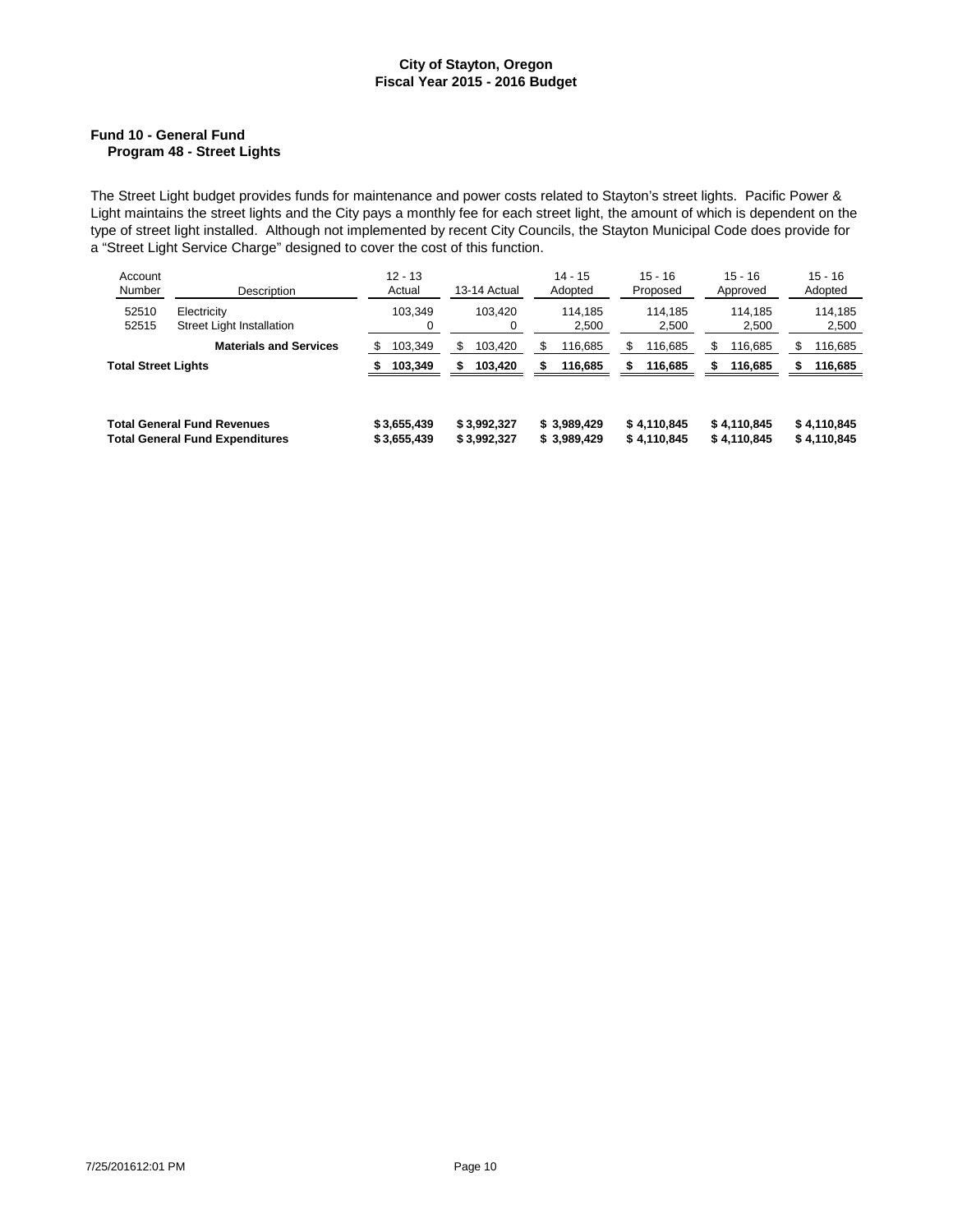### **Fund 10 - General Fund Program 48 - Street Lights**

The Street Light budget provides funds for maintenance and power costs related to Stayton's street lights. Pacific Power & Light maintains the street lights and the City pays a monthly fee for each street light, the amount of which is dependent on the type of street light installed. Although not implemented by recent City Councils, the Stayton Municipal Code does provide for a "Street Light Service Charge" designed to cover the cost of this function.

| Account<br>Number<br>Description |                                                                              | $12 - 13$<br>Actual        | 13-14 Actual               | $14 - 15$<br>Adopted        | $15 - 16$<br>Proposed      | $15 - 16$<br>Approved      | $15 - 16$<br>Adopted       |
|----------------------------------|------------------------------------------------------------------------------|----------------------------|----------------------------|-----------------------------|----------------------------|----------------------------|----------------------------|
| 52510<br>52515                   | Electricity<br>Street Light Installation                                     | 103.349<br>0               | 103.420<br>0               | 114.185<br>2,500            | 114.185<br>2,500           | 114.185<br>2,500           | 114.185<br>2,500           |
|                                  | <b>Materials and Services</b>                                                | 103,349                    | 103.420<br>S.              | 116,685<br>\$               | 116,685                    | \$<br>116,685              | \$<br>116,685              |
| <b>Total Street Lights</b>       |                                                                              | 103,349                    | 103,420<br>S               | 116,685<br>S                | 116,685<br>\$              | 116,685<br>\$              | 116,685<br>\$              |
|                                  |                                                                              |                            |                            |                             |                            |                            |                            |
|                                  | <b>Total General Fund Revenues</b><br><b>Total General Fund Expenditures</b> | \$3,655,439<br>\$3,655,439 | \$3,992,327<br>\$3,992,327 | \$3,989,429<br>\$ 3,989,429 | \$4,110,845<br>\$4,110,845 | \$4,110,845<br>\$4,110,845 | \$4,110,845<br>\$4,110,845 |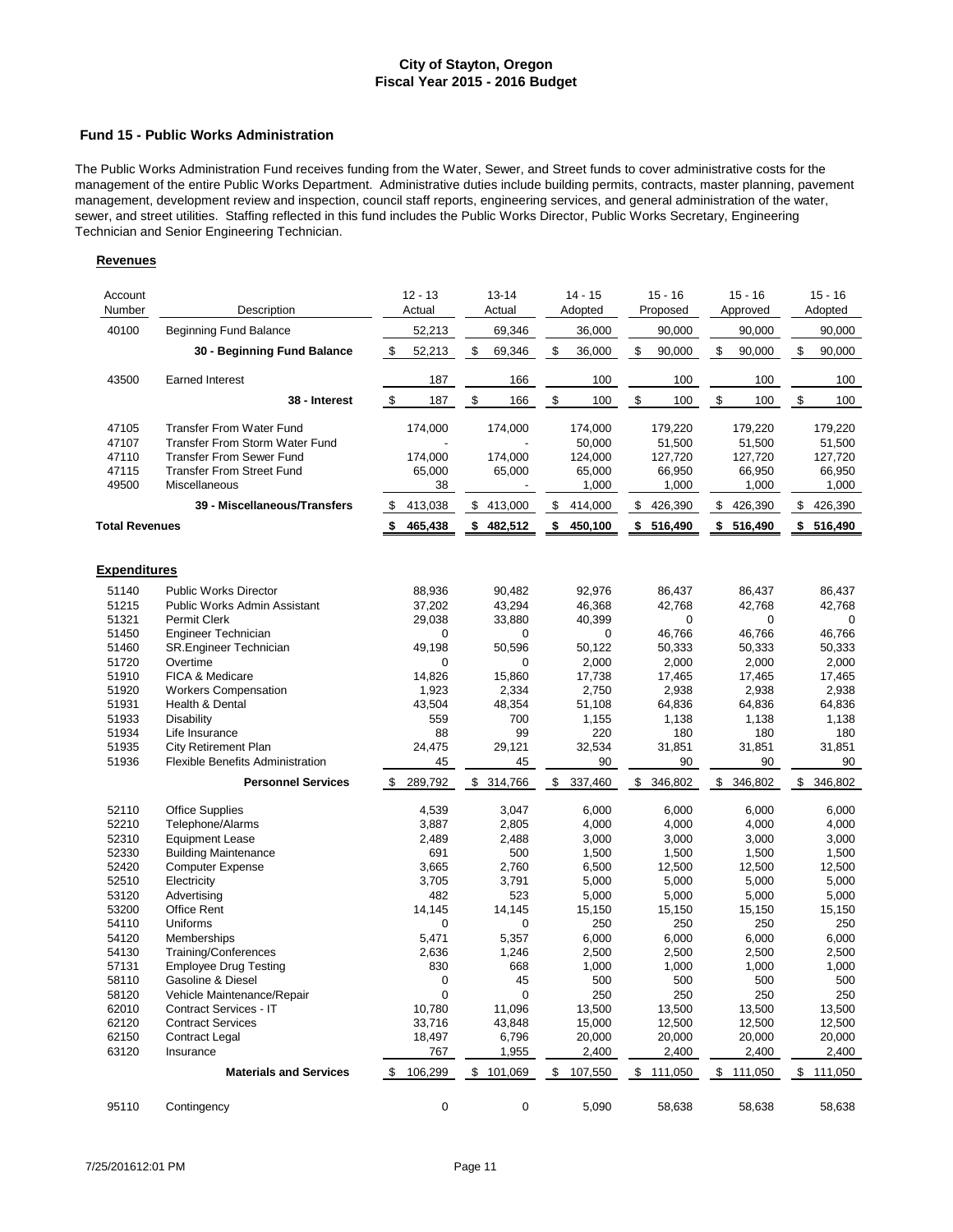#### **Fund 15 - Public Works Administration**

The Public Works Administration Fund receives funding from the Water, Sewer, and Street funds to cover administrative costs for the management of the entire Public Works Department. Administrative duties include building permits, contracts, master planning, pavement management, development review and inspection, council staff reports, engineering services, and general administration of the water, sewer, and street utilities. Staffing reflected in this fund includes the Public Works Director, Public Works Secretary, Engineering Technician and Senior Engineering Technician.

| Account<br>Number   | Description                                                              | $12 - 13$<br>Actual |    | $13 - 14$<br>Actual | $14 - 15$<br>Adopted | $15 - 16$<br>Proposed | $15 - 16$<br>Approved | $15 - 16$<br>Adopted |
|---------------------|--------------------------------------------------------------------------|---------------------|----|---------------------|----------------------|-----------------------|-----------------------|----------------------|
| 40100               | <b>Beginning Fund Balance</b>                                            | 52,213              |    | 69,346              | 36,000               | 90,000                | 90,000                | 90,000               |
|                     | 30 - Beginning Fund Balance                                              | \$<br>52,213        |    | \$<br>69,346        | \$<br>36,000         | \$<br>90,000          | \$<br>90,000          | \$<br>90,000         |
| 43500               | <b>Earned Interest</b>                                                   | 187                 |    | 166                 | 100                  | 100                   | 100                   | 100                  |
|                     | 38 - Interest                                                            | \$<br>187           |    | \$<br>166           | \$<br>100            | \$<br>100             | \$<br>100             | \$<br>100            |
|                     |                                                                          |                     |    |                     |                      |                       |                       |                      |
| 47105<br>47107      | <b>Transfer From Water Fund</b><br><b>Transfer From Storm Water Fund</b> | 174,000             |    | 174,000             | 174,000              | 179,220               | 179,220               | 179,220              |
| 47110               | <b>Transfer From Sewer Fund</b>                                          | 174,000             |    | 174,000             | 50,000<br>124,000    | 51,500<br>127,720     | 51,500<br>127,720     | 51,500<br>127,720    |
| 47115               | <b>Transfer From Street Fund</b>                                         | 65,000              |    | 65,000              | 65,000               | 66,950                | 66,950                | 66,950               |
| 49500               | <b>Miscellaneous</b>                                                     |                     | 38 |                     | 1,000                | 1,000                 | 1,000                 | 1,000                |
|                     | 39 - Miscellaneous/Transfers                                             | \$<br>413,038       |    | \$413,000           | \$<br>414,000        | \$<br>426,390         | \$<br>426,390         | \$<br>426,390        |
| Total Revenues      |                                                                          | \$<br>465,438       |    | \$482,512           | \$<br>450,100        | \$<br>516,490         | \$<br>516,490         | \$<br>516,490        |
|                     |                                                                          |                     |    |                     |                      |                       |                       |                      |
| <b>Expenditures</b> |                                                                          |                     |    |                     |                      |                       |                       |                      |
| 51140               | <b>Public Works Director</b>                                             | 88,936              |    | 90,482              | 92,976               | 86,437                | 86,437                | 86,437               |
| 51215               | Public Works Admin Assistant                                             | 37,202              |    | 43,294              | 46,368               | 42,768                | 42,768                | 42,768               |
| 51321               | <b>Permit Clerk</b>                                                      | 29,038              |    | 33,880              | 40,399               | 0                     | 0                     | 0                    |
| 51450               | Engineer Technician                                                      |                     | 0  | 0                   | 0                    | 46,766                | 46,766                | 46,766               |
| 51460               | SR.Engineer Technician                                                   | 49,198              |    | 50,596              | 50,122               | 50,333                | 50,333                | 50,333               |
| 51720               | Overtime                                                                 |                     | 0  | 0                   | 2,000                | 2,000                 | 2,000                 | 2,000                |
| 51910               | FICA & Medicare                                                          | 14,826              |    | 15,860              | 17,738               | 17,465                | 17,465                | 17,465               |
| 51920               | <b>Workers Compensation</b>                                              | 1,923               |    | 2,334               | 2,750                | 2,938                 | 2,938                 | 2,938                |
| 51931               | <b>Health &amp; Dental</b>                                               | 43,504              |    | 48,354              | 51,108               | 64,836                | 64,836                | 64,836               |
| 51933               | <b>Disability</b>                                                        | 559                 |    | 700                 | 1,155                | 1,138                 | 1,138                 | 1,138                |
| 51934<br>51935      | Life Insurance                                                           |                     | 88 | 99                  | 220                  | 180                   | 180                   | 180                  |
| 51936               | City Retirement Plan<br>Flexible Benefits Administration                 | 24,475              | 45 | 29,121<br>45        | 32,534<br>90         | 31,851<br>90          | 31,851<br>90          | 31,851<br>90         |
|                     | <b>Personnel Services</b>                                                | 289,792<br>\$       |    | \$314,766           | \$<br>337,460        | \$<br>346,802         | \$<br>346,802         | \$<br>346,802        |
|                     |                                                                          |                     |    |                     |                      |                       |                       |                      |
| 52110               | <b>Office Supplies</b>                                                   | 4,539               |    | 3,047               | 6,000                | 6,000                 | 6,000                 | 6,000                |
| 52210               | Telephone/Alarms                                                         | 3,887               |    | 2,805               | 4,000                | 4,000                 | 4,000                 | 4,000                |
| 52310               | <b>Equipment Lease</b>                                                   | 2,489               |    | 2,488               | 3,000                | 3,000                 | 3,000                 | 3,000                |
| 52330               | <b>Building Maintenance</b>                                              | 691                 |    | 500                 | 1,500                | 1,500                 | 1,500                 | 1,500                |
| 52420               | Computer Expense                                                         | 3,665               |    | 2,760               | 6,500                | 12,500                | 12,500                | 12,500               |
| 52510               | Electricity                                                              | 3,705               |    | 3,791               | 5,000                | 5,000                 | 5,000                 | 5,000                |
| 53120<br>53200      | Advertising                                                              | 482                 |    | 523                 | 5,000                | 5,000                 | 5,000                 | 5,000                |
|                     | Office Rent<br>Uniforms                                                  | 14,145              |    | 14,145              | 15,150               | 15,150                | 15,150                | 15,150               |
| 54110<br>54120      |                                                                          | 5,471               | 0  | 0<br>5,357          | 250<br>6,000         | 250<br>6,000          | 250<br>6,000          | 250<br>6,000         |
| 54130               | Memberships<br>Training/Conferences                                      | 2,636               |    | 1,246               | 2,500                | 2,500                 | 2,500                 | 2,500                |
| 57131               | <b>Employee Drug Testing</b>                                             | 830                 |    | 668                 | 1,000                | 1,000                 | 1,000                 | 1,000                |
| 58110               | Gasoline & Diesel                                                        |                     | 0  | 45                  | 500                  | 500                   | 500                   | 500                  |
| 58120               | Vehicle Maintenance/Repair                                               |                     | 0  | 0                   | 250                  | 250                   | 250                   | 250                  |
| 62010               | Contract Services - IT                                                   | 10,780              |    | 11,096              | 13,500               | 13,500                | 13,500                | 13,500               |
| 62120               | <b>Contract Services</b>                                                 | 33,716              |    | 43,848              | 15,000               | 12,500                | 12,500                | 12,500               |
| 62150               | <b>Contract Legal</b>                                                    | 18,497              |    | 6,796               | 20,000               | 20,000                | 20,000                | 20,000               |
| 63120               | Insurance                                                                | 767                 |    | 1,955               | 2,400                | 2,400                 | 2,400                 | 2,400                |
|                     | <b>Materials and Services</b>                                            | 106,299<br>\$       |    | \$101,069           | \$<br>107,550        | \$<br>111,050         | \$<br>111,050         | \$<br>111,050        |
|                     |                                                                          |                     |    |                     |                      |                       |                       |                      |
| 95110               | Contingency                                                              |                     | 0  | 0                   | 5,090                | 58,638                | 58,638                | 58,638               |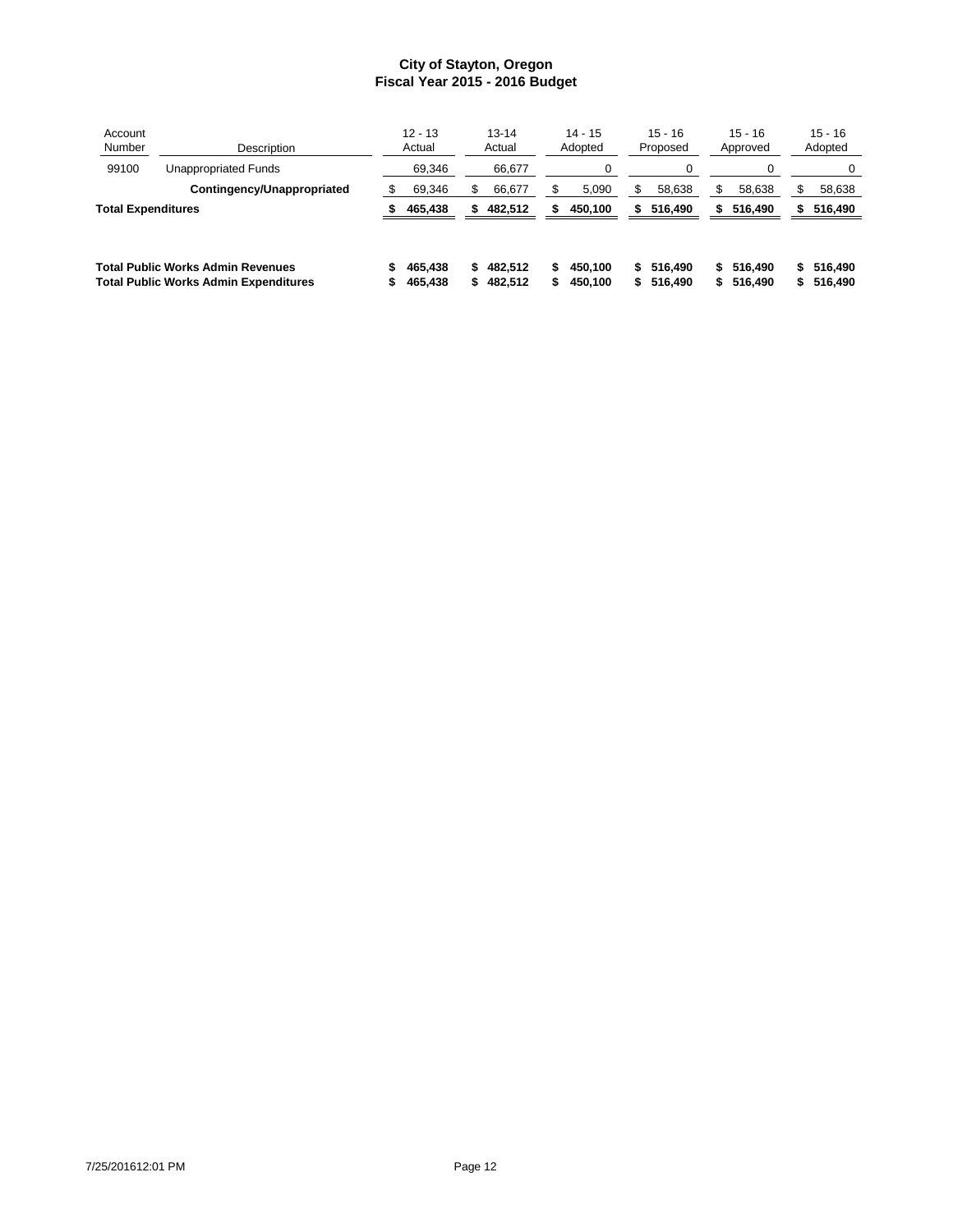| Account<br>Number  | Description                                  |   | $12 - 13$<br>Actual |    | $13 - 14$<br>Actual |     | $14 - 15$<br>Adopted |    | $15 - 16$<br>Proposed |    | $15 - 16$<br>Approved |    | $15 - 16$<br>Adopted |
|--------------------|----------------------------------------------|---|---------------------|----|---------------------|-----|----------------------|----|-----------------------|----|-----------------------|----|----------------------|
| 99100              | Unappropriated Funds                         |   | 69,346              |    | 66,677              |     | 0                    |    | 0                     |    |                       |    | 0                    |
|                    | Contingency/Unappropriated                   | S | 69,346              |    | 66,677              |     | 5,090                | S. | 58,638                | \$ | 58,638                |    | 58,638               |
| Total Expenditures |                                              |   | 465,438             | S. | 482,512             |     | 450,100              | S. | 516,490               | S. | 516,490               | \$ | 516,490              |
|                    | <b>Total Public Works Admin Revenues</b>     |   | 465.438             | S. | 482.512             | \$. | 450.100              | S. | 516,490               | S. | 516,490               | s. | 516.490              |
|                    | <b>Total Public Works Admin Expenditures</b> |   | 465,438             | 5. | 482,512             |     | 450,100              | S. | 516,490               | S. | 516,490               | s. | 516,490              |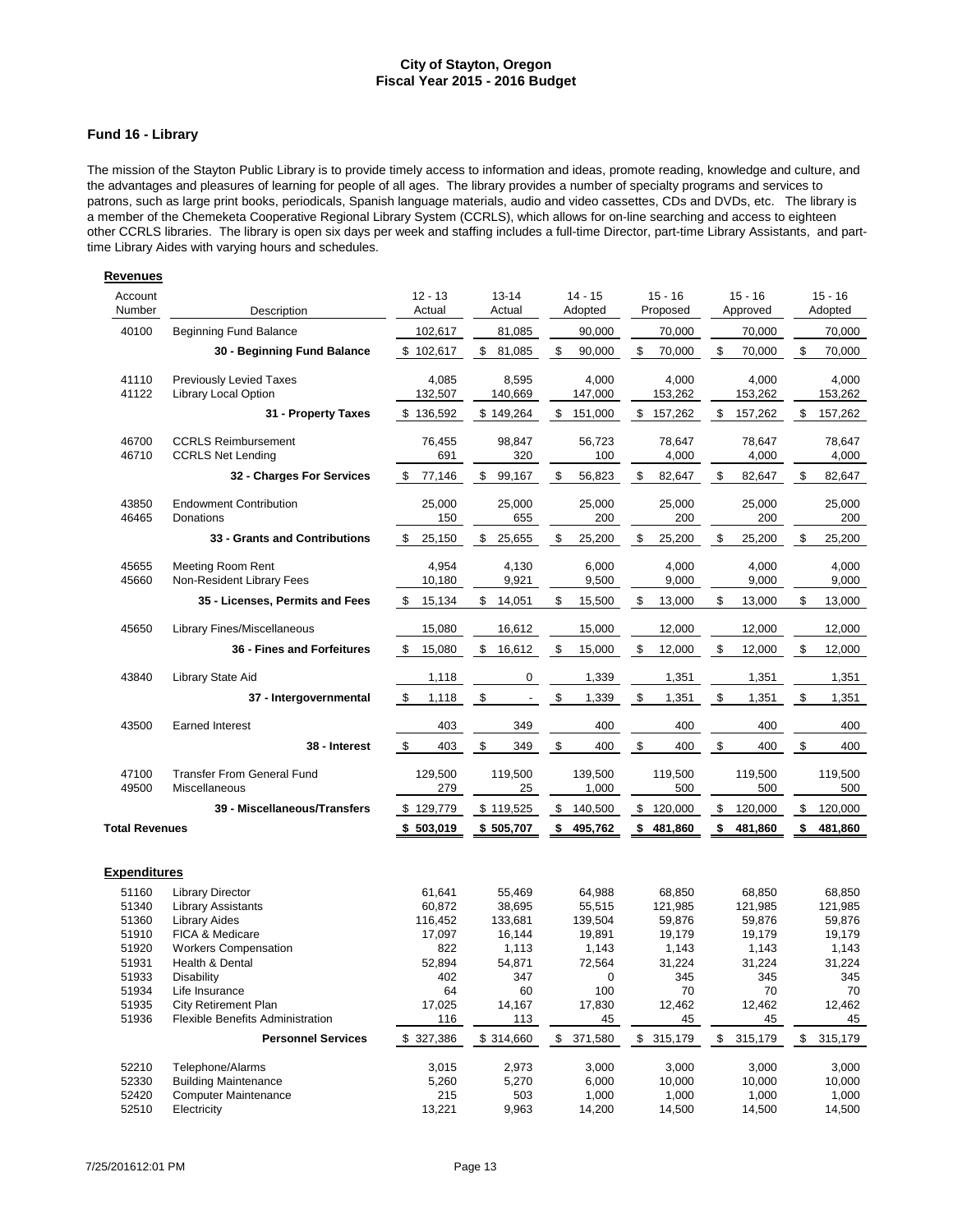### **Fund 16 - Library**

The mission of the Stayton Public Library is to provide timely access to information and ideas, promote reading, knowledge and culture, and the advantages and pleasures of learning for people of all ages. The library provides a number of specialty programs and services to patrons, such as large print books, periodicals, Spanish language materials, audio and video cassettes, CDs and DVDs, etc. The library is a member of the Chemeketa Cooperative Regional Library System (CCRLS), which allows for on-line searching and access to eighteen other CCRLS libraries. The library is open six days per week and staffing includes a full-time Director, part-time Library Assistants, and parttime Library Aides with varying hours and schedules.

| Account<br>Number     | Description                                            | $12 - 13$<br>Actual | $13 - 14$<br>Actual | $14 - 15$<br>Adopted | $15 - 16$<br>Proposed | $15 - 16$<br>Approved   | $15 - 16$<br>Adopted |
|-----------------------|--------------------------------------------------------|---------------------|---------------------|----------------------|-----------------------|-------------------------|----------------------|
| 40100                 | <b>Beginning Fund Balance</b>                          | 102,617             | 81,085              | 90,000               | 70,000                | 70,000                  | 70,000               |
|                       | 30 - Beginning Fund Balance                            | \$102,617           | \$<br>81,085        | \$<br>90,000         | \$<br>70,000          | \$<br>70,000            | \$<br>70,000         |
| 41110<br>41122        | <b>Previously Levied Taxes</b><br>Library Local Option | 4,085<br>132,507    | 8,595<br>140,669    | 4,000<br>147,000     | 4,000<br>153,262      | 4,000<br>153,262        | 4,000<br>153,262     |
|                       | 31 - Property Taxes                                    | \$136,592           | \$149,264           | \$<br>151,000        | \$<br>157,262         | \$<br>157,262           | \$<br>157,262        |
| 46700<br>46710        | <b>CCRLS Reimbursement</b><br><b>CCRLS Net Lending</b> | 76,455<br>691       | 98,847<br>320       | 56,723<br>100        | 78,647<br>4,000       | 78,647<br>4,000         | 78,647<br>4,000      |
|                       | 32 - Charges For Services                              | \$<br>77,146        | \$<br>99,167        | \$<br>56,823         | \$<br>82,647          | \$<br>82,647            | \$<br>82,647         |
| 43850<br>46465        | <b>Endowment Contribution</b><br>Donations             | 25,000<br>150       | 25,000<br>655       | 25,000<br>200        | 25,000<br>200         | 25,000<br>200           | 25,000<br>200        |
|                       | 33 - Grants and Contributions                          | \$<br>25,150        | \$<br>25,655        | \$<br>25,200         | \$<br>25,200          | \$<br>25,200            | \$<br>25,200         |
| 45655<br>45660        | <b>Meeting Room Rent</b><br>Non-Resident Library Fees  | 4,954<br>10,180     | 4,130<br>9,921      | 6,000<br>9,500       | 4,000<br>9,000        | 4,000<br>9,000          | 4,000<br>9,000       |
|                       | 35 - Licenses, Permits and Fees                        | \$<br>15,134        | \$<br>14,051        | \$<br>15,500         | \$<br>13,000          | \$<br>13,000            | \$<br>13,000         |
| 45650                 | Library Fines/Miscellaneous                            | 15,080              | 16,612              | 15,000               | 12,000                | 12,000                  | 12,000               |
|                       | 36 - Fines and Forfeitures                             | \$<br>15,080        | \$<br>16,612        | \$<br>15,000         | \$<br>12,000          | $\mathfrak s$<br>12,000 | \$<br>12,000         |
| 43840                 | Library State Aid                                      | 1,118               | 0                   | 1,339                | 1,351                 | 1,351                   | 1,351                |
|                       | 37 - Intergovernmental                                 | \$<br>1,118         | \$                  | \$<br>1,339          | \$<br>1,351           | \$<br>1,351             | \$<br>1,351          |
| 43500                 | <b>Earned Interest</b>                                 | 403                 | 349                 | 400                  | 400                   | 400                     | 400                  |
|                       | 38 - Interest                                          | \$<br>403           | \$<br>349           | \$<br>400            | \$<br>400             | \$<br>400               | \$<br>400            |
| 47100<br>49500        | <b>Transfer From General Fund</b><br>Miscellaneous     | 129,500<br>279      | 119,500<br>25       | 139,500<br>1,000     | 119,500<br>500        | 119,500<br>500          | 119,500<br>500       |
|                       | 39 - Miscellaneous/Transfers                           | \$129,779           | \$119,525           | \$<br>140,500        | \$<br>120,000         | \$<br>120,000           | \$<br>120,000        |
| <b>Total Revenues</b> |                                                        | \$<br>503,019       | \$505,707           | 495,762<br>\$        | \$<br>481,860         | \$<br>481,860           | 481,860<br>\$        |
| <b>Expenditures</b>   |                                                        |                     |                     |                      |                       |                         |                      |
| 51160<br>51340        | <b>Library Director</b><br><b>Library Assistants</b>   | 61,641<br>60,872    | 55,469<br>38,695    | 64,988<br>55,515     | 68,850<br>121,985     | 68.850<br>121,985       | 68,850<br>121,985    |
| 51360                 | <b>Library Aides</b>                                   | 116,452             | 133,681             | 139,504              | 59,876                | 59,876                  | 59,876               |
| 51910                 | FICA & Medicare                                        | 17,097              | 16,144              | 19,891               | 19,179                | 19,179                  | 19,179               |
| 51920                 | <b>Workers Compensation</b>                            | 822                 | 1,113               | 1,143                | 1,143                 | 1,143                   | 1,143                |
| 51931                 | Health & Dental                                        | 52,894              | 54,871              | 72,564               | 31,224                | 31,224                  | 31,224               |
| 51933                 | Disability                                             | 402                 | 347                 | $\mathbf 0$          | 345                   | 345                     | 345                  |
| 51934                 | Life Insurance                                         | 64                  | 60                  | 100                  | 70                    | 70                      | 70                   |
| 51935                 | <b>City Retirement Plan</b>                            | 17,025              | 14,167              | 17,830               | 12,462                | 12,462                  | 12,462               |
| 51936                 | Flexible Benefits Administration                       | 116                 | 113                 | 45                   | 45                    | 45                      | 45                   |
|                       | <b>Personnel Services</b>                              | \$327,386           | \$314,660           | 371,580<br>\$        | \$315,179             | \$<br>315,179           | 315,179<br>\$        |
| 52210                 | Telephone/Alarms                                       | 3,015               | 2,973               | 3,000                | 3,000                 | 3,000                   | 3,000                |
| 52330                 | <b>Building Maintenance</b>                            | 5,260               | 5,270               | 6,000                | 10,000                | 10,000                  | 10,000               |
| 52420                 | <b>Computer Maintenance</b>                            | 215                 | 503                 | 1,000                | 1,000                 | 1,000                   | 1,000                |
| 52510                 | Electricity                                            | 13,221              | 9,963               | 14,200               | 14,500                | 14,500                  | 14,500               |
|                       |                                                        |                     |                     |                      |                       |                         |                      |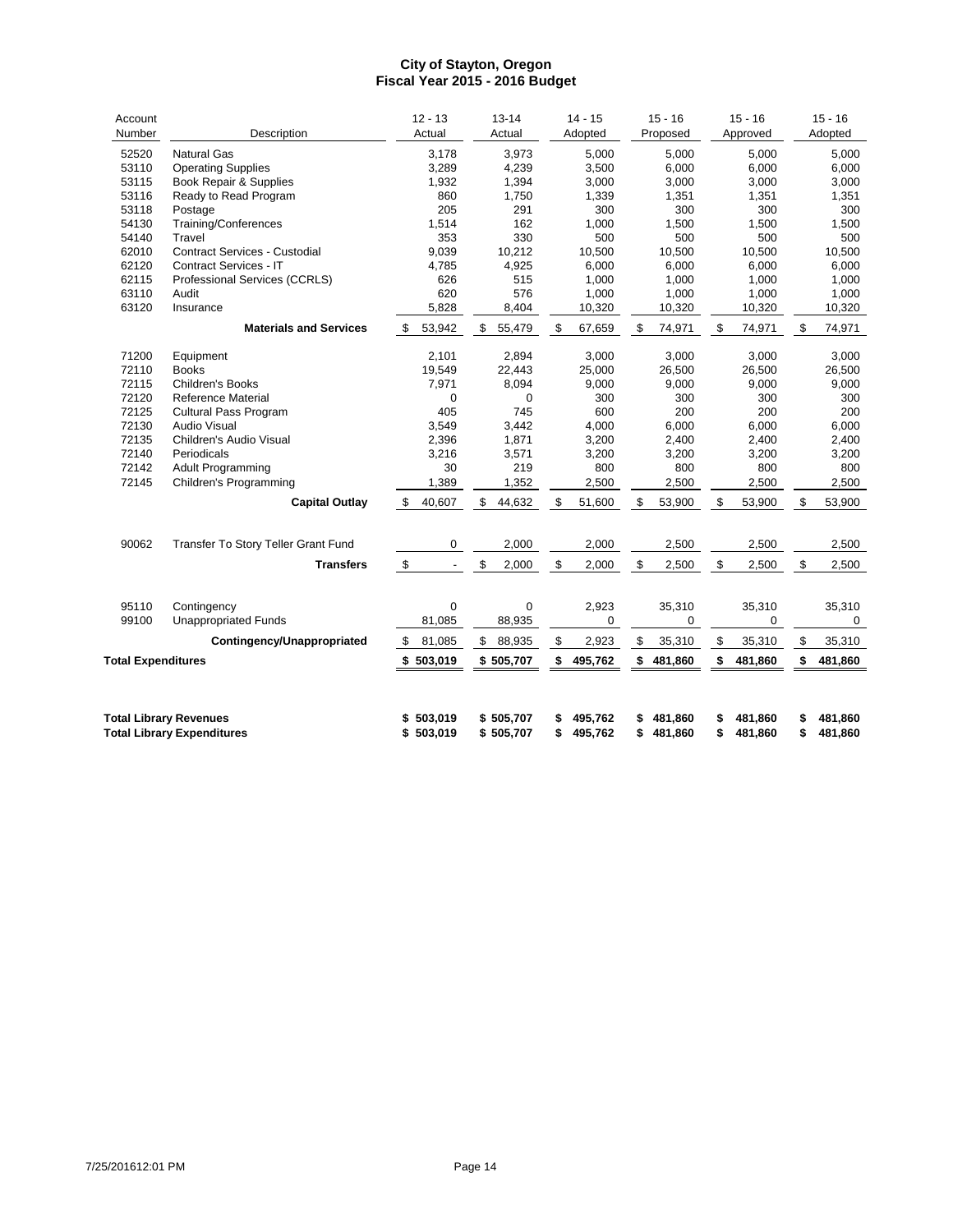| Account<br>Number         | Description                                                        | $12 - 13$<br>Actual            | $13 - 14$<br>Actual    |          | $14 - 15$<br>Adopted |          | $15 - 16$<br>Proposed | $15 - 16$<br>Approved    |          | $15 - 16$<br>Adopted |
|---------------------------|--------------------------------------------------------------------|--------------------------------|------------------------|----------|----------------------|----------|-----------------------|--------------------------|----------|----------------------|
| 52520                     | <b>Natural Gas</b>                                                 | 3,178                          | 3,973                  |          | 5,000                |          | 5,000                 | 5,000                    |          | 5,000                |
| 53110                     | <b>Operating Supplies</b>                                          | 3,289                          | 4,239                  |          | 3,500                |          | 6,000                 | 6,000                    |          | 6,000                |
| 53115                     | Book Repair & Supplies                                             | 1,932                          | 1,394                  |          | 3,000                |          | 3,000                 | 3,000                    |          | 3,000                |
| 53116                     | Ready to Read Program                                              | 860                            | 1,750                  |          | 1,339                |          | 1,351                 | 1,351                    |          | 1,351                |
| 53118                     | Postage                                                            | 205                            | 291                    |          | 300                  |          | 300                   | 300                      |          | 300                  |
| 54130                     | Training/Conferences                                               | 1,514                          | 162                    |          | 1,000                |          | 1,500                 | 1,500                    |          | 1,500                |
| 54140                     | Travel                                                             | 353                            | 330                    |          | 500                  |          | 500                   | 500                      |          | 500                  |
| 62010                     | <b>Contract Services - Custodial</b>                               | 9,039                          | 10,212                 |          | 10,500               |          | 10,500                | 10,500                   |          | 10,500               |
| 62120                     | Contract Services - IT                                             | 4,785                          | 4,925                  |          | 6,000                |          | 6,000                 | 6,000                    |          | 6,000                |
| 62115                     | Professional Services (CCRLS)                                      | 626                            | 515                    |          | 1,000                |          | 1,000                 | 1,000                    |          | 1,000                |
| 63110                     | Audit                                                              | 620                            | 576                    |          | 1,000                |          | 1,000                 | 1,000                    |          | 1,000                |
| 63120                     | Insurance                                                          | 5,828                          | 8,404                  |          | 10,320               |          | 10,320                | 10,320                   |          | 10,320               |
|                           | <b>Materials and Services</b>                                      | 53,942<br>\$                   | \$<br>55,479           | \$       | 67,659               | \$       | 74,971                | \$<br>74,971             | \$       | 74,971               |
| 71200                     | Equipment                                                          | 2,101                          | 2,894                  |          | 3,000                |          | 3,000                 | 3,000                    |          | 3,000                |
| 72110                     | <b>Books</b>                                                       | 19,549                         | 22,443                 |          | 25,000               |          | 26,500                | 26,500                   |          | 26,500               |
| 72115                     | <b>Children's Books</b>                                            | 7,971                          | 8,094                  |          | 9,000                |          | 9,000                 | 9,000                    |          | 9,000                |
| 72120                     | Reference Material                                                 | 0                              | $\mathbf 0$            |          | 300                  |          | 300                   | 300                      |          | 300                  |
| 72125                     | <b>Cultural Pass Program</b>                                       | 405                            | 745                    |          | 600                  |          | 200                   | 200                      |          | 200                  |
| 72130                     | <b>Audio Visual</b>                                                | 3,549                          | 3,442                  |          | 4,000                |          | 6,000                 | 6,000                    |          | 6,000                |
| 72135                     | Children's Audio Visual                                            | 2,396                          | 1,871                  |          | 3,200                |          | 2,400                 | 2,400                    |          | 2,400                |
| 72140                     | Periodicals                                                        | 3,216                          | 3,571                  |          | 3,200                |          | 3,200                 | 3,200                    |          | 3,200                |
| 72142                     | <b>Adult Programming</b>                                           | 30                             | 219                    |          | 800                  |          | 800                   | 800                      |          | 800                  |
| 72145                     | Children's Programming                                             | 1,389                          | 1,352                  |          | 2,500                |          | 2,500                 | 2,500                    |          | 2,500                |
|                           | <b>Capital Outlay</b>                                              | 40,607<br>\$                   | \$<br>44,632           | \$       | 51,600               | \$       | 53,900                | \$<br>53,900             | \$       | 53,900               |
| 90062                     | Transfer To Story Teller Grant Fund                                | 0                              | 2,000                  |          | 2,000                |          | 2,500                 | 2,500                    |          | 2,500                |
|                           |                                                                    |                                |                        |          |                      |          |                       |                          |          |                      |
|                           | <b>Transfers</b>                                                   | \$<br>$\overline{\phantom{a}}$ | \$<br>2,000            | \$       | 2,000                | \$       | 2,500                 | \$<br>2,500              | \$       | 2,500                |
| 95110                     | Contingency                                                        | 0                              | $\mathbf 0$            |          | 2,923                |          | 35,310                | 35,310                   |          | 35,310               |
| 99100                     | <b>Unappropriated Funds</b>                                        | 81,085                         | 88,935                 |          | $\mathbf 0$          |          | 0                     | $\mathbf 0$              |          | 0                    |
|                           | Contingency/Unappropriated                                         | 81,085<br>\$                   | \$<br>88,935           | \$       | 2,923                | \$       | 35,310                | \$<br>35,310             | \$       | 35,310               |
| <b>Total Expenditures</b> |                                                                    | \$503,019                      | \$505,707              | \$       | 495,762              | \$       | 481,860               | \$<br>481,860            | \$       | 481,860              |
|                           |                                                                    |                                |                        |          |                      |          |                       |                          |          |                      |
|                           | <b>Total Library Revenues</b><br><b>Total Library Expenditures</b> | 503,019<br>S<br>\$503,019      | \$505,707<br>\$505,707 | \$<br>\$ | 495,762<br>495,762   | \$<br>\$ | 481,860<br>481,860    | \$<br>481.860<br>481,860 | \$<br>\$ | 481,860<br>481,860   |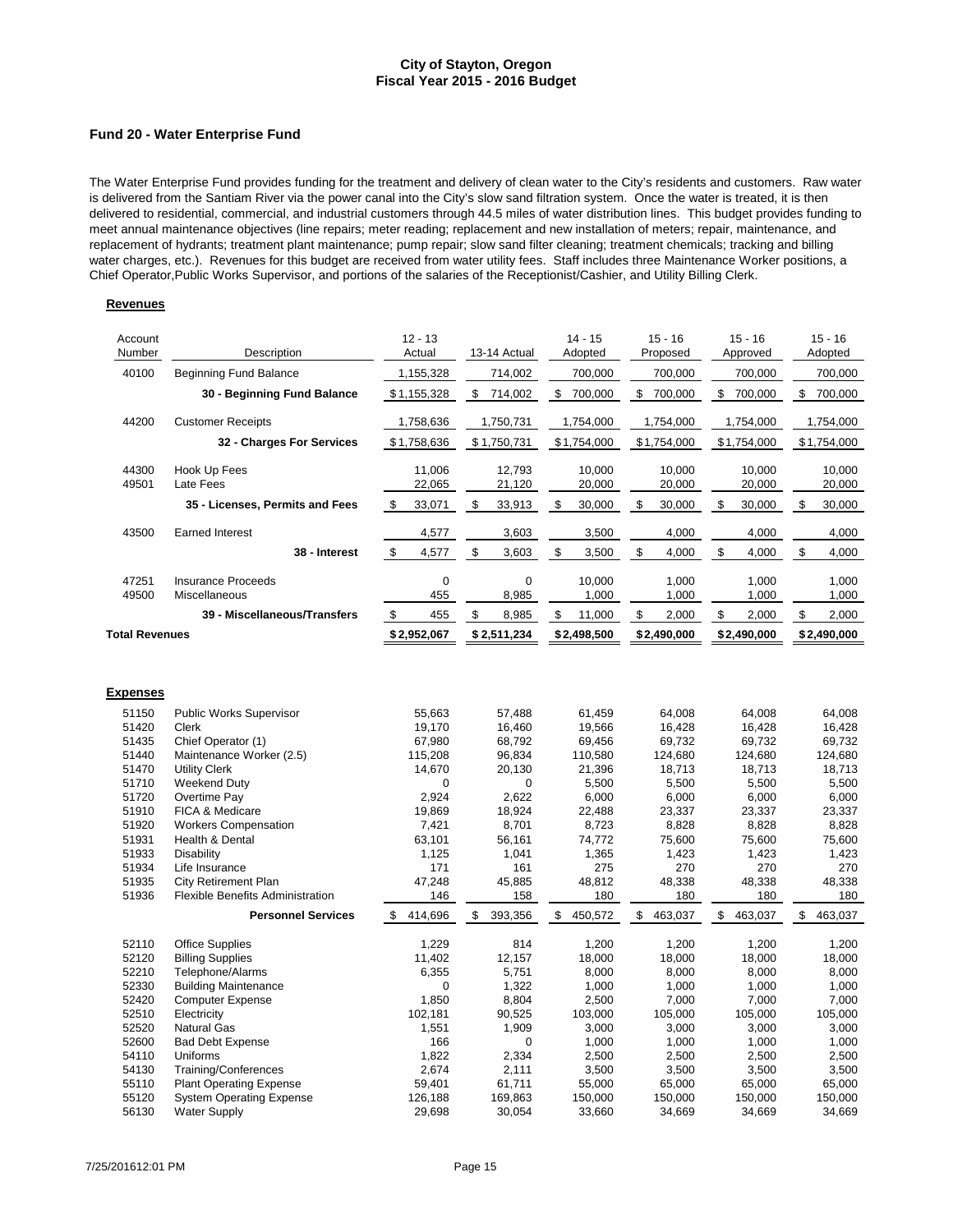#### **Fund 20 - Water Enterprise Fund**

The Water Enterprise Fund provides funding for the treatment and delivery of clean water to the City's residents and customers. Raw water is delivered from the Santiam River via the power canal into the City's slow sand filtration system. Once the water is treated, it is then delivered to residential, commercial, and industrial customers through 44.5 miles of water distribution lines. This budget provides funding to meet annual maintenance objectives (line repairs; meter reading; replacement and new installation of meters; repair, maintenance, and replacement of hydrants; treatment plant maintenance; pump repair; slow sand filter cleaning; treatment chemicals; tracking and billing water charges, etc.). Revenues for this budget are received from water utility fees. Staff includes three Maintenance Worker positions, a Chief Operator,Public Works Supervisor, and portions of the salaries of the Receptionist/Cashier, and Utility Billing Clerk.

#### **Revenues**

| Account<br>Number     | Description                                                          | $12 - 13$<br>Actual  | 13-14 Actual         | $14 - 15$<br>Adopted | $15 - 16$<br>Proposed   | $15 - 16$<br>Approved | $15 - 16$<br>Adopted |
|-----------------------|----------------------------------------------------------------------|----------------------|----------------------|----------------------|-------------------------|-----------------------|----------------------|
| 40100                 | <b>Beginning Fund Balance</b>                                        | 1,155,328            | 714,002              | 700,000              | 700,000                 | 700,000               | 700,000              |
|                       | 30 - Beginning Fund Balance                                          | \$1,155,328          | \$<br>714,002        | \$<br>700,000        | \$<br>700,000           | \$<br>700,000         | \$<br>700,000        |
| 44200                 | <b>Customer Receipts</b>                                             | 1,758,636            | 1,750,731            | 1,754,000            | 1,754,000               | 1,754,000             | 1,754,000            |
|                       | 32 - Charges For Services                                            | \$1,758,636          | \$1,750,731          | \$1,754,000          | \$1,754,000             | \$1,754,000           | \$1,754,000          |
| 44300<br>49501        | Hook Up Fees<br>Late Fees                                            | 11,006<br>22,065     | 12,793<br>21,120     | 10,000<br>20,000     | 10,000<br>20,000        | 10,000<br>20,000      | 10,000<br>20,000     |
|                       | 35 - Licenses, Permits and Fees                                      | \$<br>33,071         | \$<br>33,913         | \$<br>30,000         | \$<br>30,000            | \$<br>30,000          | \$<br>30,000         |
| 43500                 | <b>Earned Interest</b>                                               | 4,577                | 3,603                | 3,500                | 4,000                   | 4,000                 | 4,000                |
|                       | 38 - Interest                                                        | $\,$<br>4,577        | $\mathbb S$<br>3,603 | \$<br>3,500          | $$\mathbb{S}$$<br>4,000 | \$<br>4,000           | \$<br>4,000          |
| 47251<br>49500        | <b>Insurance Proceeds</b><br>Miscellaneous                           | $\mathbf 0$<br>455   | $\mathbf 0$<br>8,985 | 10,000<br>1,000      | 1,000<br>1,000          | 1,000<br>1,000        | 1,000<br>1,000       |
|                       | 39 - Miscellaneous/Transfers                                         | \$<br>455            | \$<br>8,985          | \$<br>11,000         | \$<br>2,000             | \$<br>2,000           | \$<br>2,000          |
| <b>Total Revenues</b> |                                                                      | \$2,952,067          | \$2,511,234          | \$2,498,500          | \$2,490,000             | \$2,490,000           | \$2,490,000          |
| <b>Expenses</b>       |                                                                      |                      |                      |                      |                         |                       |                      |
| 51150                 | <b>Public Works Supervisor</b>                                       | 55,663               | 57,488               | 61,459               | 64,008                  | 64,008                | 64,008               |
| 51420<br>51435        | Clerk<br>Chief Operator (1)                                          | 19,170<br>67,980     | 16,460<br>68,792     | 19,566<br>69,456     | 16,428<br>69,732        | 16,428<br>69,732      | 16,428<br>69,732     |
| 51440                 | Maintenance Worker (2.5)                                             | 115,208              | 96,834               | 110,580              | 124,680                 | 124,680               | 124,680              |
| 51470                 | <b>Utility Clerk</b>                                                 | 14,670               | 20,130               | 21,396               | 18,713                  | 18,713                | 18,713               |
| 51710                 | Weekend Duty                                                         | $\Omega$             | 0                    | 5,500                | 5,500                   | 5,500                 | 5,500                |
| 51720                 | Overtime Pay                                                         | 2,924                | 2,622                | 6,000                | 6,000                   | 6,000                 | 6,000                |
| 51910                 | FICA & Medicare                                                      | 19,869               | 18,924               | 22,488               | 23,337                  | 23,337                | 23,337               |
| 51920                 | <b>Workers Compensation</b>                                          | 7,421                | 8,701                | 8,723                | 8,828                   | 8,828                 | 8,828                |
| 51931                 | Health & Dental                                                      | 63,101               | 56,161               | 74,772               | 75,600                  | 75,600                | 75,600               |
| 51933                 | Disability                                                           | 1,125                | 1,041                | 1,365                | 1,423                   | 1,423                 | 1,423                |
| 51934                 | Life Insurance                                                       | 171                  | 161                  | 275                  | 270                     | 270                   | 270                  |
| 51935<br>51936        | <b>City Retirement Plan</b>                                          | 47,248               | 45,885               | 48,812               | 48,338                  | 48,338                | 48,338               |
|                       | <b>Flexible Benefits Administration</b><br><b>Personnel Services</b> | 146<br>\$<br>414,696 | 158<br>\$<br>393,356 | 180<br>450,572<br>\$ | 180<br>463,037<br>\$    | 180<br>\$<br>463,037  | 180<br>\$<br>463,037 |
|                       |                                                                      |                      |                      |                      |                         |                       |                      |
| 52110<br>52120        | <b>Office Supplies</b><br><b>Billing Supplies</b>                    | 1,229<br>11,402      | 814<br>12,157        | 1,200<br>18,000      | 1,200<br>18,000         | 1,200<br>18,000       | 1,200<br>18,000      |
| 52210                 | Telephone/Alarms                                                     | 6,355                | 5,751                | 8,000                | 8,000                   | 8,000                 | 8,000                |
| 52330                 | <b>Building Maintenance</b>                                          | 0                    | 1,322                | 1,000                | 1,000                   | 1,000                 | 1,000                |
| 52420                 | <b>Computer Expense</b>                                              | 1,850                | 8,804                | 2,500                | 7,000                   | 7,000                 | 7,000                |
| 52510                 | Electricity                                                          | 102,181              | 90,525               | 103,000              | 105,000                 | 105,000               | 105,000              |
| 52520                 | <b>Natural Gas</b>                                                   | 1,551                | 1,909                | 3,000                | 3,000                   | 3,000                 | 3,000                |
| 52600                 | <b>Bad Debt Expense</b>                                              | 166                  | $\mathbf 0$          | 1,000                | 1,000                   | 1,000                 | 1,000                |
| 54110                 | Uniforms                                                             | 1,822                | 2,334                | 2,500                | 2,500                   | 2,500                 | 2,500                |
| 54130                 | Training/Conferences                                                 | 2,674                | 2,111                | 3,500                | 3,500                   | 3,500                 | 3,500                |
| 55110                 | <b>Plant Operating Expense</b>                                       | 59,401               | 61,711               | 55,000               | 65,000                  | 65,000                | 65,000               |
| 55120                 | <b>System Operating Expense</b>                                      | 126,188              | 169,863              | 150,000              | 150,000                 | 150,000               | 150,000              |
| 56130                 | <b>Water Supply</b>                                                  | 29,698               | 30,054               | 33,660               | 34,669                  | 34,669                | 34,669               |

Water Supply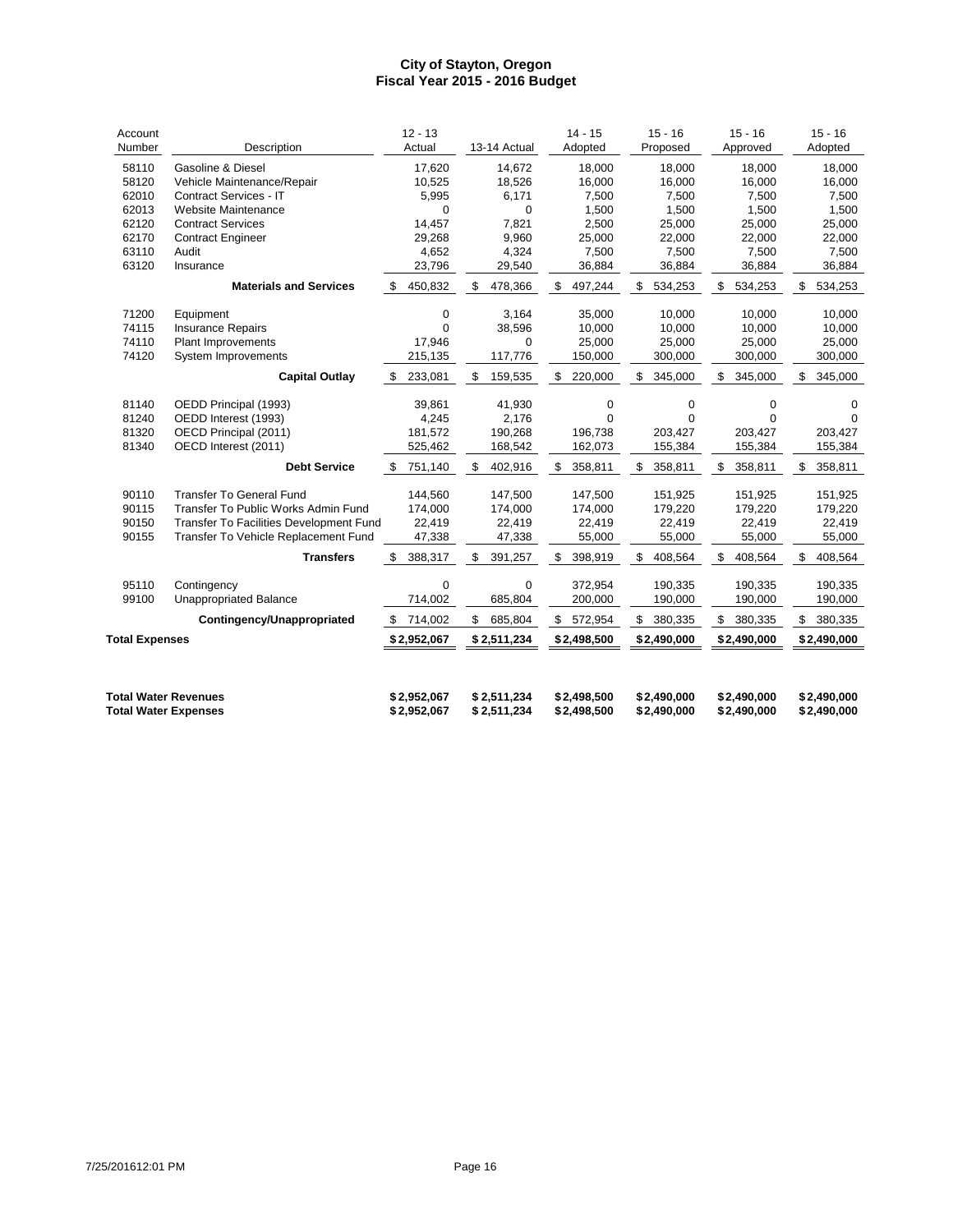| Account<br>Number                                          | Description                                   | $12 - 13$<br>Actual        | 13-14 Actual               | $14 - 15$<br>Adopted       | $15 - 16$<br>Proposed      | $15 - 16$<br>Approved      | $15 - 16$<br>Adopted       |
|------------------------------------------------------------|-----------------------------------------------|----------------------------|----------------------------|----------------------------|----------------------------|----------------------------|----------------------------|
| 58110                                                      | <b>Gasoline &amp; Diesel</b>                  | 17,620                     | 14.672                     | 18.000                     | 18.000                     | 18.000                     | 18,000                     |
| 58120                                                      | Vehicle Maintenance/Repair                    | 10,525                     | 18,526                     | 16,000                     | 16,000                     | 16,000                     | 16,000                     |
| 62010                                                      | Contract Services - IT                        | 5,995                      | 6,171                      | 7,500                      | 7,500                      | 7,500                      | 7,500                      |
| 62013                                                      | Website Maintenance                           | $\mathbf 0$                | $\Omega$                   | 1,500                      | 1,500                      | 1,500                      | 1,500                      |
| 62120                                                      | <b>Contract Services</b>                      | 14,457                     | 7,821                      | 2,500                      | 25,000                     | 25,000                     | 25,000                     |
| 62170                                                      | <b>Contract Engineer</b>                      | 29,268                     | 9,960                      | 25,000                     | 22,000                     | 22,000                     | 22,000                     |
| 63110                                                      | Audit                                         | 4,652                      | 4,324                      | 7,500                      | 7,500                      | 7,500                      | 7,500                      |
| 63120                                                      | Insurance                                     | 23,796                     | 29,540                     | 36,884                     | 36,884                     | 36,884                     | 36,884                     |
|                                                            | <b>Materials and Services</b>                 | 450,832<br>\$              | 478,366<br>\$              | 497,244<br>\$              | 534,253<br>\$              | \$<br>534,253              | 534,253<br>\$              |
| 71200                                                      | Equipment                                     | 0                          | 3.164                      | 35,000                     | 10.000                     | 10.000                     | 10,000                     |
| 74115                                                      | <b>Insurance Repairs</b>                      | $\Omega$                   | 38,596                     | 10,000                     | 10,000                     | 10.000                     | 10,000                     |
| 74110                                                      | <b>Plant Improvements</b>                     | 17,946                     | $\Omega$                   | 25,000                     | 25,000                     | 25,000                     | 25,000                     |
| 74120                                                      | System Improvements                           | 215,135                    | 117,776                    | 150,000                    | 300,000                    | 300,000                    | 300,000                    |
|                                                            | <b>Capital Outlay</b>                         | 233,081<br>\$              | 159,535<br>\$              | 220,000<br>\$              | 345,000<br>\$              | 345,000<br>\$              | 345,000<br>\$              |
|                                                            |                                               |                            |                            |                            |                            |                            |                            |
| 81140<br>81240                                             | OEDD Principal (1993)<br>OEDD Interest (1993) | 39,861<br>4,245            | 41,930<br>2,176            | 0<br>$\Omega$              | 0<br>$\Omega$              | 0<br>$\Omega$              | 0                          |
| 81320                                                      | OECD Principal (2011)                         |                            | 190,268                    | 196,738                    | 203,427                    | 203,427                    |                            |
| 81340                                                      | OECD Interest (2011)                          | 181,572<br>525,462         | 168,542                    | 162,073                    | 155,384                    | 155,384                    | 203,427<br>155,384         |
|                                                            |                                               |                            |                            |                            |                            |                            |                            |
|                                                            | <b>Debt Service</b>                           | 751,140<br>\$              | 402,916<br>\$              | 358,811<br>\$              | 358,811<br>\$              | 358,811<br>\$              | 358,811<br>\$              |
| 90110                                                      | <b>Transfer To General Fund</b>               | 144,560                    | 147,500                    | 147,500                    | 151,925                    | 151,925                    | 151,925                    |
| 90115                                                      | Transfer To Public Works Admin Fund           | 174,000                    | 174,000                    | 174,000                    | 179,220                    | 179,220                    | 179,220                    |
| 90150                                                      | Transfer To Facilities Development Fund       | 22,419                     | 22,419                     | 22,419                     | 22,419                     | 22,419                     | 22,419                     |
| 90155                                                      | Transfer To Vehicle Replacement Fund          | 47,338                     | 47,338                     | 55,000                     | 55,000                     | 55,000                     | 55,000                     |
|                                                            | <b>Transfers</b>                              | 388,317<br>\$              | \$<br>391,257              | \$<br>398,919              | \$<br>408,564              | \$<br>408,564              | \$<br>408,564              |
| 95110                                                      | Contingency                                   | 0                          | 0                          | 372,954                    | 190,335                    | 190,335                    | 190,335                    |
| 99100                                                      | <b>Unappropriated Balance</b>                 | 714,002                    | 685,804                    | 200,000                    | 190,000                    | 190,000                    | 190,000                    |
|                                                            | Contingency/Unappropriated                    | 714,002<br>\$              | 685,804<br>\$              | 572,954<br>\$              | 380,335<br>\$              | 380,335<br>\$              | \$<br>380,335              |
| <b>Total Expenses</b>                                      |                                               | \$2,952,067                | \$2,511,234                | \$2,498,500                | \$2,490,000                | \$2,490,000                | \$2,490,000                |
|                                                            |                                               |                            |                            |                            |                            |                            |                            |
| <b>Total Water Revenues</b><br><b>Total Water Expenses</b> |                                               | \$2,952,067<br>\$2,952,067 | \$2,511,234<br>\$2,511,234 | \$2,498,500<br>\$2,498,500 | \$2,490,000<br>\$2,490,000 | \$2,490,000<br>\$2,490,000 | \$2,490,000<br>\$2,490,000 |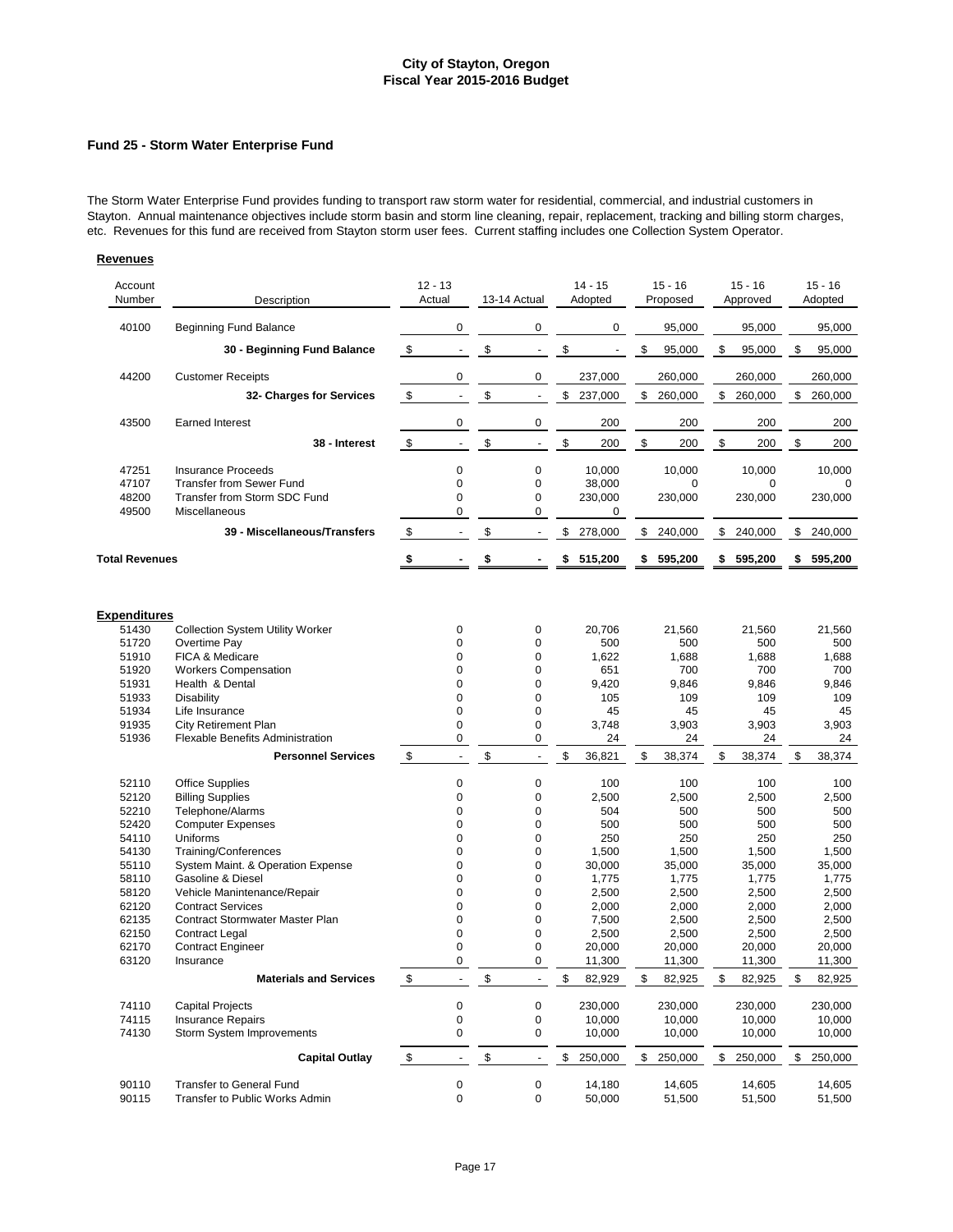### **Fund 25 - Storm Water Enterprise Fund**

The Storm Water Enterprise Fund provides funding to transport raw storm water for residential, commercial, and industrial customers in Stayton. Annual maintenance objectives include storm basin and storm line cleaning, repair, replacement, tracking and billing storm charges, etc. Revenues for this fund are received from Stayton storm user fees. Current staffing includes one Collection System Operator.

| Account<br>Number            | Description                                                       | $12 - 13$<br>Actual            | 13-14 Actual                   | $14 - 15$<br>Adopted | $15 - 16$<br>Proposed | $15 - 16$<br>Approved | $15 - 16$<br>Adopted |
|------------------------------|-------------------------------------------------------------------|--------------------------------|--------------------------------|----------------------|-----------------------|-----------------------|----------------------|
| 40100                        | <b>Beginning Fund Balance</b>                                     | 0                              | 0                              | 0                    | 95,000                | 95,000                | 95,000               |
|                              | 30 - Beginning Fund Balance                                       | \$<br>$\blacksquare$           | \$<br>$\blacksquare$           | \$                   | \$<br>95,000          | \$<br>95,000          | \$<br>95,000         |
| 44200                        | <b>Customer Receipts</b>                                          | 0                              | 0                              | 237,000              | 260,000               | 260,000               | 260,000              |
|                              | 32- Charges for Services                                          | \$                             | \$<br>$\overline{\phantom{a}}$ | \$<br>237,000        | \$<br>260,000         | \$<br>260,000         | \$<br>260,000        |
| 43500                        | <b>Earned Interest</b>                                            | 0                              | 0                              | 200                  | 200                   | 200                   | 200                  |
|                              | 38 - Interest                                                     | \$<br>$\blacksquare$           | \$<br>$\blacksquare$           | \$<br>200            | \$<br>200             | \$<br>200             | \$<br>200            |
| 47251                        | <b>Insurance Proceeds</b>                                         | $\mathbf 0$                    | $\pmb{0}$                      | 10,000               | 10,000                | 10,000                | 10.000               |
| 47107<br>48200               | <b>Transfer from Sewer Fund</b><br>Transfer from Storm SDC Fund   | $\mathbf 0$<br>0               | 0<br>0                         | 38,000<br>230,000    | 0<br>230,000          | 0<br>230,000          | 230,000              |
| 49500                        | Miscellaneous                                                     | 0                              | 0                              | 0                    |                       |                       |                      |
|                              | 39 - Miscellaneous/Transfers                                      | \$<br>$\blacksquare$           | \$<br>$\overline{\phantom{a}}$ | \$<br>278,000        | \$240,000             | \$<br>240,000         | \$<br>240,000        |
| <b>Total Revenues</b>        |                                                                   | \$                             | \$                             | \$<br>515,200        | \$<br>595,200         | \$<br>595,200         | \$<br>595,200        |
|                              |                                                                   |                                |                                |                      |                       |                       |                      |
| <b>Expenditures</b><br>51430 | <b>Collection System Utility Worker</b>                           | 0                              | 0                              | 20,706               | 21,560                | 21,560                | 21,560               |
| 51720                        | Overtime Pay                                                      | $\Omega$                       | 0                              | 500                  | 500                   | 500                   | 500                  |
| 51910                        | FICA & Medicare                                                   | 0                              | 0                              | 1,622                | 1,688                 | 1,688                 | 1,688                |
| 51920                        | <b>Workers Compensation</b>                                       | 0                              | 0                              | 651                  | 700                   | 700                   | 700                  |
| 51931                        | Health & Dental                                                   | 0                              | 0                              | 9,420                | 9,846                 | 9,846                 | 9,846                |
| 51933                        | Disability                                                        | 0                              | 0                              | 105                  | 109                   | 109                   | 109                  |
| 51934                        | Life Insurance                                                    | 0                              | 0                              | 45                   | 45                    | 45                    | 45                   |
| 91935                        | <b>City Retirement Plan</b>                                       | $\mathbf 0$                    | $\mathbf 0$                    | 3,748                | 3,903                 | 3,903                 | 3,903                |
| 51936                        | <b>Flexable Benefits Administration</b>                           | 0                              | 0                              | 24                   | 24                    | 24                    | 24                   |
|                              | <b>Personnel Services</b>                                         | \$<br>$\blacksquare$           | \$<br>$\blacksquare$           | \$<br>36,821         | \$<br>38,374          | \$<br>38,374          | \$<br>38,374         |
| 52110                        | <b>Office Supplies</b>                                            | $\pmb{0}$                      | $\mathbf 0$                    | 100                  | 100                   | 100                   | 100                  |
| 52120                        | <b>Billing Supplies</b>                                           | 0                              | 0                              | 2,500                | 2,500                 | 2,500                 | 2,500                |
| 52210                        | Telephone/Alarms                                                  | 0                              | 0                              | 504                  | 500                   | 500                   | 500                  |
| 52420                        | <b>Computer Expenses</b>                                          | 0                              | 0                              | 500                  | 500                   | 500                   | 500                  |
| 54110                        | Uniforms                                                          | 0                              | 0                              | 250                  | 250                   | 250                   | 250                  |
| 54130                        | Training/Conferences                                              | 0                              | 0                              | 1,500                | 1,500                 | 1,500                 | 1,500                |
| 55110                        | System Maint. & Operation Expense                                 | 0                              | 0                              | 30,000               | 35,000                | 35,000                | 35,000               |
| 58110                        | <b>Gasoline &amp; Diesel</b>                                      | $\overline{0}$                 | 0                              | 1,775                | 1,775                 | 1,775                 | 1,775                |
| 58120                        | Vehicle Manintenance/Repair                                       | $\mathbf 0$                    | 0                              | 2,500                | 2,500                 | 2,500                 | 2,500                |
| 62120                        | <b>Contract Services</b>                                          | 0                              | 0                              | 2,000                | 2,000                 | 2,000                 | 2,000                |
| 62135                        | <b>Contract Stormwater Master Plan</b>                            | $\mathbf 0$                    | $\mathbf 0$                    | 7,500                | 2,500                 | 2,500                 | 2,500                |
| 62150                        | Contract Legal                                                    | 0                              | 0                              | 2,500                | 2,500                 | 2,500                 | 2,500                |
| 62170                        | <b>Contract Engineer</b>                                          | 0                              | 0                              | 20,000               | 20,000                | 20,000                | 20,000               |
| 63120                        | Insurance                                                         | $\Omega$                       | 0                              | 11,300               | 11,300                | 11,300                | 11,300               |
|                              | <b>Materials and Services</b>                                     | \$                             | \$                             | \$<br>82,929         | \$<br>82,925          | \$<br>82,925          | \$<br>82,925         |
| 74110                        | <b>Capital Projects</b>                                           | $\pmb{0}$                      | 0                              | 230,000              | 230,000               | 230,000               | 230,000              |
| 74115                        | <b>Insurance Repairs</b>                                          | 0                              | 0                              | 10,000               | 10,000                | 10,000                | 10,000               |
| 74130                        | Storm System Improvements                                         | 0                              | 0                              | 10,000               | 10,000                | 10,000                | 10,000               |
|                              | <b>Capital Outlay</b>                                             | \$<br>$\overline{\phantom{a}}$ | \$<br>$\overline{\phantom{a}}$ | \$<br>250,000        | \$<br>250,000         | \$<br>250,000         | \$<br>250,000        |
| 90110<br>90115               | <b>Transfer to General Fund</b><br>Transfer to Public Works Admin | $\pmb{0}$<br>$\mathbf 0$       | 0<br>$\mathsf 0$               | 14,180<br>50,000     | 14,605<br>51,500      | 14,605<br>51,500      | 14,605<br>51,500     |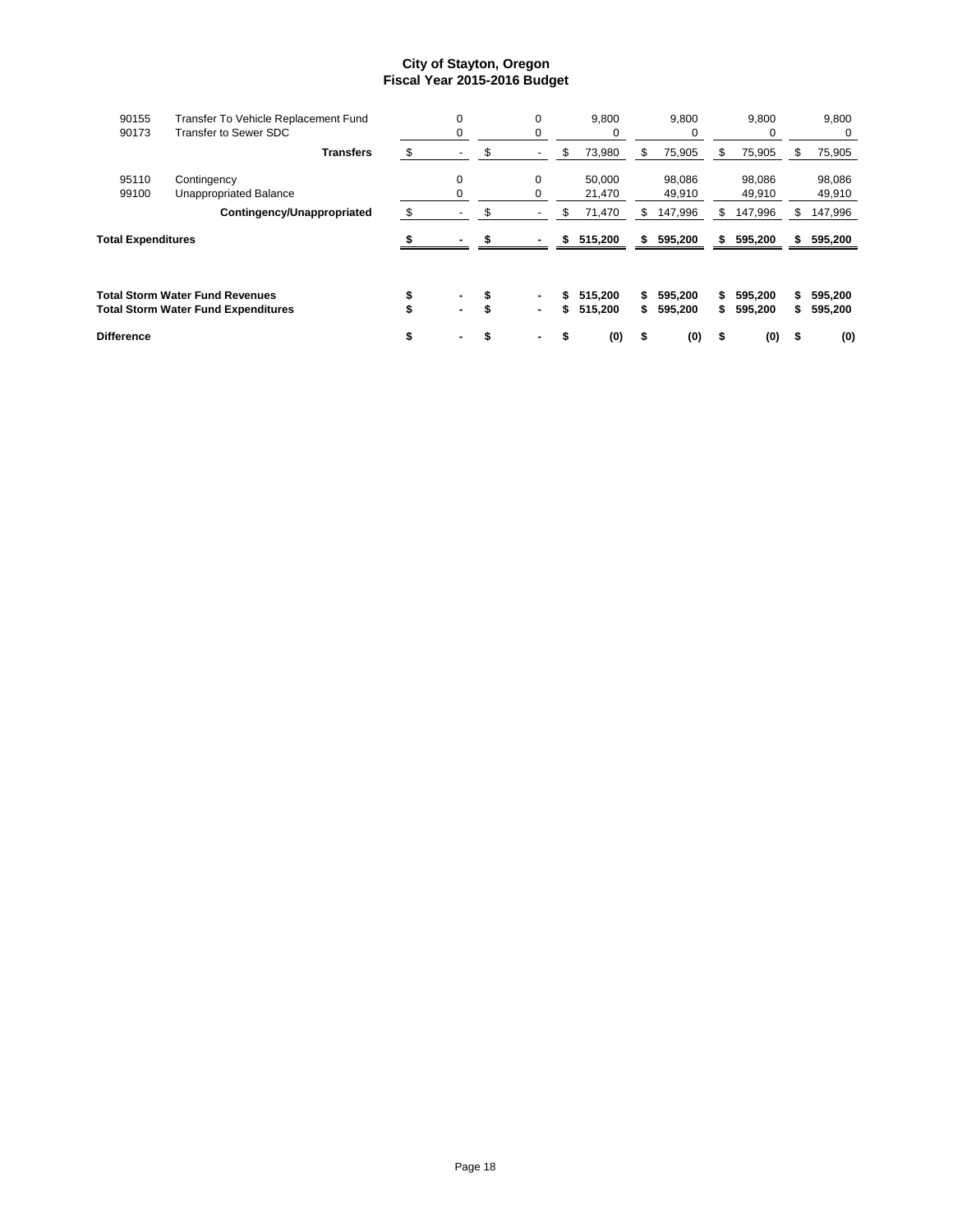| 90155                     | Transfer To Vehicle Replacement Fund       | $\Omega$ | 0       |    | 9,800   |    | 9,800   |     | 9,800   |     | 9,800   |
|---------------------------|--------------------------------------------|----------|---------|----|---------|----|---------|-----|---------|-----|---------|
| 90173                     | <b>Transfer to Sewer SDC</b>               | 0        | 0       |    |         |    | 0       |     | 0       |     | 0       |
|                           | <b>Transfers</b>                           | \$       | \$      | S  | 73,980  | S  | 75,905  | S   | 75,905  | \$. | 75,905  |
| 95110                     | Contingency                                | $\Omega$ | 0       |    | 50,000  |    | 98,086  |     | 98,086  |     | 98,086  |
| 99100                     | Unappropriated Balance                     |          | 0       |    | 21,470  |    | 49,910  |     | 49,910  |     | 49,910  |
|                           | Contingency/Unappropriated                 | \$       | \$<br>٠ | S  | 71,470  | S  | 147,996 | \$  | 147,996 | S.  | 147,996 |
| <b>Total Expenditures</b> |                                            |          |         | \$ | 515,200 | s  | 595,200 | \$  | 595,200 | s.  | 595,200 |
|                           |                                            |          |         |    |         |    |         |     |         |     |         |
|                           | Total Storm Water Fund Revenues            |          | ٠       | S  | 515.200 | S  | 595.200 | \$. | 595.200 |     | 595,200 |
|                           | <b>Total Storm Water Fund Expenditures</b> | ٠.       | ٠       | \$ | 515,200 | s. | 595,200 | S.  | 595,200 |     | 595,200 |
| <b>Difference</b>         |                                            | \$       | ٠       | \$ | (0)     | \$ | (0)     | \$  | (0)     | \$  | (0)     |
|                           |                                            |          |         |    |         |    |         |     |         |     |         |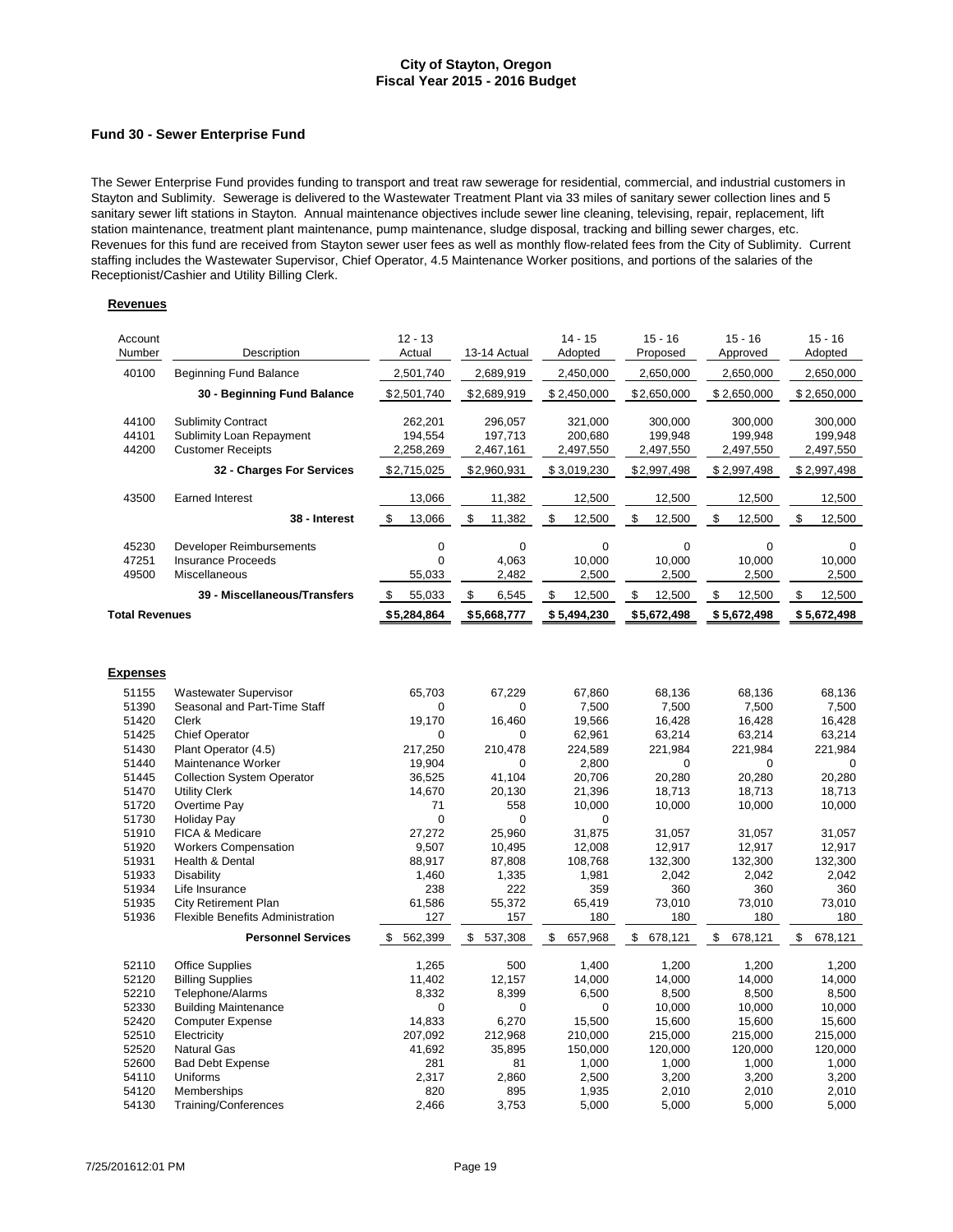#### **Fund 30 - Sewer Enterprise Fund**

The Sewer Enterprise Fund provides funding to transport and treat raw sewerage for residential, commercial, and industrial customers in Stayton and Sublimity. Sewerage is delivered to the Wastewater Treatment Plant via 33 miles of sanitary sewer collection lines and 5 sanitary sewer lift stations in Stayton. Annual maintenance objectives include sewer line cleaning, televising, repair, replacement, lift station maintenance, treatment plant maintenance, pump maintenance, sludge disposal, tracking and billing sewer charges, etc. Revenues for this fund are received from Stayton sewer user fees as well as monthly flow-related fees from the City of Sublimity. Current staffing includes the Wastewater Supervisor, Chief Operator, 4.5 Maintenance Worker positions, and portions of the salaries of the Receptionist/Cashier and Utility Billing Clerk.

| Account<br>Number     | Description                             | $12 - 13$<br>Actual | 13-14 Actual  | $14 - 15$<br>Adopted | $15 - 16$<br>Proposed | $15 - 16$<br>Approved | $15 - 16$<br>Adopted |
|-----------------------|-----------------------------------------|---------------------|---------------|----------------------|-----------------------|-----------------------|----------------------|
| 40100                 | <b>Beginning Fund Balance</b>           | 2,501,740           | 2,689,919     | 2,450,000            | 2,650,000             | 2,650,000             | 2,650,000            |
|                       | 30 - Beginning Fund Balance             | \$2,501,740         | \$2,689,919   | \$2,450,000          | \$2,650,000           | \$2,650,000           | \$2,650,000          |
|                       |                                         |                     |               |                      |                       |                       |                      |
| 44100                 | <b>Sublimity Contract</b>               | 262,201             | 296,057       | 321,000              | 300,000               | 300,000               | 300,000              |
| 44101                 | Sublimity Loan Repayment                | 194,554             | 197,713       | 200,680              | 199,948               | 199,948               | 199,948              |
| 44200                 | <b>Customer Receipts</b>                | 2,258,269           | 2,467,161     | 2,497,550            | 2,497,550             | 2,497,550             | 2,497,550            |
|                       | 32 - Charges For Services               | \$2,715,025         | \$2,960,931   | \$3,019,230          | \$2,997,498           | \$2,997,498           | \$2,997,498          |
| 43500                 | <b>Earned Interest</b>                  | 13,066              | 11,382        | 12,500               | 12,500                | 12,500                | 12,500               |
|                       | 38 - Interest                           | \$<br>13,066        | \$<br>11,382  | \$<br>12,500         | \$<br>12,500          | \$<br>12,500          | \$<br>12,500         |
| 45230                 | Developer Reimbursements                | $\pmb{0}$           | 0             | $\mathbf 0$          | $\mathbf 0$           | $\mathbf 0$           | $\mathbf 0$          |
| 47251                 | <b>Insurance Proceeds</b>               | $\mathbf 0$         | 4,063         | 10,000               | 10,000                | 10,000                | 10,000               |
| 49500                 | Miscellaneous                           | 55,033              | 2,482         | 2,500                | 2,500                 | 2,500                 | 2,500                |
|                       | 39 - Miscellaneous/Transfers            | \$<br>55,033        | \$<br>6,545   | \$<br>12,500         | \$<br>12,500          | \$<br>12,500          | \$<br>12,500         |
|                       |                                         |                     |               |                      |                       |                       |                      |
| <b>Total Revenues</b> |                                         | \$5,284,864         | \$5,668,777   | \$5,494,230          | \$5,672,498           | \$5,672,498           | \$5,672,498          |
|                       |                                         |                     |               |                      |                       |                       |                      |
| <b>Expenses</b>       |                                         |                     |               |                      |                       |                       |                      |
| 51155                 | <b>Wastewater Supervisor</b>            | 65,703              | 67,229        | 67,860               | 68,136                | 68,136                | 68,136               |
| 51390                 | Seasonal and Part-Time Staff            | 0                   | 0             | 7,500                | 7,500                 | 7,500                 | 7,500                |
| 51420                 | Clerk                                   | 19,170              | 16,460        | 19,566               | 16,428                | 16,428                | 16,428               |
| 51425                 | <b>Chief Operator</b>                   | $\Omega$            | 0             | 62,961               | 63,214                | 63,214                | 63,214               |
| 51430                 | Plant Operator (4.5)                    | 217,250             | 210,478       | 224,589              | 221,984               | 221,984               | 221,984              |
| 51440                 | Maintenance Worker                      | 19,904              | 0             | 2,800                | $\Omega$              | $\mathbf 0$           | $\Omega$             |
| 51445                 | <b>Collection System Operator</b>       | 36,525              | 41,104        | 20,706               | 20,280                | 20,280                | 20,280               |
| 51470                 | <b>Utility Clerk</b>                    | 14,670              | 20,130        | 21,396               | 18,713                | 18,713                | 18,713               |
| 51720                 | Overtime Pay                            | 71                  | 558           | 10,000               | 10,000                | 10,000                | 10,000               |
| 51730                 | <b>Holiday Pay</b>                      | $\mathbf 0$         | $\mathbf 0$   | $\mathbf 0$          |                       |                       |                      |
| 51910                 | FICA & Medicare                         | 27,272              | 25,960        | 31,875               | 31,057                | 31,057                | 31,057               |
| 51920                 | <b>Workers Compensation</b>             | 9,507               | 10,495        | 12,008               | 12,917                | 12,917                | 12,917               |
| 51931                 | Health & Dental                         | 88,917              | 87,808        | 108,768              | 132,300               | 132,300               | 132,300              |
| 51933                 | Disability                              | 1,460               | 1,335         | 1,981                | 2,042                 | 2,042                 | 2,042                |
| 51934                 | Life Insurance                          | 238                 | 222           | 359                  | 360                   | 360                   | 360                  |
| 51935                 | <b>City Retirement Plan</b>             | 61,586              | 55,372        | 65,419               | 73,010                | 73,010                | 73,010               |
| 51936                 | <b>Flexible Benefits Administration</b> | 127                 | 157           | 180                  | 180                   | 180                   | 180                  |
|                       | <b>Personnel Services</b>               | \$<br>562,399       | \$<br>537,308 | \$<br>657,968        | \$<br>678,121         | \$<br>678,121         | \$<br>678,121        |
| 52110                 | <b>Office Supplies</b>                  | 1,265               | 500           | 1,400                | 1,200                 | 1,200                 | 1,200                |
| 52120                 | <b>Billing Supplies</b>                 | 11,402              | 12,157        | 14,000               | 14,000                | 14,000                | 14,000               |
| 52210                 | Telephone/Alarms                        | 8,332               | 8,399         | 6,500                | 8,500                 | 8,500                 | 8,500                |
| 52330                 | <b>Building Maintenance</b>             | $\mathbf 0$         | 0             | $\mathbf 0$          | 10,000                | 10,000                | 10,000               |
| 52420                 | <b>Computer Expense</b>                 | 14,833              | 6,270         | 15,500               | 15,600                | 15,600                | 15,600               |
| 52510                 | Electricity                             | 207,092             | 212,968       | 210,000              | 215,000               | 215,000               | 215,000              |
| 52520                 | <b>Natural Gas</b>                      | 41,692              | 35,895        | 150,000              | 120,000               | 120,000               | 120,000              |
| 52600                 | <b>Bad Debt Expense</b>                 | 281                 | 81            | 1,000                | 1,000                 | 1,000                 | 1,000                |
| 54110                 | Uniforms                                | 2,317               | 2,860         | 2,500                | 3,200                 | 3,200                 | 3,200                |
| 54120                 | Memberships                             | 820                 | 895           | 1,935                | 2,010                 | 2,010                 | 2,010                |
| 54130                 | Training/Conferences                    | 2,466               | 3,753         | 5,000                | 5,000                 | 5,000                 | 5,000                |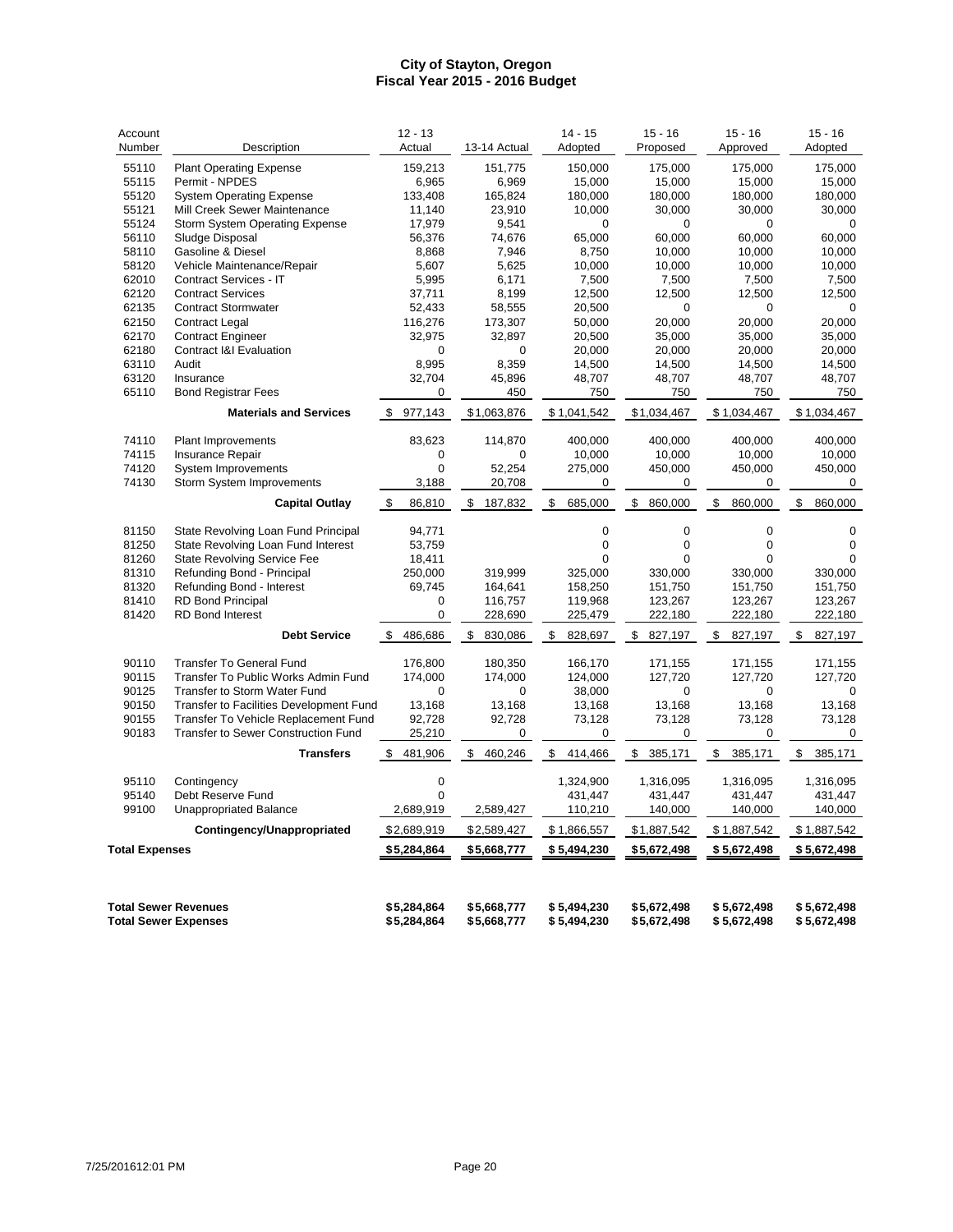| Account<br>Number     | Description                                                | $12 - 13$<br>Actual        | 13-14 Actual               | $14 - 15$<br>Adopted       | $15 - 16$<br>Proposed      | $15 - 16$<br>Approved      | $15 - 16$<br>Adopted       |
|-----------------------|------------------------------------------------------------|----------------------------|----------------------------|----------------------------|----------------------------|----------------------------|----------------------------|
| 55110                 | <b>Plant Operating Expense</b>                             | 159,213                    | 151,775                    | 150,000                    | 175,000                    | 175,000                    | 175,000                    |
| 55115                 | Permit - NPDES                                             | 6,965                      | 6,969                      | 15,000                     | 15,000                     | 15,000                     | 15,000                     |
| 55120                 | <b>System Operating Expense</b>                            | 133,408                    | 165,824                    | 180,000                    | 180,000                    | 180,000                    | 180,000                    |
| 55121                 | Mill Creek Sewer Maintenance                               | 11,140                     | 23,910                     | 10,000                     | 30,000                     | 30,000                     | 30,000                     |
| 55124                 | Storm System Operating Expense                             | 17,979                     | 9,541                      | $\mathbf 0$                | 0                          | $\Omega$                   | 0                          |
| 56110                 | Sludge Disposal                                            | 56,376                     | 74,676                     | 65,000                     | 60.000                     | 60,000                     | 60.000                     |
| 58110                 | Gasoline & Diesel                                          | 8,868                      | 7,946                      | 8,750                      | 10,000                     | 10,000                     | 10,000                     |
| 58120                 | Vehicle Maintenance/Repair                                 | 5,607                      | 5,625                      | 10,000                     | 10,000                     | 10,000                     | 10,000                     |
| 62010                 | Contract Services - IT                                     | 5,995                      | 6,171                      | 7,500                      | 7,500                      | 7,500                      | 7,500                      |
| 62120                 | <b>Contract Services</b>                                   | 37,711                     | 8,199                      | 12,500                     | 12,500                     | 12,500                     | 12,500                     |
| 62135                 | <b>Contract Stormwater</b>                                 | 52,433                     | 58,555                     | 20,500                     | $\mathbf 0$                | $\Omega$                   | $\Omega$                   |
| 62150                 | <b>Contract Legal</b>                                      | 116,276                    | 173,307                    | 50.000                     | 20.000                     | 20,000                     | 20,000                     |
| 62170                 | <b>Contract Engineer</b>                                   | 32,975                     | 32,897                     | 20,500                     | 35,000                     | 35,000                     | 35,000                     |
| 62180                 | <b>Contract I&amp;I Evaluation</b>                         | $\mathbf 0$                | $\mathbf 0$                | 20,000                     | 20,000                     | 20,000                     | 20,000                     |
| 63110                 | Audit                                                      | 8,995                      | 8,359                      | 14,500                     | 14,500                     | 14,500                     | 14,500                     |
| 63120                 | Insurance                                                  | 32,704                     | 45,896                     | 48,707                     | 48,707                     | 48,707                     | 48,707                     |
| 65110                 | <b>Bond Registrar Fees</b>                                 | 0                          | 450                        | 750                        | 750                        | 750                        | 750                        |
|                       | <b>Materials and Services</b>                              | 977,143<br>\$              | \$1,063,876                | \$1,041,542                | \$1,034,467                | \$1,034,467                | \$1,034,467                |
| 74110                 | <b>Plant Improvements</b>                                  | 83,623                     | 114,870                    | 400,000                    | 400,000                    | 400,000                    | 400,000                    |
| 74115                 | <b>Insurance Repair</b>                                    | $\mathbf 0$                | $\mathbf 0$                | 10,000                     | 10,000                     | 10,000                     | 10,000                     |
| 74120                 | System Improvements                                        | $\mathbf 0$                | 52,254                     | 275,000                    | 450,000                    | 450,000                    | 450,000                    |
| 74130                 | Storm System Improvements                                  | 3,188                      | 20,708                     | 0                          | 0                          | 0                          | 0                          |
|                       | <b>Capital Outlay</b>                                      | \$<br>86,810               | \$<br>187,832              | \$<br>685,000              | \$<br>860,000              | \$<br>860,000              | \$<br>860,000              |
| 81150                 | State Revolving Loan Fund Principal                        | 94,771                     |                            | $\mathbf 0$                | $\mathbf 0$                | $\mathbf 0$                | $\mathbf 0$                |
| 81250                 | State Revolving Loan Fund Interest                         | 53,759                     |                            | 0                          | $\mathbf 0$                | $\mathbf 0$                | $\mathbf 0$                |
| 81260                 | State Revolving Service Fee                                | 18,411                     |                            | $\Omega$                   | $\Omega$                   | $\Omega$                   | 0                          |
| 81310                 | Refunding Bond - Principal                                 | 250,000                    | 319,999                    | 325,000                    | 330,000                    | 330,000                    | 330,000                    |
| 81320                 | Refunding Bond - Interest                                  | 69,745                     | 164,641                    | 158,250                    | 151,750                    | 151,750                    | 151,750                    |
| 81410                 | <b>RD Bond Principal</b>                                   | $\mathbf 0$                | 116,757                    | 119,968                    | 123,267                    | 123,267                    | 123,267                    |
| 81420                 | <b>RD Bond Interest</b>                                    | 0                          | 228,690                    | 225,479                    | 222,180                    | 222,180                    | 222,180                    |
|                       | <b>Debt Service</b>                                        | \$<br>486,686              | 830,086<br>\$              | 828,697<br>\$              | 827,197<br>\$              | 827,197<br>\$              | \$<br>827,197              |
|                       |                                                            |                            |                            |                            |                            |                            |                            |
| 90110                 | <b>Transfer To General Fund</b>                            | 176,800                    | 180,350                    | 166,170                    | 171,155                    | 171,155                    | 171,155                    |
| 90115                 | Transfer To Public Works Admin Fund                        | 174,000                    | 174,000                    | 124,000                    | 127,720                    | 127,720                    | 127,720                    |
| 90125                 | Transfer to Storm Water Fund                               | $\Omega$                   | 0                          | 38,000                     | $\Omega$                   | $\Omega$                   | $\Omega$                   |
| 90150                 | Transfer to Facilities Development Fund                    | 13,168                     | 13,168                     | 13,168                     | 13,168                     | 13,168                     | 13,168                     |
| 90155                 | Transfer To Vehicle Replacement Fund                       | 92,728                     | 92,728                     | 73,128                     | 73,128                     | 73,128                     | 73,128                     |
| 90183                 | Transfer to Sewer Construction Fund                        | 25,210                     | 0                          | 0                          | 0                          | $\pmb{0}$                  | 0                          |
|                       | <b>Transfers</b>                                           | 481,906<br>\$              | 460,246<br>\$              | 414,466<br>\$              | \$385,171                  | 385,171<br>\$              | \$<br>385,171              |
| 95110                 | Contingency                                                | $\pmb{0}$                  |                            | 1,324,900                  | 1,316,095                  | 1,316,095                  | 1,316,095                  |
| 95140                 | Debt Reserve Fund                                          | $\mathbf 0$                |                            | 431,447                    | 431,447                    | 431,447                    | 431,447                    |
| 99100                 | <b>Unappropriated Balance</b>                              | 2,689,919                  | 2,589,427                  | 110,210                    | 140,000                    | 140,000                    | 140,000                    |
|                       | Contingency/Unappropriated                                 | \$2,689,919                | \$2,589,427                | \$1,866,557                | \$1,887,542                | \$1,887,542                | \$1,887,542                |
| <b>Total Expenses</b> |                                                            | \$5,284,864                | \$5,668,777                | \$5,494,230                | \$5,672,498                | \$5,672,498                | \$5,672,498                |
|                       | <b>Total Sewer Revenues</b><br><b>Total Sewer Expenses</b> | \$5,284,864<br>\$5,284,864 | \$5,668,777<br>\$5,668,777 | \$5,494,230<br>\$5,494,230 | \$5,672,498<br>\$5,672,498 | \$5,672,498<br>\$5,672,498 | \$5,672,498<br>\$5,672,498 |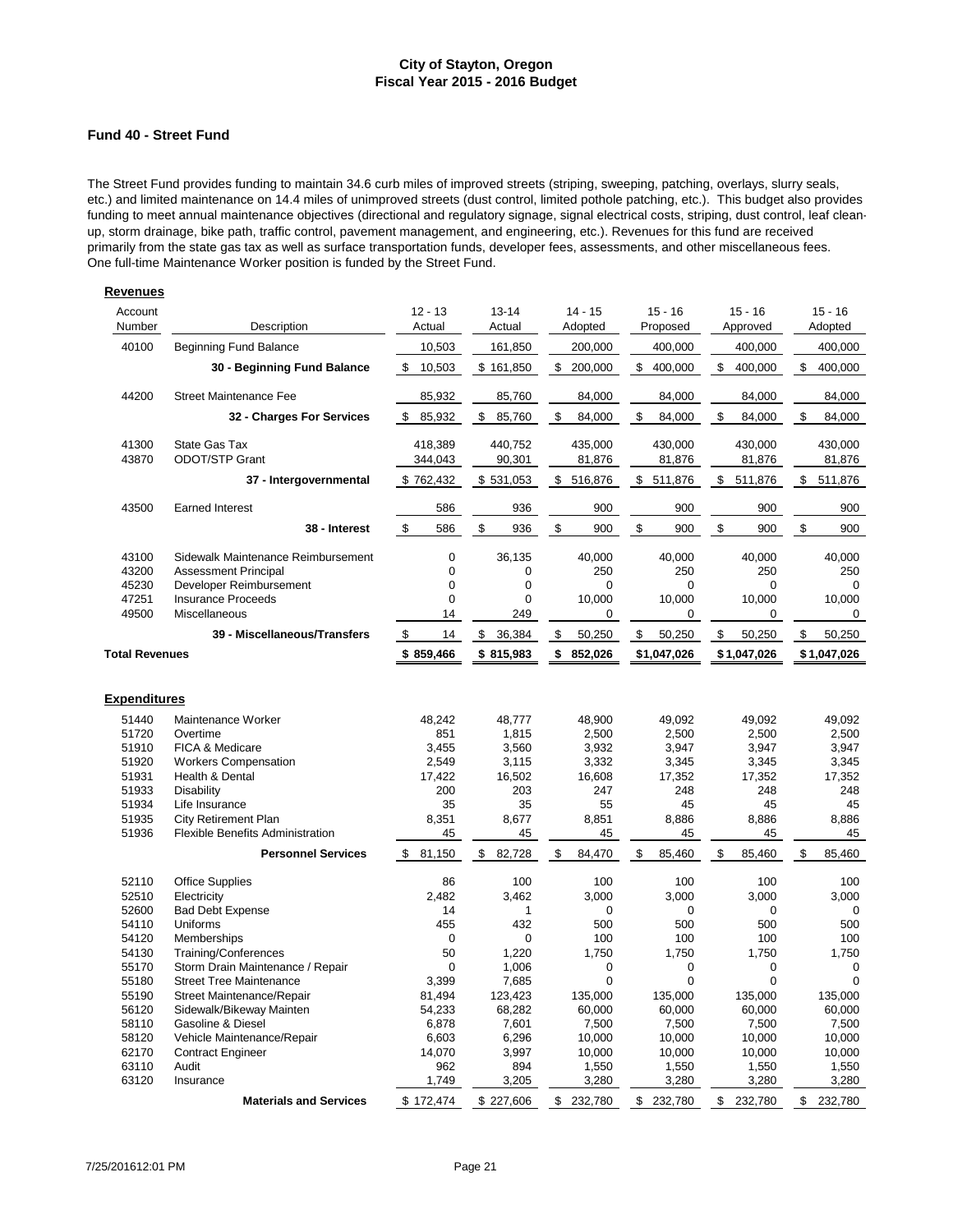#### **Fund 40 - Street Fund**

The Street Fund provides funding to maintain 34.6 curb miles of improved streets (striping, sweeping, patching, overlays, slurry seals, etc.) and limited maintenance on 14.4 miles of unimproved streets (dust control, limited pothole patching, etc.). This budget also provides funding to meet annual maintenance objectives (directional and regulatory signage, signal electrical costs, striping, dust control, leaf cleanup, storm drainage, bike path, traffic control, pavement management, and engineering, etc.). Revenues for this fund are received primarily from the state gas tax as well as surface transportation funds, developer fees, assessments, and other miscellaneous fees. One full-time Maintenance Worker position is funded by the Street Fund.

| Account<br>Number                | Description                                                                                                               | $12 - 13$<br>Actual | $13 - 14$<br>Actual                                                                      | $14 - 15$<br>Adopted         | $15 - 16$<br>Proposed                  | $15 - 16$<br>Approved               | $15 - 16$<br>Adopted         |
|----------------------------------|---------------------------------------------------------------------------------------------------------------------------|---------------------|------------------------------------------------------------------------------------------|------------------------------|----------------------------------------|-------------------------------------|------------------------------|
| 40100                            | <b>Beginning Fund Balance</b>                                                                                             | 10,503              | 161,850                                                                                  | 200,000                      | 400,000                                | 400,000                             | 400,000                      |
|                                  | 30 - Beginning Fund Balance                                                                                               | \$<br>10,503        | \$161,850                                                                                | \$<br>200,000                | \$<br>400,000                          | \$<br>400,000                       | \$<br>400,000                |
| 44200                            | <b>Street Maintenance Fee</b>                                                                                             | 85,932              | 85,760                                                                                   | 84,000                       | 84,000                                 | 84,000                              | 84,000                       |
|                                  | 32 - Charges For Services                                                                                                 | \$<br>85,932        | \$<br>85,760                                                                             | \$<br>84,000                 | \$<br>84,000                           | \$<br>84,000                        | \$<br>84,000                 |
| 41300<br>43870                   | State Gas Tax<br><b>ODOT/STP Grant</b>                                                                                    | 418,389<br>344,043  | 440,752<br>90,301                                                                        | 435,000<br>81,876            | 430,000<br>81,876                      | 430,000<br>81,876                   | 430,000<br>81,876            |
|                                  | 37 - Intergovernmental                                                                                                    | \$762,432           | \$531,053                                                                                | \$<br>516,876                | \$<br>511,876                          | \$<br>511,876                       | \$<br>511,876                |
| 43500                            | <b>Earned Interest</b>                                                                                                    | 586                 | 936                                                                                      | 900                          | 900                                    | 900                                 | 900                          |
|                                  | 38 - Interest                                                                                                             | \$<br>586           | \$<br>936                                                                                | \$<br>900                    | \$<br>900                              | \$<br>900                           | \$<br>900                    |
| 43100<br>43200<br>45230<br>47251 | Sidewalk Maintenance Reimbursement<br><b>Assessment Principal</b><br>Developer Reimbursement<br><b>Insurance Proceeds</b> |                     | $\mathbf 0$<br>36,135<br>0<br>0<br>$\mathbf 0$<br>$\mathbf 0$<br>$\mathbf 0$<br>$\Omega$ | 40,000<br>250<br>0<br>10,000 | 40,000<br>250<br>$\mathbf 0$<br>10,000 | 40,000<br>250<br>$\Omega$<br>10,000 | 40,000<br>250<br>0<br>10,000 |
| 49500                            | Miscellaneous                                                                                                             | 14                  | 249                                                                                      | 0                            | 0                                      | 0                                   | 0                            |
|                                  | 39 - Miscellaneous/Transfers                                                                                              | \$<br>14            | \$<br>36,384                                                                             | \$<br>50,250                 | \$<br>50,250                           | \$<br>50,250                        | \$<br>50,250                 |
| <b>Total Revenues</b>            |                                                                                                                           | \$859,466           | \$815,983                                                                                | \$<br>852,026                | \$1,047,026                            | \$1,047,026                         | \$1,047,026                  |
| <b>Expenditures</b>              |                                                                                                                           |                     |                                                                                          |                              |                                        |                                     |                              |
| 51440                            | Maintenance Worker<br>Overtime                                                                                            | 48.242              | 48.777                                                                                   | 48.900                       | 49.092                                 | 49.092<br>2,500                     | 49.092                       |
| 51720<br>51910                   | FICA & Medicare                                                                                                           | 851<br>3,455        | 1,815<br>3,560                                                                           | 2,500<br>3,932               | 2,500<br>3,947                         | 3,947                               | 2,500<br>3,947               |
| 51920                            | <b>Workers Compensation</b>                                                                                               | 2,549               | 3,115                                                                                    | 3,332                        | 3,345                                  | 3,345                               | 3,345                        |
| 51931                            | Health & Dental                                                                                                           | 17,422              | 16,502                                                                                   | 16,608                       | 17,352                                 | 17,352                              | 17,352                       |
| 51933                            | <b>Disability</b>                                                                                                         | 200                 | 203                                                                                      | 247                          | 248                                    | 248                                 | 248                          |
| 51934                            | Life Insurance                                                                                                            | 35                  | 35                                                                                       | 55                           | 45                                     | 45                                  | 45                           |
| 51935                            | <b>City Retirement Plan</b>                                                                                               | 8,351               | 8,677                                                                                    | 8,851                        | 8,886                                  | 8,886                               | 8,886                        |
| 51936                            | <b>Flexible Benefits Administration</b>                                                                                   | 45                  | 45                                                                                       | 45                           | 45                                     | 45                                  | 45                           |
|                                  | <b>Personnel Services</b>                                                                                                 | 81,150<br>\$        | 82,728<br>\$                                                                             | \$<br>84,470                 | \$<br>85,460                           | \$<br>85,460                        | \$<br>85,460                 |
| 52110                            | <b>Office Supplies</b>                                                                                                    | 86                  | 100                                                                                      | 100                          | 100                                    | 100                                 | 100                          |
| 52510                            | Electricity                                                                                                               | 2,482               | 3,462                                                                                    | 3,000                        | 3,000                                  | 3,000                               | 3,000                        |
| 52600                            | <b>Bad Debt Expense</b>                                                                                                   | 14                  | $\mathbf{1}$                                                                             | 0                            | $\mathbf 0$                            | $\mathbf 0$                         | $\mathbf 0$                  |
| 54110                            | Uniforms                                                                                                                  | 455                 | 432                                                                                      | 500                          | 500                                    | 500                                 | 500                          |
| 54120                            | Memberships                                                                                                               |                     | $\mathbf 0$<br>$\mathbf 0$                                                               | 100                          | 100                                    | 100                                 | 100                          |
| 54130<br>55170                   | Training/Conferences<br>Storm Drain Maintenance / Repair                                                                  | 50                  | 1,220<br>0<br>1,006                                                                      | 1,750<br>0                   | 1,750<br>$\mathbf 0$                   | 1,750<br>$\mathbf 0$                | 1,750<br>0                   |
| 55180                            | <b>Street Tree Maintenance</b>                                                                                            | 3,399               | 7,685                                                                                    | 0                            | $\mathbf 0$                            | $\mathbf 0$                         | $\mathbf 0$                  |
| 55190                            | Street Maintenance/Repair                                                                                                 | 81,494              | 123,423                                                                                  | 135,000                      | 135,000                                | 135,000                             | 135,000                      |
| 56120                            | Sidewalk/Bikeway Mainten                                                                                                  | 54,233              | 68,282                                                                                   | 60,000                       | 60,000                                 | 60,000                              | 60,000                       |
| 58110                            | Gasoline & Diesel                                                                                                         | 6,878               | 7,601                                                                                    | 7,500                        | 7,500                                  | 7,500                               | 7,500                        |
| 58120                            | Vehicle Maintenance/Repair                                                                                                | 6,603               | 6,296                                                                                    | 10,000                       | 10,000                                 | 10,000                              | 10,000                       |
| 62170                            | <b>Contract Engineer</b>                                                                                                  | 14,070              | 3,997                                                                                    | 10,000                       | 10,000                                 | 10,000                              | 10,000                       |
| 63110                            | Audit                                                                                                                     | 962                 | 894                                                                                      | 1,550                        | 1,550                                  | 1,550                               | 1,550                        |
| 63120                            | Insurance                                                                                                                 | 1,749               | 3,205                                                                                    | 3,280                        | 3,280                                  | 3,280                               | 3,280                        |
|                                  | <b>Materials and Services</b>                                                                                             | \$172,474           | \$227,606                                                                                | \$<br>232,780                | \$ 232,780                             | \$<br>232,780                       | \$<br>232,780                |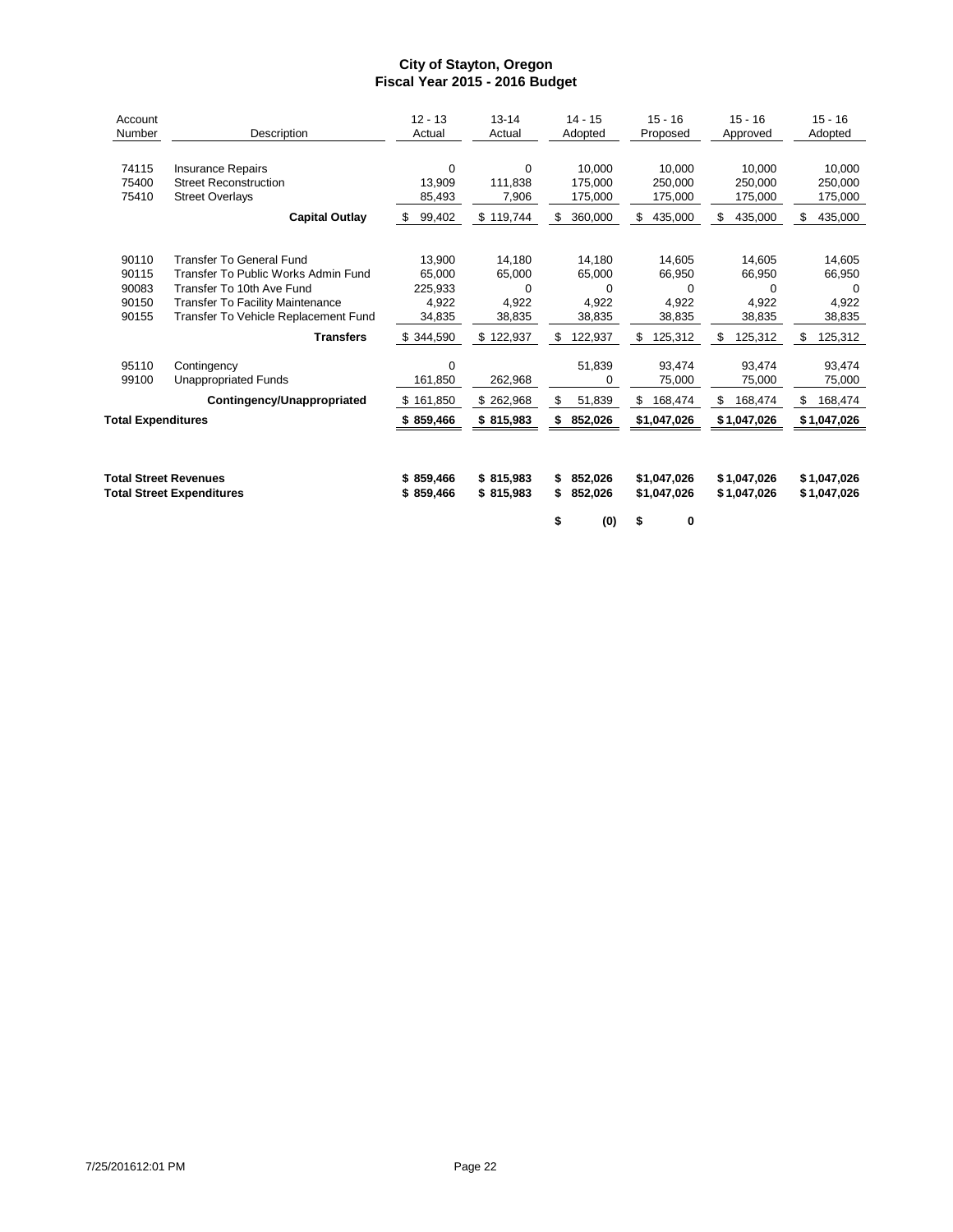| Account<br>Number                           | Description                                                                                                                                                                            | $12 - 13$<br>Actual                                 | $13 - 14$<br>Actual                            | $14 - 15$<br>Adopted                                          | $15 - 16$<br>Proposed                                             | $15 - 16$<br>Approved                                             | $15 - 16$<br>Adopted                                              |
|---------------------------------------------|----------------------------------------------------------------------------------------------------------------------------------------------------------------------------------------|-----------------------------------------------------|------------------------------------------------|---------------------------------------------------------------|-------------------------------------------------------------------|-------------------------------------------------------------------|-------------------------------------------------------------------|
| 74115<br>75400<br>75410                     | <b>Insurance Repairs</b><br><b>Street Reconstruction</b><br><b>Street Overlays</b><br><b>Capital Outlay</b>                                                                            | 0<br>13,909<br>85,493<br>99,402<br>S.               | $\Omega$<br>111,838<br>7,906<br>\$119,744      | 10,000<br>175,000<br>175,000<br>360,000<br>\$                 | 10.000<br>250,000<br>175,000<br>\$<br>435,000                     | 10.000<br>250,000<br>175,000<br>\$<br>435,000                     | 10,000<br>250,000<br>175,000<br>\$<br>435,000                     |
| 90110<br>90115<br>90083<br>90150<br>90155   | <b>Transfer To General Fund</b><br>Transfer To Public Works Admin Fund<br>Transfer To 10th Ave Fund<br><b>Transfer To Facility Maintenance</b><br>Transfer To Vehicle Replacement Fund | 13,900<br>65,000<br>225,933<br>4,922<br>34,835      | 14,180<br>65,000<br>0<br>4,922<br>38,835       | 14,180<br>65,000<br>0<br>4.922<br>38,835                      | 14,605<br>66,950<br>0<br>4.922<br>38,835                          | 14,605<br>66,950<br>$\Omega$<br>4.922<br>38,835                   | 14,605<br>66,950<br>0<br>4,922<br>38,835                          |
| 95110<br>99100<br><b>Total Expenditures</b> | <b>Transfers</b><br>Contingency<br><b>Unappropriated Funds</b><br>Contingency/Unappropriated                                                                                           | \$344,590<br>0<br>161,850<br>\$161,850<br>\$859,466 | \$122,937<br>262,968<br>\$262,968<br>\$815,983 | 122,937<br>\$<br>51,839<br>0<br>\$<br>51,839<br>852,026<br>\$ | \$<br>125,312<br>93,474<br>75,000<br>\$<br>168,474<br>\$1,047,026 | \$<br>125,312<br>93.474<br>75,000<br>168,474<br>\$<br>\$1,047,026 | 125,312<br>\$<br>93,474<br>75,000<br>168,474<br>\$<br>\$1,047,026 |
|                                             | <b>Total Street Revenues</b><br><b>Total Street Expenditures</b>                                                                                                                       | \$859,466<br>\$859,466                              | \$815,983<br>\$815,983                         | 852,026<br>S<br>\$<br>852,026<br>\$<br>(0)                    | \$1.047.026<br>\$1,047,026<br>0<br>S                              | \$1.047.026<br>\$1,047,026                                        | \$1,047,026<br>\$1,047,026                                        |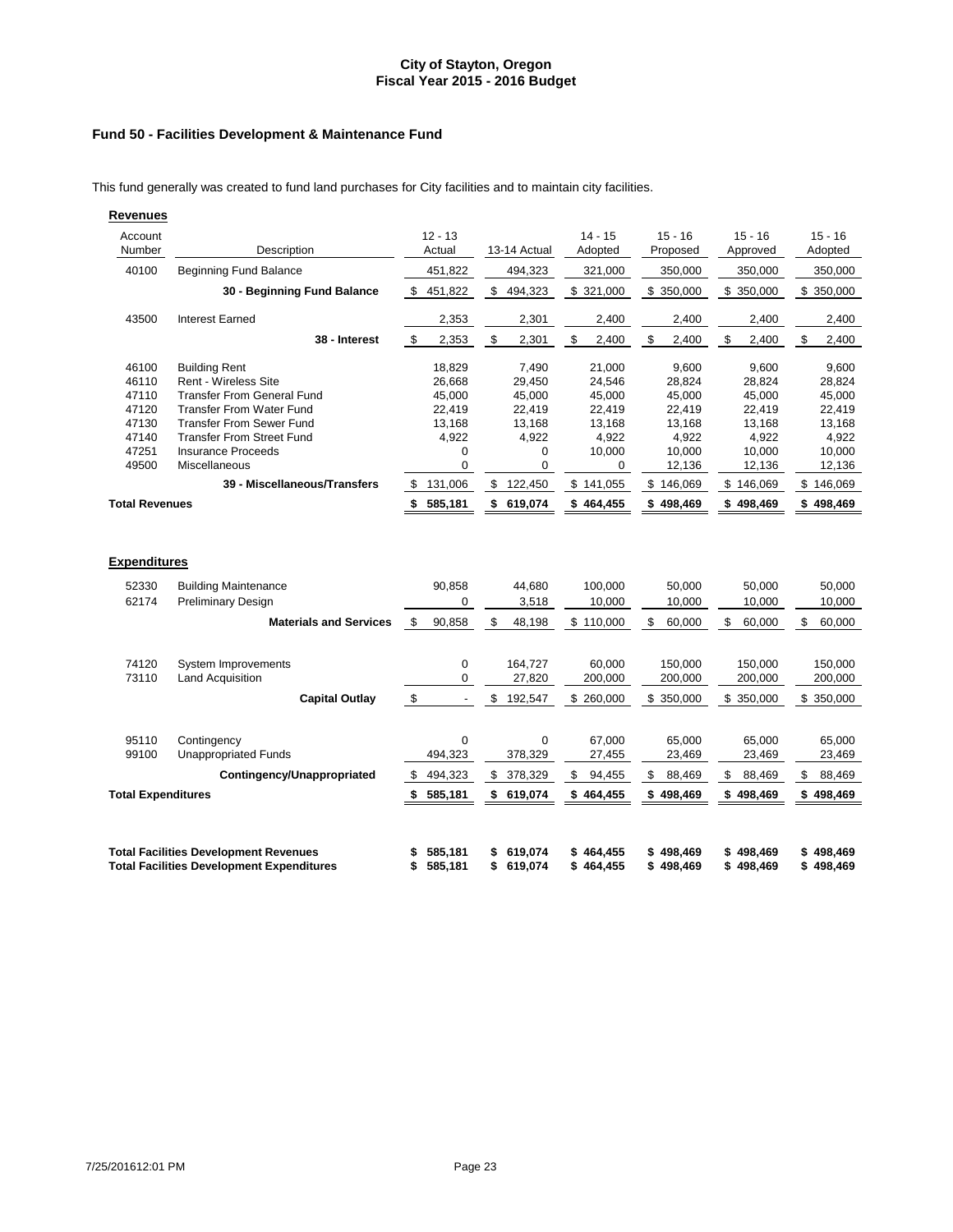# **Fund 50 - Facilities Development & Maintenance Fund**

This fund generally was created to fund land purchases for City facilities and to maintain city facilities.

| <b>Revenues</b>                                                                               |                                                                                                                                                                                                                                                                                  |                                                                                                               |                                                                                                            |                                                                                                  |                                                                                                      |                                                                                                      |                                                                                                      |
|-----------------------------------------------------------------------------------------------|----------------------------------------------------------------------------------------------------------------------------------------------------------------------------------------------------------------------------------------------------------------------------------|---------------------------------------------------------------------------------------------------------------|------------------------------------------------------------------------------------------------------------|--------------------------------------------------------------------------------------------------|------------------------------------------------------------------------------------------------------|------------------------------------------------------------------------------------------------------|------------------------------------------------------------------------------------------------------|
| Account<br>Number                                                                             | Description                                                                                                                                                                                                                                                                      | $12 - 13$<br>Actual                                                                                           | 13-14 Actual                                                                                               | $14 - 15$<br>Adopted                                                                             | $15 - 16$<br>Proposed                                                                                | $15 - 16$<br>Approved                                                                                | $15 - 16$<br>Adopted                                                                                 |
| 40100                                                                                         | <b>Beginning Fund Balance</b>                                                                                                                                                                                                                                                    | 451,822                                                                                                       | 494,323                                                                                                    | 321,000                                                                                          | 350,000                                                                                              | 350,000                                                                                              | 350,000                                                                                              |
|                                                                                               | 30 - Beginning Fund Balance                                                                                                                                                                                                                                                      | \$451,822                                                                                                     | \$<br>494,323                                                                                              | \$321,000                                                                                        | \$ 350,000                                                                                           | \$350,000                                                                                            | \$ 350,000                                                                                           |
| 43500                                                                                         | <b>Interest Earned</b>                                                                                                                                                                                                                                                           | 2,353                                                                                                         | 2,301                                                                                                      | 2,400                                                                                            | 2,400                                                                                                | 2,400                                                                                                | 2,400                                                                                                |
|                                                                                               | 38 - Interest                                                                                                                                                                                                                                                                    | $\boldsymbol{\mathsf{S}}$<br>2,353                                                                            | $\sqrt[6]{\frac{1}{2}}$<br>2,301                                                                           | \$<br>2,400                                                                                      | \$<br>2,400                                                                                          | \$<br>2,400                                                                                          | \$<br>2,400                                                                                          |
| 46100<br>46110<br>47110<br>47120<br>47130<br>47140<br>47251<br>49500<br><b>Total Revenues</b> | <b>Building Rent</b><br><b>Rent - Wireless Site</b><br><b>Transfer From General Fund</b><br><b>Transfer From Water Fund</b><br><b>Transfer From Sewer Fund</b><br><b>Transfer From Street Fund</b><br><b>Insurance Proceeds</b><br>Miscellaneous<br>39 - Miscellaneous/Transfers | 18,829<br>26,668<br>45,000<br>22,419<br>13,168<br>4,922<br>0<br>$\mathbf 0$<br>131,006<br>\$<br>585,181<br>\$ | 7,490<br>29,450<br>45,000<br>22,419<br>13,168<br>4,922<br>0<br>$\pmb{0}$<br>\$<br>122,450<br>\$<br>619,074 | 21,000<br>24,546<br>45,000<br>22,419<br>13,168<br>4,922<br>10,000<br>0<br>\$141,055<br>\$464,455 | 9,600<br>28,824<br>45,000<br>22,419<br>13,168<br>4,922<br>10,000<br>12,136<br>\$146,069<br>\$498,469 | 9,600<br>28,824<br>45,000<br>22,419<br>13,168<br>4,922<br>10,000<br>12,136<br>\$146,069<br>\$498,469 | 9,600<br>28,824<br>45,000<br>22,419<br>13,168<br>4,922<br>10,000<br>12,136<br>\$146,069<br>\$498,469 |
| <b>Expenditures</b>                                                                           |                                                                                                                                                                                                                                                                                  |                                                                                                               |                                                                                                            |                                                                                                  |                                                                                                      |                                                                                                      |                                                                                                      |
| 52330<br>62174                                                                                | <b>Building Maintenance</b><br><b>Preliminary Design</b>                                                                                                                                                                                                                         | 90,858<br>0                                                                                                   | 44,680<br>3,518                                                                                            | 100,000<br>10,000                                                                                | 50,000<br>10,000                                                                                     | 50,000<br>10,000                                                                                     | 50,000<br>10,000                                                                                     |
|                                                                                               | <b>Materials and Services</b>                                                                                                                                                                                                                                                    | \$<br>90,858                                                                                                  | \$<br>48,198                                                                                               | \$110,000                                                                                        | \$<br>60,000                                                                                         | \$<br>60,000                                                                                         | \$<br>60,000                                                                                         |
| 74120<br>73110                                                                                | <b>System Improvements</b><br><b>Land Acquisition</b><br>Capital Outlay                                                                                                                                                                                                          | $\pmb{0}$<br>$\mathbf 0$<br>\$<br>$\overline{\phantom{a}}$                                                    | 164,727<br>27,820<br>\$<br>192,547                                                                         | 60,000<br>200,000<br>\$ 260,000                                                                  | 150,000<br>200,000<br>\$ 350,000                                                                     | 150,000<br>200,000<br>\$ 350,000                                                                     | 150,000<br>200,000<br>\$ 350,000                                                                     |
| 95110<br>99100                                                                                | Contingency<br><b>Unappropriated Funds</b>                                                                                                                                                                                                                                       | 0<br>494,323                                                                                                  | $\mathbf 0$<br>378,329                                                                                     | 67,000<br>27,455                                                                                 | 65,000<br>23,469                                                                                     | 65,000<br>23,469                                                                                     | 65,000<br>23,469                                                                                     |
|                                                                                               | Contingency/Unappropriated                                                                                                                                                                                                                                                       | 494,323<br>\$                                                                                                 | \$<br>378,329                                                                                              | \$<br>94,455                                                                                     | \$<br>88,469                                                                                         | \$<br>88,469                                                                                         | \$<br>88,469                                                                                         |
| <b>Total Expenditures</b>                                                                     |                                                                                                                                                                                                                                                                                  | 585,181<br>\$                                                                                                 | \$ 619,074                                                                                                 | \$464,455                                                                                        | \$498,469                                                                                            | \$498,469                                                                                            | \$498,469                                                                                            |
|                                                                                               | <b>Total Facilities Development Revenues</b><br><b>Total Facilities Development Expenditures</b>                                                                                                                                                                                 | 585,181<br>\$<br>585,181<br>\$                                                                                | 619,074<br>\$<br>\$<br>619,074                                                                             | \$464,455<br>\$464,455                                                                           | \$498,469<br>\$498,469                                                                               | \$498,469<br>\$498,469                                                                               | \$498,469<br>\$498,469                                                                               |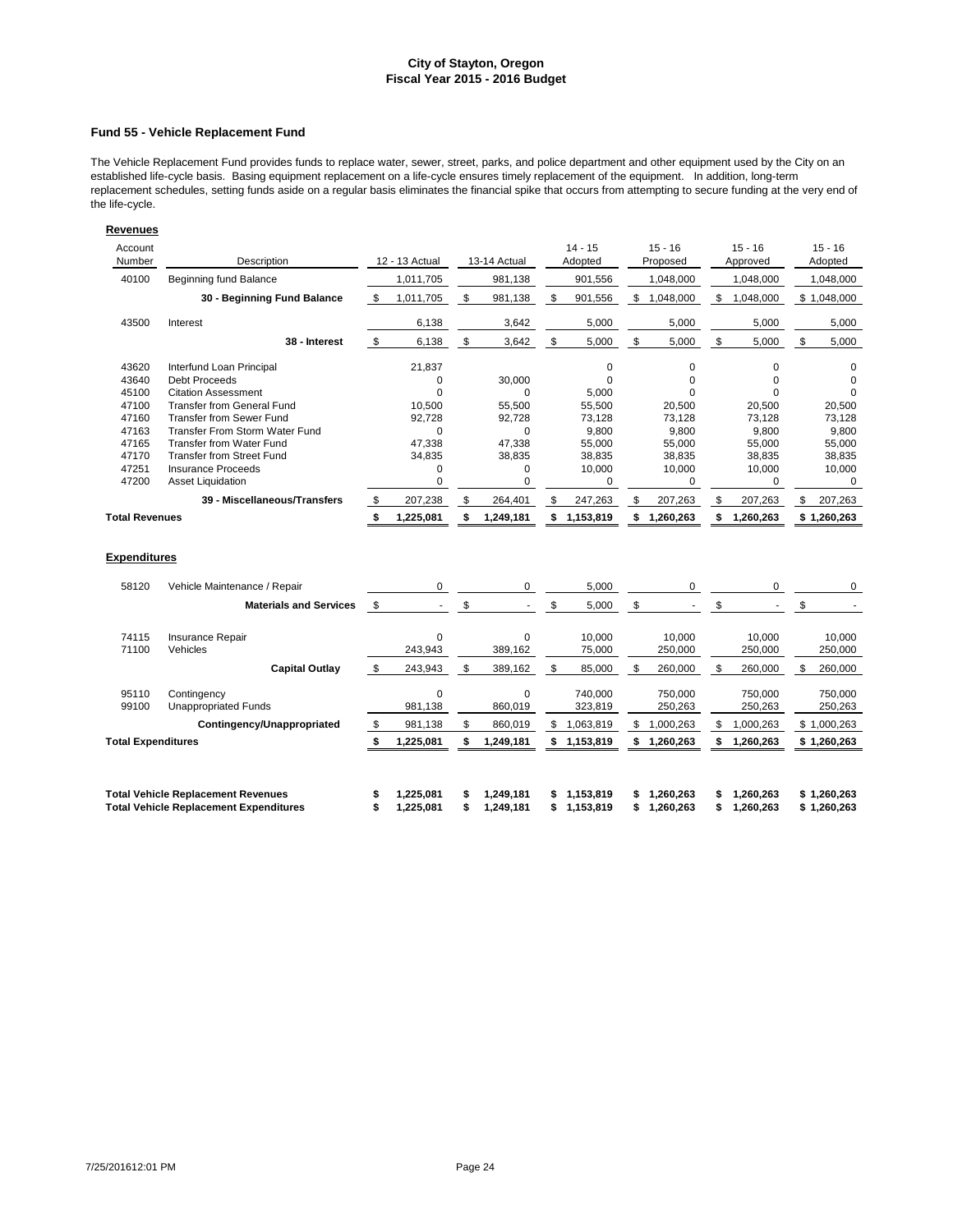#### **Fund 55 - Vehicle Replacement Fund**

The Vehicle Replacement Fund provides funds to replace water, sewer, street, parks, and police department and other equipment used by the City on an established life-cycle basis. Basing equipment replacement on a life-cycle ensures timely replacement of the equipment. In addition, long-term replacement schedules, setting funds aside on a regular basis eliminates the financial spike that occurs from attempting to secure funding at the very end of the life-cycle.

| Revenues                     |                                                                                            |         |                             |               |                        |                              |                              |         |                        |                            |
|------------------------------|--------------------------------------------------------------------------------------------|---------|-----------------------------|---------------|------------------------|------------------------------|------------------------------|---------|------------------------|----------------------------|
| Account<br>Number            | Description                                                                                |         | 12 - 13 Actual              |               | 13-14 Actual           | $14 - 15$<br>Adopted         | $15 - 16$<br>Proposed        |         | $15 - 16$<br>Approved  | $15 - 16$<br>Adopted       |
| 40100                        | Beginning fund Balance                                                                     |         | 1,011,705                   |               | 981,138                | 901,556                      | 1,048,000                    |         | 1,048,000              | 1,048,000                  |
|                              | 30 - Beginning Fund Balance                                                                | \$      | 1,011,705                   | \$            | 981,138                | \$<br>901,556                | \$<br>1,048,000              | \$      | 1,048,000              | \$1,048,000                |
| 43500                        | Interest                                                                                   |         | 6,138                       |               | 3,642                  | 5,000                        | 5,000                        |         | 5,000                  | 5,000                      |
|                              | 38 - Interest                                                                              | \$      | 6,138                       | \$            | 3,642                  | \$<br>5,000                  | \$<br>5,000                  | \$      | 5,000                  | \$<br>5,000                |
| 43620                        | Interfund Loan Principal                                                                   |         | 21.837                      |               |                        | 0                            | 0                            |         | $\mathbf 0$            | 0                          |
| 43640                        | <b>Debt Proceeds</b>                                                                       |         | 0                           |               | 30,000                 | $\Omega$                     | $\Omega$                     |         | $\Omega$               | $\Omega$                   |
| 45100                        | <b>Citation Assessment</b>                                                                 |         | $\mathbf 0$                 |               | $\Omega$               | 5,000                        | $\Omega$                     |         | $\Omega$               | $\Omega$                   |
| 47100                        | <b>Transfer from General Fund</b>                                                          |         | 10,500                      |               | 55,500                 | 55,500                       | 20,500                       |         | 20,500                 | 20,500                     |
| 47160                        | <b>Transfer from Sewer Fund</b>                                                            |         | 92,728                      |               | 92,728                 | 73,128                       | 73,128                       |         | 73,128                 | 73,128                     |
| 47163                        | <b>Transfer From Storm Water Fund</b>                                                      |         | $\Omega$                    |               | $\Omega$               | 9,800                        | 9,800                        |         | 9,800                  | 9,800                      |
| 47165                        | <b>Transfer from Water Fund</b>                                                            |         | 47,338                      |               | 47,338                 | 55,000                       | 55,000                       |         | 55,000                 | 55,000                     |
| 47170                        | <b>Transfer from Street Fund</b>                                                           |         | 34,835                      |               | 38,835                 | 38,835                       | 38,835                       |         | 38,835                 | 38,835                     |
| 47251                        | <b>Insurance Proceeds</b>                                                                  |         | 0                           |               | $\mathbf 0$            | 10,000                       | 10,000                       |         | 10,000                 | 10,000                     |
| 47200                        | <b>Asset Liquidation</b>                                                                   |         | 0                           |               | $\mathbf 0$            | $\mathbf 0$                  | 0                            |         | 0                      | $\mathbf 0$                |
|                              | 39 - Miscellaneous/Transfers                                                               | S.      | 207,238                     | \$            | 264,401                | \$<br>247,263                | \$<br>207,263                | \$      | 207,263                | \$<br>207,263              |
| <b>Total Revenues</b>        |                                                                                            |         | 1,225,081                   | \$            | 1,249,181              | \$<br>1,153,819              | \$<br>1,260,263              | \$      | 1,260,263              | \$1,260,263                |
| <b>Expenditures</b><br>58120 | Vehicle Maintenance / Repair                                                               |         | 0                           |               | $\mathbf{0}$           | 5,000                        | 0                            |         | 0                      | 0                          |
|                              |                                                                                            |         |                             |               |                        |                              |                              |         |                        |                            |
|                              | <b>Materials and Services</b>                                                              | \$      | $\mathcal{L}^{\mathcal{A}}$ | $\mathfrak s$ |                        | \$<br>5,000                  | \$                           | \$      |                        | \$                         |
| 74115<br>71100               | Insurance Repair<br>Vehicles                                                               |         | 0<br>243,943                |               | $\Omega$<br>389,162    | 10,000<br>75,000             | 10,000<br>250,000            |         | 10,000<br>250,000      | 10,000<br>250,000          |
|                              | <b>Capital Outlay</b>                                                                      | \$      | 243,943                     | \$            | 389,162                | \$<br>85,000                 | \$<br>260,000                | \$      | 260,000                | \$<br>260,000              |
| 95110<br>99100               | Contingency<br><b>Unappropriated Funds</b>                                                 |         | $\mathbf 0$<br>981,138      |               | $\Omega$<br>860,019    | 740,000<br>323,819           | 750,000<br>250,263           |         | 750,000<br>250,263     | 750,000<br>250,263         |
|                              | Contingency/Unappropriated                                                                 | \$      | 981,138                     | \$            | 860.019                | \$<br>1,063,819              | \$<br>1,000,263              | \$      | 1,000,263              | \$1,000,263                |
| <b>Total Expenditures</b>    |                                                                                            | \$      | 1,225,081                   | \$            | 1,249,181              | 1,153,819                    | \$<br>1,260,263              | \$      | 1,260,263              | \$1,260,263                |
|                              |                                                                                            |         |                             |               |                        |                              |                              |         |                        |                            |
|                              | <b>Total Vehicle Replacement Revenues</b><br><b>Total Vehicle Replacement Expenditures</b> | S<br>\$ | 1.225.081<br>1,225,081      | \$            | 1,249,181<br>1,249,181 | \$<br>1.153.819<br>1,153,819 | \$<br>1.260.263<br>1,260,263 | S<br>\$ | 1.260.263<br>1,260,263 | \$1.260.263<br>\$1,260,263 |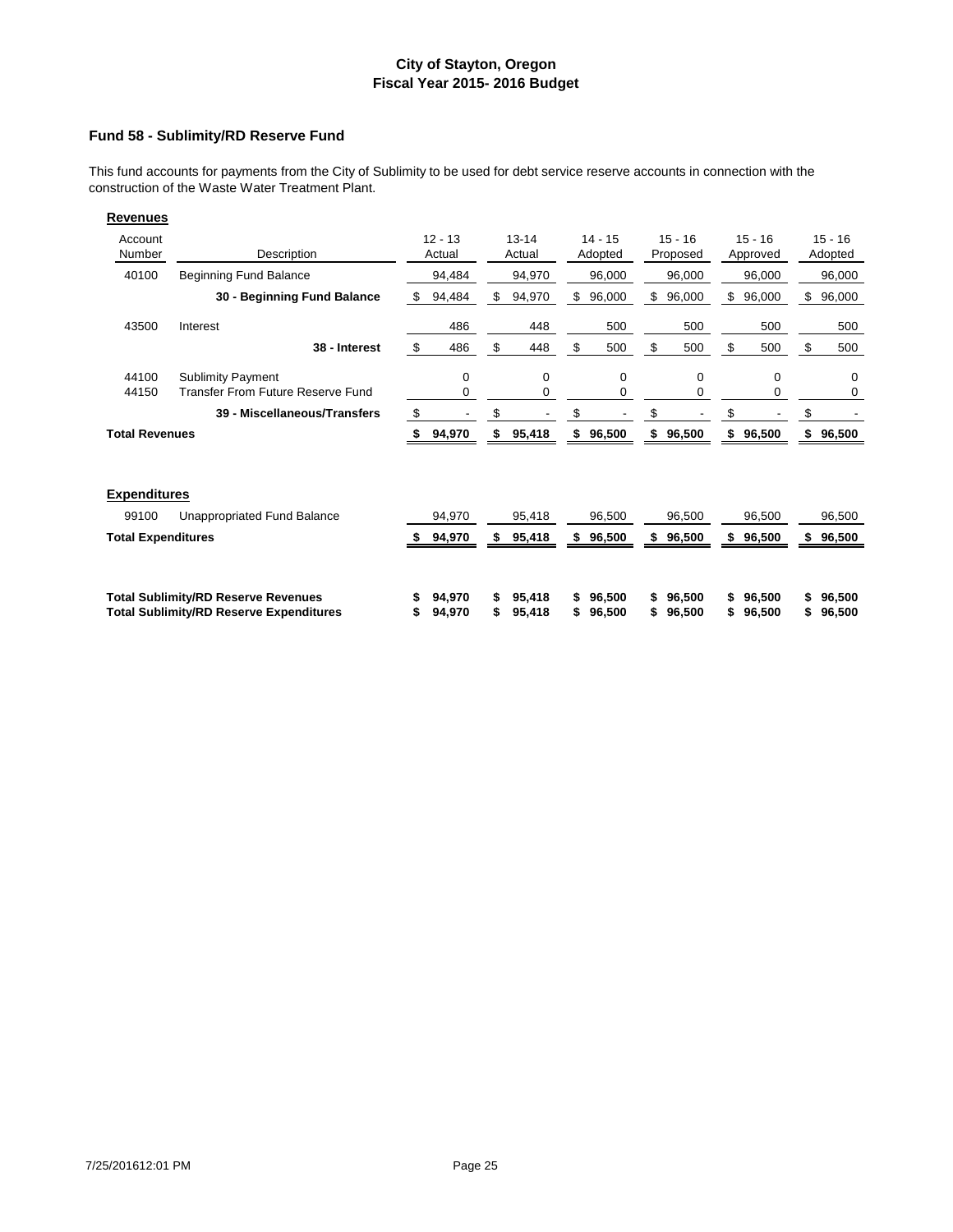### **Fund 58 - Sublimity/RD Reserve Fund**

This fund accounts for payments from the City of Sublimity to be used for debt service reserve accounts in connection with the construction of the Waste Water Treatment Plant.

| Account<br>Number         | Description                                                                                  | $12 - 13$<br>Actual |         | $13 - 14$<br>Actual |    | $14 - 15$<br>Adopted |          | $15 - 16$<br>Proposed |          | $15 - 16$<br>Approved |    | $15 - 16$<br>Adopted |
|---------------------------|----------------------------------------------------------------------------------------------|---------------------|---------|---------------------|----|----------------------|----------|-----------------------|----------|-----------------------|----|----------------------|
| 40100                     | <b>Beginning Fund Balance</b>                                                                | 94,484              |         | 94,970              |    | 96,000               |          | 96,000                |          | 96,000                |    | 96,000               |
|                           | 30 - Beginning Fund Balance                                                                  | \$<br>94,484        | \$      | 94,970              | \$ | 96,000               | \$       | 96,000                | \$       | 96,000                | \$ | 96,000               |
| 43500                     | Interest                                                                                     | 486                 |         | 448                 |    | 500                  |          | 500                   |          | 500                   |    | 500                  |
|                           | 38 - Interest                                                                                | \$<br>486           | \$      | 448                 | \$ | 500                  | \$       | 500                   | \$       | 500                   | \$ | 500                  |
| 44100<br>44150            | <b>Sublimity Payment</b><br>Transfer From Future Reserve Fund                                | 0<br>0              |         | 0<br>0              |    | 0<br>0               |          | 0<br>0                |          | 0<br>0                |    | $\Omega$<br>0        |
|                           | 39 - Miscellaneous/Transfers                                                                 | \$                  | \$      |                     | \$ |                      | \$       |                       | \$       |                       |    |                      |
| <b>Total Revenues</b>     |                                                                                              | 94,970              | \$      | 95,418              | \$ | 96,500               | \$       | 96,500                | \$       | 96,500                |    | 96,500               |
| <b>Expenditures</b>       |                                                                                              |                     |         |                     |    |                      |          |                       |          |                       |    |                      |
| 99100                     | Unappropriated Fund Balance                                                                  | 94,970              |         | 95,418              |    | 96,500               |          | 96,500                |          | 96,500                |    | 96,500               |
| <b>Total Expenditures</b> |                                                                                              | 94,970              | S       | 95,418              | S  | 96,500               | S        | 96,500                | S        | 96,500                | S  | 96,500               |
|                           | <b>Total Sublimity/RD Reserve Revenues</b><br><b>Total Sublimity/RD Reserve Expenditures</b> | 94,970<br>94,970    | \$<br>S | 95,418<br>95,418    |    | 96,500<br>96,500     | \$<br>\$ | 96,500<br>96,500      | \$<br>\$ | 96,500<br>96,500      |    | 96,500<br>96,500     |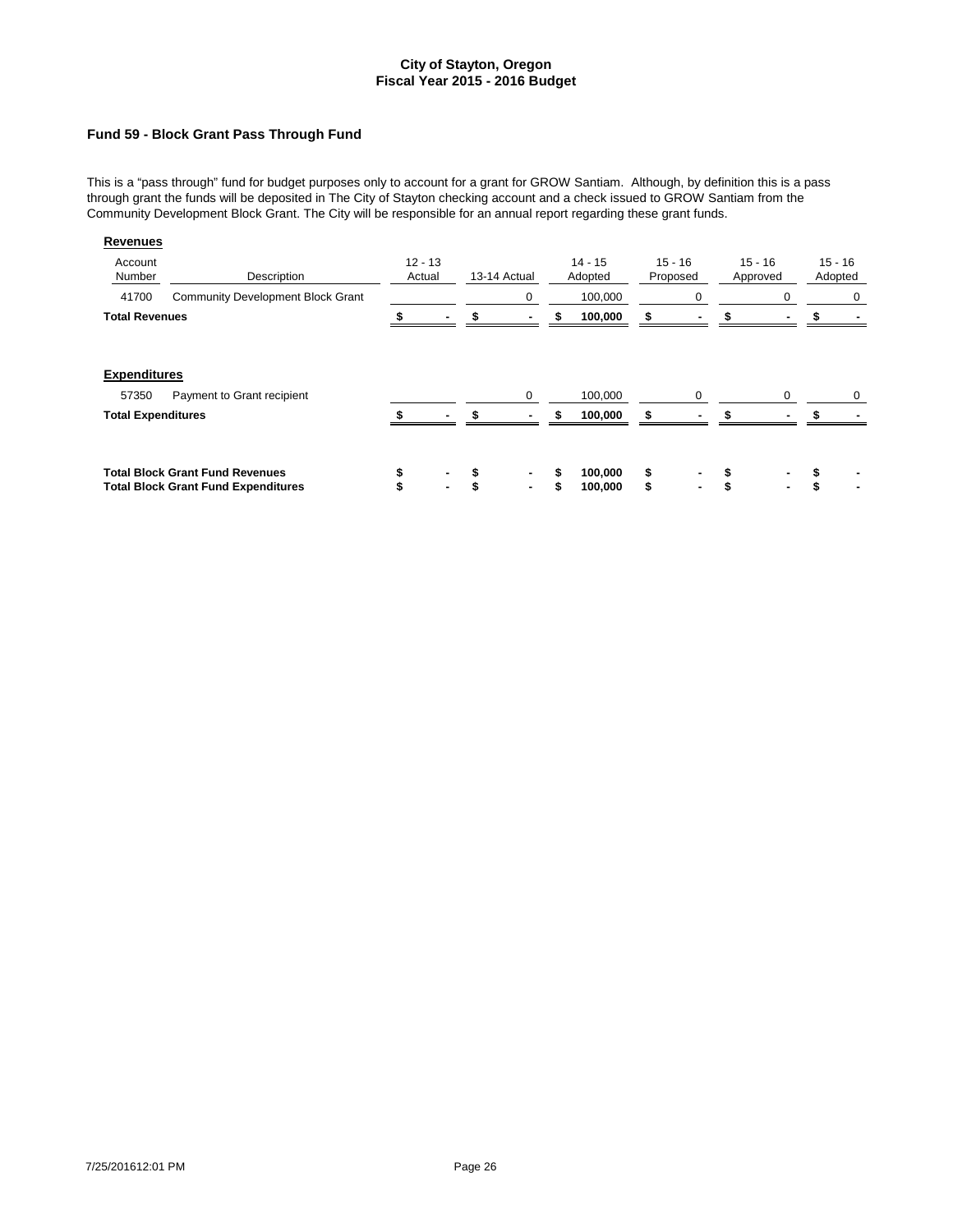### **Fund 59 - Block Grant Pass Through Fund**

This is a "pass through" fund for budget purposes only to account for a grant for GROW Santiam. Although, by definition this is a pass through grant the funds will be deposited in The City of Stayton checking account and a check issued to GROW Santiam from the Community Development Block Grant. The City will be responsible for an annual report regarding these grant funds.

| Revenues                           |                                                                                      |                     |              |                      |          |                       |                       |         |           |
|------------------------------------|--------------------------------------------------------------------------------------|---------------------|--------------|----------------------|----------|-----------------------|-----------------------|---------|-----------|
| Account<br>Number                  | Description                                                                          | $12 - 13$<br>Actual | 13-14 Actual | $14 - 15$<br>Adopted |          | $15 - 16$<br>Proposed | $15 - 16$<br>Approved | Adopted | $15 - 16$ |
| 41700                              | <b>Community Development Block Grant</b>                                             |                     | 0            | 100,000              |          | 0                     | 0                     |         | 0         |
| <b>Total Revenues</b>              |                                                                                      |                     |              | 100,000              |          |                       |                       |         |           |
| <b>Expenditures</b>                |                                                                                      |                     |              |                      |          |                       |                       |         |           |
| 57350<br><b>Total Expenditures</b> | Payment to Grant recipient                                                           |                     | 0            | 100,000<br>100,000   |          | $\Omega$              | 0                     |         | 0         |
|                                    | <b>Total Block Grant Fund Revenues</b><br><b>Total Block Grant Fund Expenditures</b> | ۰                   | ٠            | 100,000<br>100,000   | \$<br>\$ | $\blacksquare$        | ۰.                    | \$      | ٠         |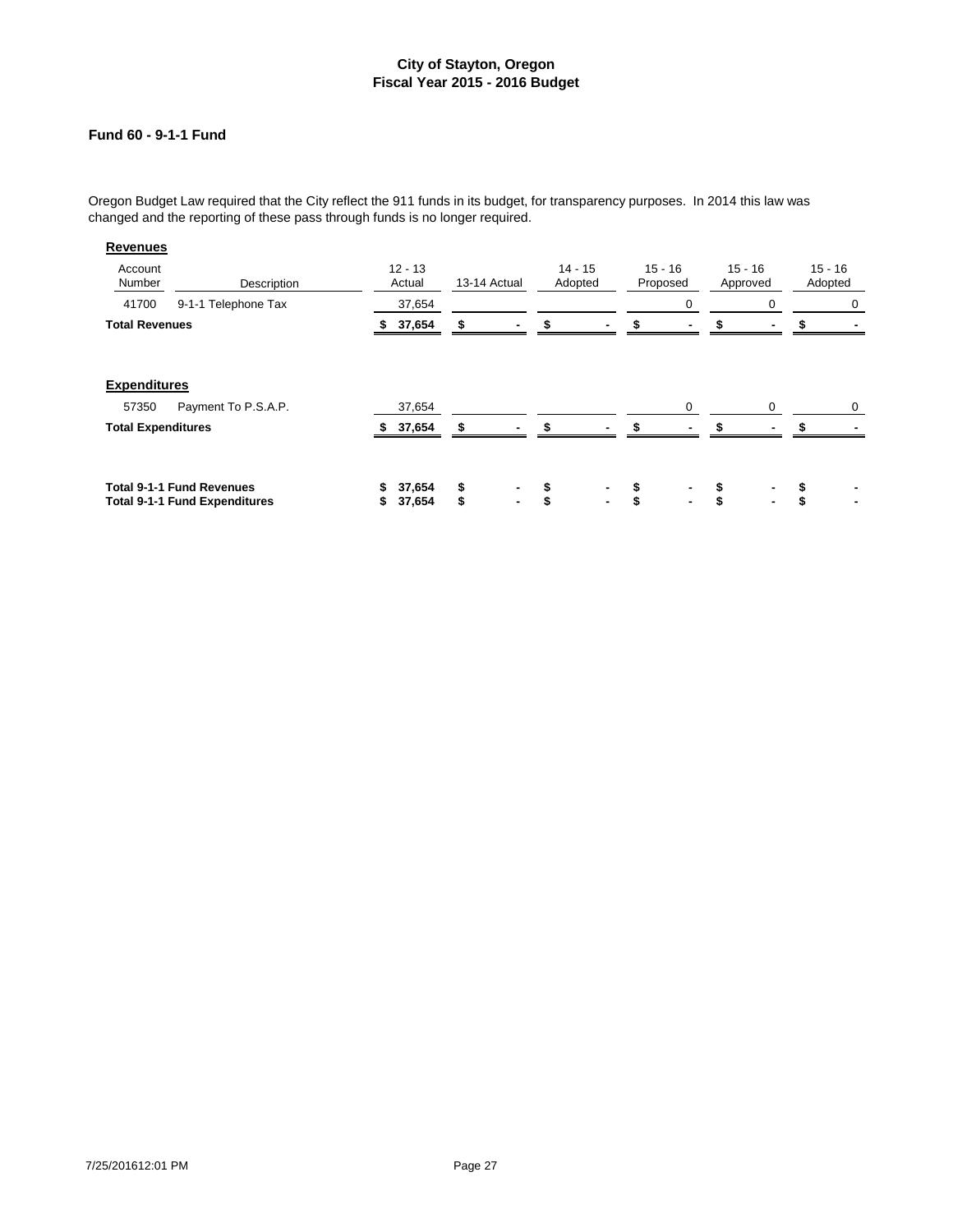# **Fund 60 - 9-1-1 Fund**

Oregon Budget Law required that the City reflect the 911 funds in its budget, for transparency purposes. In 2014 this law was changed and the reporting of these pass through funds is no longer required.

| <b>Revenues</b>              |                                                                          |          |                     |              |                     |                      |          |                       |                       |          |                      |
|------------------------------|--------------------------------------------------------------------------|----------|---------------------|--------------|---------------------|----------------------|----------|-----------------------|-----------------------|----------|----------------------|
| Account<br>Number            | Description                                                              |          | $12 - 13$<br>Actual | 13-14 Actual |                     | $14 - 15$<br>Adopted |          | $15 - 16$<br>Proposed | $15 - 16$<br>Approved |          | $15 - 16$<br>Adopted |
| 41700                        | 9-1-1 Telephone Tax                                                      |          | 37,654              |              |                     |                      |          | 0                     | 0                     |          | 0                    |
| <b>Total Revenues</b>        |                                                                          | S.       | 37,654              |              |                     |                      |          |                       |                       |          |                      |
| <b>Expenditures</b><br>57350 | Payment To P.S.A.P.                                                      |          | 37,654              |              |                     |                      |          | 0                     | 0                     |          | 0                    |
| <b>Total Expenditures</b>    |                                                                          |          | 37,654              |              |                     |                      | ፍ        |                       |                       |          |                      |
|                              |                                                                          |          |                     |              |                     |                      |          |                       |                       |          |                      |
|                              | <b>Total 9-1-1 Fund Revenues</b><br><b>Total 9-1-1 Fund Expenditures</b> | \$<br>\$ | 37,654<br>37,654    | \$<br>\$     | ٠<br>$\blacksquare$ | \$<br>\$             | \$<br>\$ | $\blacksquare$        | \$<br>$\blacksquare$  | \$<br>\$ |                      |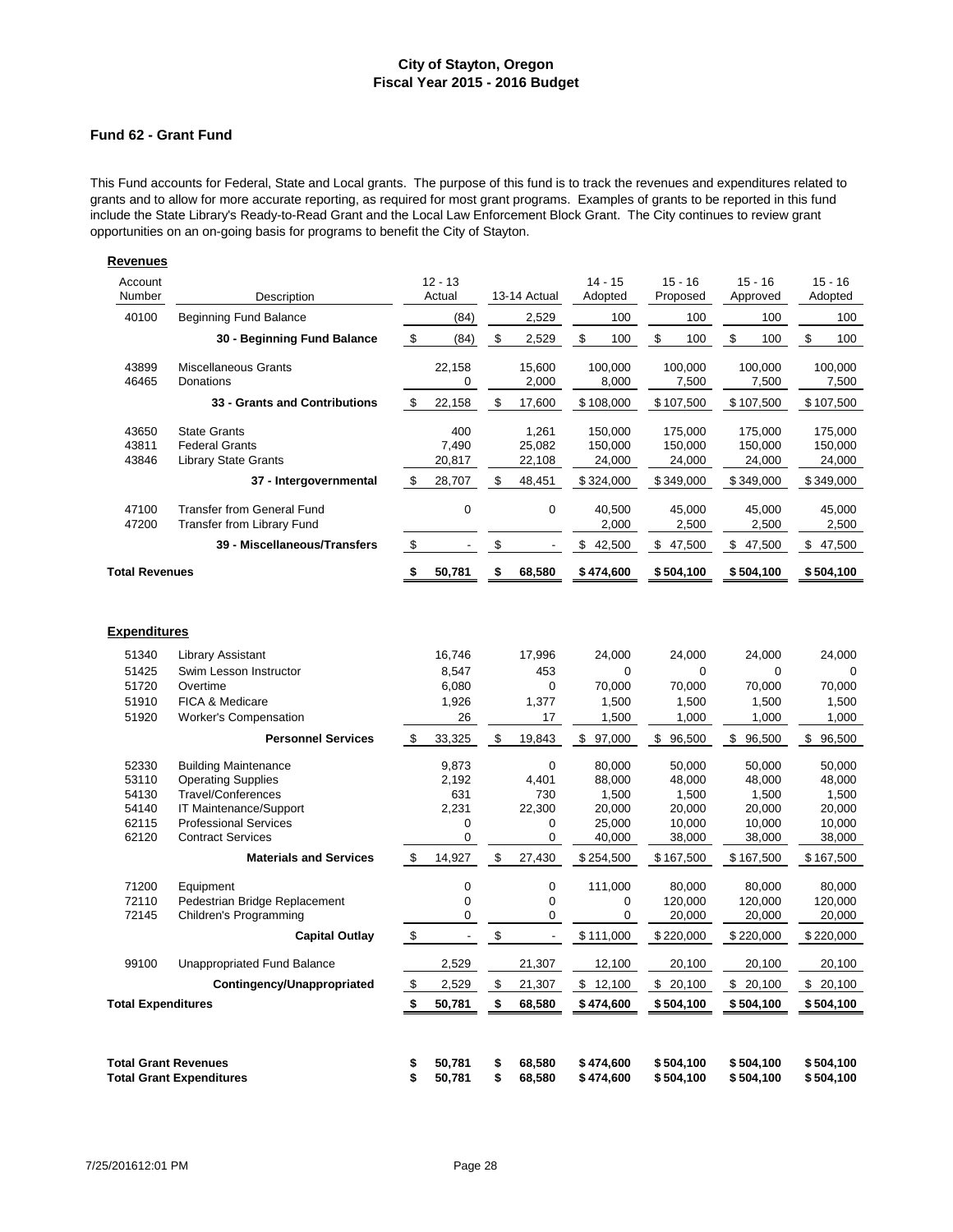#### **Fund 62 - Grant Fund**

**Revenues**

This Fund accounts for Federal, State and Local grants. The purpose of this fund is to track the revenues and expenditures related to grants and to allow for more accurate reporting, as required for most grant programs. Examples of grants to be reported in this fund include the State Library's Ready-to-Read Grant and the Local Law Enforcement Block Grant. The City continues to review grant opportunities on an on-going basis for programs to benefit the City of Stayton.

| Account<br>Number                                  | Description                                                                                                                                                                 |            | $12 - 13$<br>Actual                                  |      | 13-14 Actual                          | $14 - 15$<br>Adopted                                    | $15 - 16$<br>Proposed                                   | $15 - 16$<br>Approved                                   | $15 - 16$<br>Adopted                                    |
|----------------------------------------------------|-----------------------------------------------------------------------------------------------------------------------------------------------------------------------------|------------|------------------------------------------------------|------|---------------------------------------|---------------------------------------------------------|---------------------------------------------------------|---------------------------------------------------------|---------------------------------------------------------|
| 40100                                              | <b>Beginning Fund Balance</b>                                                                                                                                               |            | (84)                                                 |      | 2,529                                 | 100                                                     | 100                                                     | 100                                                     | 100                                                     |
|                                                    | 30 - Beginning Fund Balance                                                                                                                                                 | \$         | (84)                                                 | \$   | 2,529                                 | \$<br>100                                               | \$<br>100                                               | \$<br>100                                               | \$<br>100                                               |
| 43899<br>46465                                     | Miscellaneous Grants<br>Donations                                                                                                                                           |            | 22,158<br>0                                          |      | 15,600<br>2,000                       | 100,000<br>8,000                                        | 100,000<br>7,500                                        | 100,000<br>7,500                                        | 100,000<br>7,500                                        |
|                                                    | 33 - Grants and Contributions                                                                                                                                               | \$         | 22,158                                               | \$   | 17,600                                | \$108,000                                               | \$107,500                                               | \$107,500                                               | \$107,500                                               |
| 43650<br>43811<br>43846                            | <b>State Grants</b><br><b>Federal Grants</b><br><b>Library State Grants</b>                                                                                                 |            | 400<br>7,490<br>20,817                               |      | 1,261<br>25,082<br>22,108             | 150,000<br>150,000<br>24,000                            | 175,000<br>150,000<br>24,000                            | 175,000<br>150,000<br>24,000                            | 175,000<br>150,000<br>24,000                            |
|                                                    | 37 - Intergovernmental                                                                                                                                                      | \$         | 28,707                                               |      | 48,451                                | \$324,000                                               | \$349,000                                               | \$349,000                                               | \$349,000                                               |
| 47100<br>47200                                     | <b>Transfer from General Fund</b><br><b>Transfer from Library Fund</b>                                                                                                      |            | 0                                                    |      | 0                                     | 40,500<br>2,000                                         | 45,000<br>2,500                                         | 45,000<br>2,500                                         | 45,000<br>2,500                                         |
|                                                    | 39 - Miscellaneous/Transfers                                                                                                                                                | \$         | $\overline{\phantom{a}}$                             | \$   | $\blacksquare$                        | \$<br>42,500                                            | \$47,500                                                | \$47,500                                                | \$47,500                                                |
| <b>Total Revenues</b>                              |                                                                                                                                                                             | \$         | 50,781                                               | \$   | 68,580                                | \$474,600                                               | \$504,100                                               | \$504,100                                               | \$504,100                                               |
| <b>Expenditures</b>                                |                                                                                                                                                                             |            |                                                      |      |                                       |                                                         |                                                         |                                                         |                                                         |
| 51340                                              | Library Assistant                                                                                                                                                           |            | 16,746                                               |      | 17,996                                | 24,000                                                  | 24,000                                                  | 24,000                                                  | 24,000                                                  |
| 51425                                              | Swim Lesson Instructor                                                                                                                                                      |            | 8,547                                                |      | 453                                   | 0                                                       | $\mathbf 0$                                             | 0                                                       | 0                                                       |
| 51720                                              | Overtime                                                                                                                                                                    |            | 6,080                                                |      | 0                                     | 70,000                                                  | 70,000                                                  | 70,000                                                  | 70,000                                                  |
| 51910<br>51920                                     | FICA & Medicare<br><b>Worker's Compensation</b>                                                                                                                             |            | 1,926<br>26                                          |      | 1,377<br>17                           | 1,500<br>1,500                                          | 1,500<br>1,000                                          | 1,500<br>1,000                                          | 1,500<br>1,000                                          |
|                                                    | <b>Personnel Services</b>                                                                                                                                                   | \$         | 33,325                                               | \$   | 19,843                                | \$97,000                                                | \$96,500                                                | \$96,500                                                | \$96,500                                                |
| 52330<br>53110<br>54130<br>54140<br>62115<br>62120 | <b>Building Maintenance</b><br><b>Operating Supplies</b><br><b>Travel/Conferences</b><br>IT Maintenance/Support<br><b>Professional Services</b><br><b>Contract Services</b> |            | 9,873<br>2,192<br>631<br>2,231<br>0<br>0             |      | 0<br>4,401<br>730<br>22,300<br>0<br>0 | 80.000<br>88,000<br>1,500<br>20,000<br>25,000<br>40,000 | 50.000<br>48,000<br>1,500<br>20,000<br>10,000<br>38,000 | 50.000<br>48,000<br>1,500<br>20,000<br>10,000<br>38,000 | 50.000<br>48,000<br>1,500<br>20,000<br>10,000<br>38,000 |
|                                                    | <b>Materials and Services</b>                                                                                                                                               | \$         | 14,927                                               | \$   | 27,430                                | \$254,500                                               | \$167,500                                               | \$167,500                                               | \$167,500                                               |
| 71200<br>72110<br>72145                            | Equipment<br>Pedestrian Bridge Replacement<br>Children's Programming<br><b>Capital Outlay</b>                                                                               | $\,$       | $\overline{0}$<br>$\mathbf 0$<br>0<br>$\overline{a}$ | $\,$ | 0<br>0<br>0<br>$\omega$               | 111,000<br>0<br>0<br>\$111,000                          | 80,000<br>120,000<br>20,000<br>\$220,000                | 80,000<br>120,000<br>20,000<br>\$220,000                | 80,000<br>120,000<br>20,000<br>\$220,000                |
| 99100                                              | Unappropriated Fund Balance                                                                                                                                                 |            | 2,529                                                |      | 21,307                                | 12,100                                                  | 20,100                                                  | 20,100                                                  | 20,100                                                  |
|                                                    | Contingency/Unappropriated                                                                                                                                                  | $\sqrt{3}$ | 2,529                                                | \$   | 21,307                                | \$12,100                                                | \$20,100                                                | \$20,100                                                | \$20,100                                                |
| <b>Total Expenditures</b>                          |                                                                                                                                                                             | \$         | 50,781                                               | \$   | 68,580                                | \$474,600                                               | \$504,100                                               | \$504,100                                               | \$504,100                                               |
|                                                    |                                                                                                                                                                             |            |                                                      |      |                                       |                                                         |                                                         |                                                         |                                                         |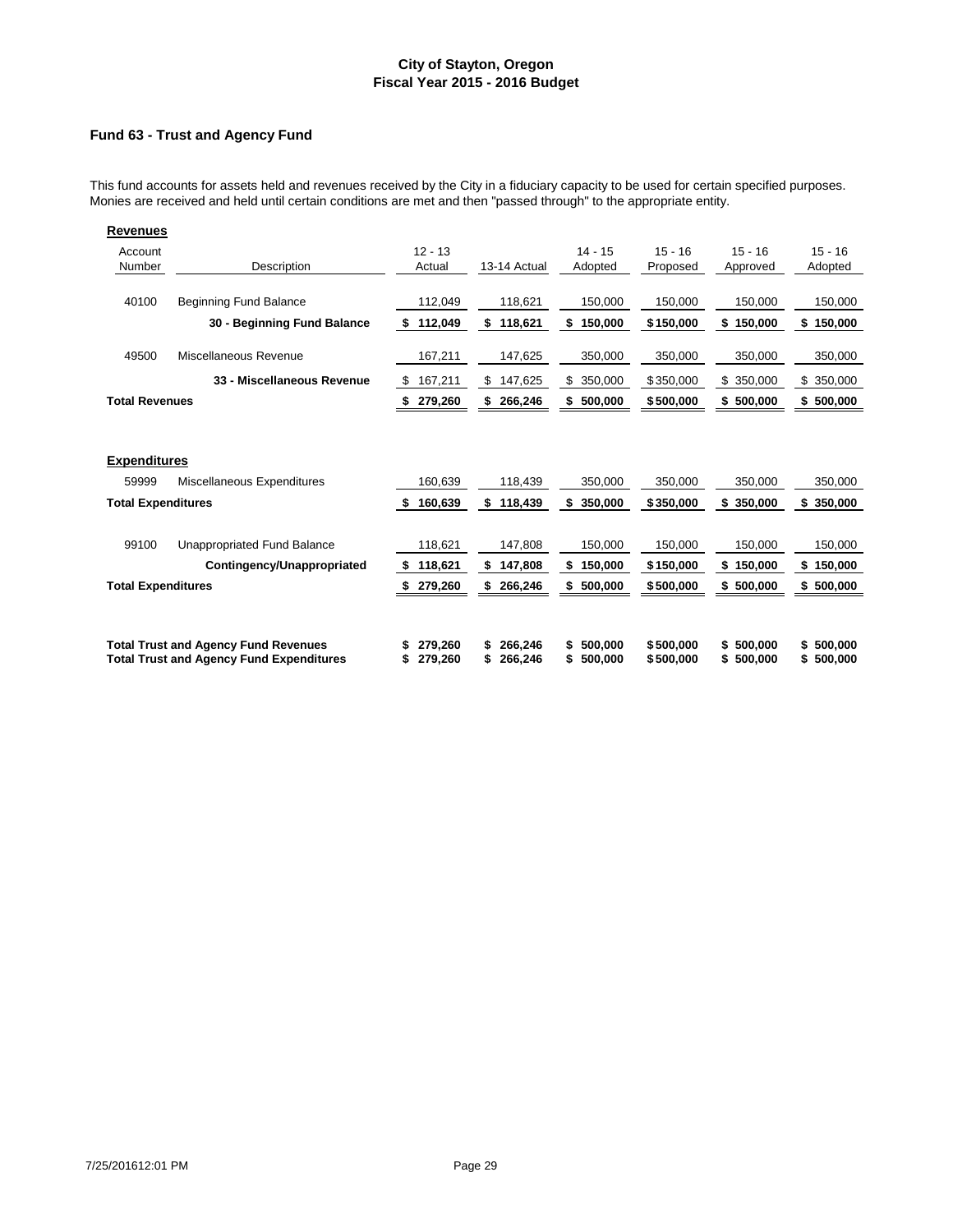### **Fund 63 - Trust and Agency Fund**

This fund accounts for assets held and revenues received by the City in a fiduciary capacity to be used for certain specified purposes. Monies are received and held until certain conditions are met and then "passed through" to the appropriate entity.

| <b>Revenues</b>              |                                                                                                |                           |                               |                               |                        |                            |                            |
|------------------------------|------------------------------------------------------------------------------------------------|---------------------------|-------------------------------|-------------------------------|------------------------|----------------------------|----------------------------|
| Account<br>Number            | Description                                                                                    | $12 - 13$<br>Actual       | 13-14 Actual                  | $14 - 15$<br>Adopted          | $15 - 16$<br>Proposed  | $15 - 16$<br>Approved      | $15 - 16$<br>Adopted       |
| 40100                        | <b>Beginning Fund Balance</b>                                                                  | 112,049                   | 118,621                       | 150,000                       | 150,000                | 150,000                    | 150,000                    |
|                              | 30 - Beginning Fund Balance                                                                    | 112,049<br>\$             | \$<br>118,621                 | 150,000<br>\$                 | \$150,000              | \$150,000                  | \$150,000                  |
| 49500                        | Miscellaneous Revenue                                                                          | 167,211                   | 147,625                       | 350,000                       | 350,000                | 350,000                    | 350,000                    |
|                              | 33 - Miscellaneous Revenue                                                                     | 167,211<br>-\$            | 147,625<br>\$                 | \$<br>350,000                 | \$350,000              | \$350,000                  | \$350,000                  |
| <b>Total Revenues</b>        |                                                                                                | \$279,260                 | \$266,246                     | \$500,000                     | \$500,000              | \$500,000                  | \$500,000                  |
| <b>Expenditures</b><br>59999 | Miscellaneous Expenditures                                                                     | 160,639                   | 118,439                       | 350,000                       | 350,000                | 350,000                    | 350,000                    |
| <b>Total Expenditures</b>    |                                                                                                | 160,639<br>S              | \$<br>118,439                 | \$<br>350,000                 | \$350,000              | \$350,000                  | \$<br>350,000              |
| 99100                        | Unappropriated Fund Balance<br>Contingency/Unappropriated                                      | 118,621<br>118,621<br>-\$ | 147,808<br>\$<br>147,808      | 150,000<br>\$<br>150,000      | 150,000<br>\$150,000   | 150.000<br>\$150,000       | 150,000<br>\$150,000       |
| <b>Total Expenditures</b>    |                                                                                                | 279,260<br>S              | \$<br>266,246                 | \$<br>500,000                 | \$500,000              | \$500,000                  | \$500,000                  |
|                              |                                                                                                |                           |                               |                               |                        |                            |                            |
|                              | <b>Total Trust and Agency Fund Revenues</b><br><b>Total Trust and Agency Fund Expenditures</b> | 279,260<br>279,260<br>S   | 266,246<br>S<br>266,246<br>\$ | \$<br>500,000<br>500,000<br>S | \$500,000<br>\$500,000 | \$500,000<br>500,000<br>S. | \$500,000<br>500,000<br>\$ |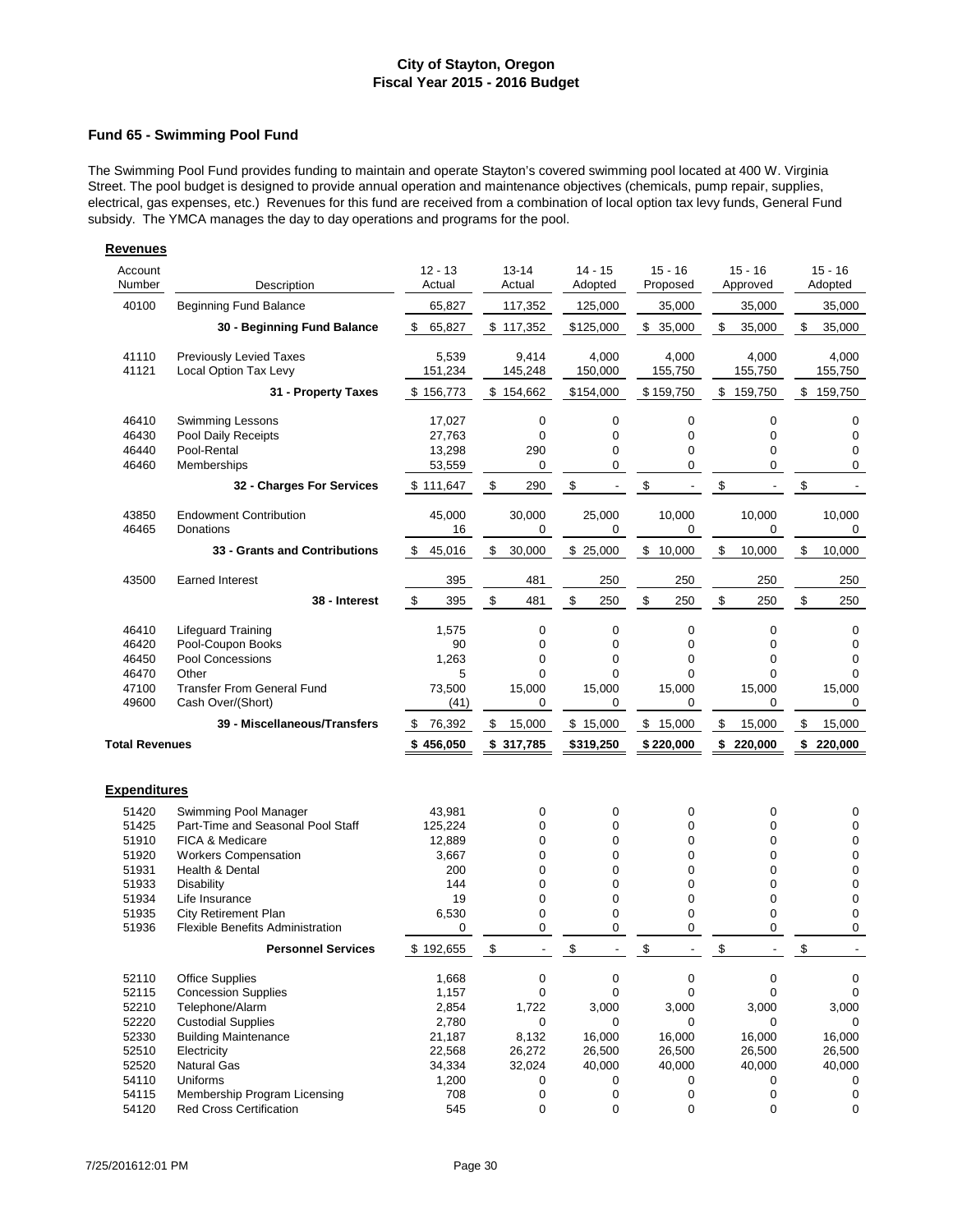### **Fund 65 - Swimming Pool Fund**

The Swimming Pool Fund provides funding to maintain and operate Stayton's covered swimming pool located at 400 W. Virginia Street. The pool budget is designed to provide annual operation and maintenance objectives (chemicals, pump repair, supplies, electrical, gas expenses, etc.) Revenues for this fund are received from a combination of local option tax levy funds, General Fund subsidy. The YMCA manages the day to day operations and programs for the pool.

| Account<br>$12 - 13$<br>$13 - 14$<br>$14 - 15$<br>$15 - 16$<br>$15 - 16$<br>Number<br>Actual<br>Adopted<br>Description<br>Actual<br>Proposed<br>Approved<br>40100<br><b>Beginning Fund Balance</b><br>65,827<br>117,352<br>35,000<br>125,000<br>35,000<br>\$117,352<br>\$<br>\$<br>30 - Beginning Fund Balance<br>\$<br>65,827<br>\$125,000<br>\$35,000<br>35,000<br>5,539<br>9,414<br>4,000<br>41110<br><b>Previously Levied Taxes</b><br>4,000<br>4,000<br>41121<br>Local Option Tax Levy<br>151,234<br>145,248<br>150,000<br>155,750<br>155,750<br>\$154,662<br>\$154,000<br>\$<br>\$<br>31 - Property Taxes<br>\$156,773<br>\$159,750<br>159,750<br>46410<br><b>Swimming Lessons</b><br>17,027<br>0<br>0<br>0<br>0<br>46430<br>27,763<br>$\mathbf 0$<br>Pool Daily Receipts<br>0<br>0<br>$\mathbf 0$<br>46440<br>Pool-Rental<br>13,298<br>290<br>0<br>0<br>$\mathbf 0$<br>0<br>0<br>0<br>46460<br>Memberships<br>53,559<br>0<br>\$<br>\$<br>\$<br>\$<br>290<br>\$<br>32 - Charges For Services<br>\$111,647<br>$\overline{\phantom{a}}$<br>$\overline{\phantom{a}}$<br>$\overline{\phantom{a}}$<br>45,000<br>30,000<br>25,000<br>10,000<br>10,000<br>43850<br><b>Endowment Contribution</b><br>46465<br>Donations<br>16<br>0<br>0<br>0<br>0<br>\$<br>30,000<br>\$25,000<br>\$<br>10,000<br>\$<br>10,000<br>33 - Grants and Contributions<br>\$45,016<br>\$<br><b>Earned Interest</b><br>43500<br>395<br>481<br>250<br>250<br>250<br>$\,$<br>\$<br>$\sqrt[6]{\frac{1}{2}}$<br>\$<br>$\mathfrak s$<br>\$<br>395<br>481<br>250<br>250<br>250<br>38 - Interest<br>$\pmb{0}$<br>0<br>46410<br><b>Lifequard Training</b><br>1,575<br>0<br>0<br>46420<br>90<br>$\mathbf 0$<br>0<br>0<br>$\Omega$<br>Pool-Coupon Books<br>$\mathbf 0$<br>46450<br>Pool Concessions<br>1,263<br>0<br>0<br>$\mathbf 0$<br>46470<br>Other<br>5<br>0<br>0<br>$\mathbf 0$<br>$\mathbf 0$<br>47100<br>73,500<br>15,000<br>15,000<br>15,000<br>15,000<br><b>Transfer From General Fund</b><br>49600<br>Cash Over/(Short)<br>0<br>0<br>0<br>0<br>(41)<br>\$<br>\$<br>15,000<br>\$<br>39 - Miscellaneous/Transfers<br>76,392<br>15,000<br>\$15,000<br>\$15,000<br><b>Total Revenues</b><br>\$456,050<br>\$220,000<br>\$317,785<br>\$319,250<br>\$220,000<br><b>Expenditures</b><br>51420<br>Swimming Pool Manager<br>43,981<br>0<br>0<br>0<br>0<br>51425<br>Part-Time and Seasonal Pool Staff<br>125,224<br>0<br>0<br>0<br>0<br>51910<br>0<br>0<br>$\mathbf 0$<br>$\mathbf 0$<br><b>FICA &amp; Medicare</b><br>12,889<br>51920<br><b>Workers Compensation</b><br>3,667<br>0<br>0<br>0<br>0<br>51931<br>Health & Dental<br>200<br>0<br>0<br>0<br>$\mathbf 0$<br>51933<br>$\mathbf 0$<br>0<br>0<br>0<br>Disability<br>144<br>19<br>$\mathbf 0$<br>0<br>0<br>0<br>51934<br>Life Insurance<br>0<br>51935<br><b>City Retirement Plan</b><br>6,530<br>0<br>0<br>0<br>0<br>51936<br><b>Flexible Benefits Administration</b><br>0<br>0<br>0<br>$\mathbf 0$<br>\$<br>\$<br>\$<br>\$<br><b>Personnel Services</b><br>\$<br>\$192,655<br>0<br>0<br>52110<br><b>Office Supplies</b><br>1,668<br>0<br>0<br>52115<br><b>Concession Supplies</b><br>0<br>0<br>$\mathbf 0$<br>$\mathbf 0$<br>1,157<br>52210<br>Telephone/Alarm<br>3,000<br>3,000<br>3,000<br>2,854 |                                                                               |  |  |       |  | <b>Revenues</b> |
|-----------------------------------------------------------------------------------------------------------------------------------------------------------------------------------------------------------------------------------------------------------------------------------------------------------------------------------------------------------------------------------------------------------------------------------------------------------------------------------------------------------------------------------------------------------------------------------------------------------------------------------------------------------------------------------------------------------------------------------------------------------------------------------------------------------------------------------------------------------------------------------------------------------------------------------------------------------------------------------------------------------------------------------------------------------------------------------------------------------------------------------------------------------------------------------------------------------------------------------------------------------------------------------------------------------------------------------------------------------------------------------------------------------------------------------------------------------------------------------------------------------------------------------------------------------------------------------------------------------------------------------------------------------------------------------------------------------------------------------------------------------------------------------------------------------------------------------------------------------------------------------------------------------------------------------------------------------------------------------------------------------------------------------------------------------------------------------------------------------------------------------------------------------------------------------------------------------------------------------------------------------------------------------------------------------------------------------------------------------------------------------------------------------------------------------------------------------------------------------------------------------------------------------------------------------------------------------------------------------------------------------------------------------------------------------------------------------------------------------------------------------------------------------------------------------------------------------------------------------------------------------------------------------------------------------------------------------------------------------------------------------------------------------------------------------------------------------------------------------------------------------------------------------------------------------------------------------------------|-------------------------------------------------------------------------------|--|--|-------|--|-----------------|
|                                                                                                                                                                                                                                                                                                                                                                                                                                                                                                                                                                                                                                                                                                                                                                                                                                                                                                                                                                                                                                                                                                                                                                                                                                                                                                                                                                                                                                                                                                                                                                                                                                                                                                                                                                                                                                                                                                                                                                                                                                                                                                                                                                                                                                                                                                                                                                                                                                                                                                                                                                                                                                                                                                                                                                                                                                                                                                                                                                                                                                                                                                                                                                                                                       | $15 - 16$<br>Adopted                                                          |  |  |       |  |                 |
|                                                                                                                                                                                                                                                                                                                                                                                                                                                                                                                                                                                                                                                                                                                                                                                                                                                                                                                                                                                                                                                                                                                                                                                                                                                                                                                                                                                                                                                                                                                                                                                                                                                                                                                                                                                                                                                                                                                                                                                                                                                                                                                                                                                                                                                                                                                                                                                                                                                                                                                                                                                                                                                                                                                                                                                                                                                                                                                                                                                                                                                                                                                                                                                                                       | 35,000                                                                        |  |  |       |  |                 |
|                                                                                                                                                                                                                                                                                                                                                                                                                                                                                                                                                                                                                                                                                                                                                                                                                                                                                                                                                                                                                                                                                                                                                                                                                                                                                                                                                                                                                                                                                                                                                                                                                                                                                                                                                                                                                                                                                                                                                                                                                                                                                                                                                                                                                                                                                                                                                                                                                                                                                                                                                                                                                                                                                                                                                                                                                                                                                                                                                                                                                                                                                                                                                                                                                       | 35,000                                                                        |  |  |       |  |                 |
|                                                                                                                                                                                                                                                                                                                                                                                                                                                                                                                                                                                                                                                                                                                                                                                                                                                                                                                                                                                                                                                                                                                                                                                                                                                                                                                                                                                                                                                                                                                                                                                                                                                                                                                                                                                                                                                                                                                                                                                                                                                                                                                                                                                                                                                                                                                                                                                                                                                                                                                                                                                                                                                                                                                                                                                                                                                                                                                                                                                                                                                                                                                                                                                                                       | 4,000<br>155,750                                                              |  |  |       |  |                 |
|                                                                                                                                                                                                                                                                                                                                                                                                                                                                                                                                                                                                                                                                                                                                                                                                                                                                                                                                                                                                                                                                                                                                                                                                                                                                                                                                                                                                                                                                                                                                                                                                                                                                                                                                                                                                                                                                                                                                                                                                                                                                                                                                                                                                                                                                                                                                                                                                                                                                                                                                                                                                                                                                                                                                                                                                                                                                                                                                                                                                                                                                                                                                                                                                                       | 159,750                                                                       |  |  |       |  |                 |
|                                                                                                                                                                                                                                                                                                                                                                                                                                                                                                                                                                                                                                                                                                                                                                                                                                                                                                                                                                                                                                                                                                                                                                                                                                                                                                                                                                                                                                                                                                                                                                                                                                                                                                                                                                                                                                                                                                                                                                                                                                                                                                                                                                                                                                                                                                                                                                                                                                                                                                                                                                                                                                                                                                                                                                                                                                                                                                                                                                                                                                                                                                                                                                                                                       | 0<br>0<br>0<br>$\mathbf 0$                                                    |  |  |       |  |                 |
|                                                                                                                                                                                                                                                                                                                                                                                                                                                                                                                                                                                                                                                                                                                                                                                                                                                                                                                                                                                                                                                                                                                                                                                                                                                                                                                                                                                                                                                                                                                                                                                                                                                                                                                                                                                                                                                                                                                                                                                                                                                                                                                                                                                                                                                                                                                                                                                                                                                                                                                                                                                                                                                                                                                                                                                                                                                                                                                                                                                                                                                                                                                                                                                                                       | 10,000<br>0                                                                   |  |  |       |  |                 |
|                                                                                                                                                                                                                                                                                                                                                                                                                                                                                                                                                                                                                                                                                                                                                                                                                                                                                                                                                                                                                                                                                                                                                                                                                                                                                                                                                                                                                                                                                                                                                                                                                                                                                                                                                                                                                                                                                                                                                                                                                                                                                                                                                                                                                                                                                                                                                                                                                                                                                                                                                                                                                                                                                                                                                                                                                                                                                                                                                                                                                                                                                                                                                                                                                       | 10,000                                                                        |  |  |       |  |                 |
|                                                                                                                                                                                                                                                                                                                                                                                                                                                                                                                                                                                                                                                                                                                                                                                                                                                                                                                                                                                                                                                                                                                                                                                                                                                                                                                                                                                                                                                                                                                                                                                                                                                                                                                                                                                                                                                                                                                                                                                                                                                                                                                                                                                                                                                                                                                                                                                                                                                                                                                                                                                                                                                                                                                                                                                                                                                                                                                                                                                                                                                                                                                                                                                                                       | 250                                                                           |  |  |       |  |                 |
|                                                                                                                                                                                                                                                                                                                                                                                                                                                                                                                                                                                                                                                                                                                                                                                                                                                                                                                                                                                                                                                                                                                                                                                                                                                                                                                                                                                                                                                                                                                                                                                                                                                                                                                                                                                                                                                                                                                                                                                                                                                                                                                                                                                                                                                                                                                                                                                                                                                                                                                                                                                                                                                                                                                                                                                                                                                                                                                                                                                                                                                                                                                                                                                                                       | 250                                                                           |  |  |       |  |                 |
|                                                                                                                                                                                                                                                                                                                                                                                                                                                                                                                                                                                                                                                                                                                                                                                                                                                                                                                                                                                                                                                                                                                                                                                                                                                                                                                                                                                                                                                                                                                                                                                                                                                                                                                                                                                                                                                                                                                                                                                                                                                                                                                                                                                                                                                                                                                                                                                                                                                                                                                                                                                                                                                                                                                                                                                                                                                                                                                                                                                                                                                                                                                                                                                                                       | 0<br>0<br>0<br>0<br>15,000<br>0                                               |  |  |       |  |                 |
|                                                                                                                                                                                                                                                                                                                                                                                                                                                                                                                                                                                                                                                                                                                                                                                                                                                                                                                                                                                                                                                                                                                                                                                                                                                                                                                                                                                                                                                                                                                                                                                                                                                                                                                                                                                                                                                                                                                                                                                                                                                                                                                                                                                                                                                                                                                                                                                                                                                                                                                                                                                                                                                                                                                                                                                                                                                                                                                                                                                                                                                                                                                                                                                                                       | 15,000                                                                        |  |  |       |  |                 |
|                                                                                                                                                                                                                                                                                                                                                                                                                                                                                                                                                                                                                                                                                                                                                                                                                                                                                                                                                                                                                                                                                                                                                                                                                                                                                                                                                                                                                                                                                                                                                                                                                                                                                                                                                                                                                                                                                                                                                                                                                                                                                                                                                                                                                                                                                                                                                                                                                                                                                                                                                                                                                                                                                                                                                                                                                                                                                                                                                                                                                                                                                                                                                                                                                       | \$220,000                                                                     |  |  |       |  |                 |
|                                                                                                                                                                                                                                                                                                                                                                                                                                                                                                                                                                                                                                                                                                                                                                                                                                                                                                                                                                                                                                                                                                                                                                                                                                                                                                                                                                                                                                                                                                                                                                                                                                                                                                                                                                                                                                                                                                                                                                                                                                                                                                                                                                                                                                                                                                                                                                                                                                                                                                                                                                                                                                                                                                                                                                                                                                                                                                                                                                                                                                                                                                                                                                                                                       |                                                                               |  |  |       |  |                 |
|                                                                                                                                                                                                                                                                                                                                                                                                                                                                                                                                                                                                                                                                                                                                                                                                                                                                                                                                                                                                                                                                                                                                                                                                                                                                                                                                                                                                                                                                                                                                                                                                                                                                                                                                                                                                                                                                                                                                                                                                                                                                                                                                                                                                                                                                                                                                                                                                                                                                                                                                                                                                                                                                                                                                                                                                                                                                                                                                                                                                                                                                                                                                                                                                                       | 0<br>0<br>$\mathbf 0$<br>$\pmb{0}$<br>0<br>$\mathbf 0$<br>$\pmb{0}$<br>0<br>0 |  |  |       |  |                 |
|                                                                                                                                                                                                                                                                                                                                                                                                                                                                                                                                                                                                                                                                                                                                                                                                                                                                                                                                                                                                                                                                                                                                                                                                                                                                                                                                                                                                                                                                                                                                                                                                                                                                                                                                                                                                                                                                                                                                                                                                                                                                                                                                                                                                                                                                                                                                                                                                                                                                                                                                                                                                                                                                                                                                                                                                                                                                                                                                                                                                                                                                                                                                                                                                                       |                                                                               |  |  |       |  |                 |
| 52220<br><b>Custodial Supplies</b><br>2,780<br>0<br>0<br>0<br>0                                                                                                                                                                                                                                                                                                                                                                                                                                                                                                                                                                                                                                                                                                                                                                                                                                                                                                                                                                                                                                                                                                                                                                                                                                                                                                                                                                                                                                                                                                                                                                                                                                                                                                                                                                                                                                                                                                                                                                                                                                                                                                                                                                                                                                                                                                                                                                                                                                                                                                                                                                                                                                                                                                                                                                                                                                                                                                                                                                                                                                                                                                                                                       | 0<br>$\mathbf 0$<br>3,000<br>$\Omega$                                         |  |  | 1,722 |  |                 |
| 52330<br><b>Building Maintenance</b><br>21,187<br>8,132<br>16,000<br>16,000<br>16,000<br>52510<br>Electricity<br>22,568<br>26,272<br>26,500<br>26,500<br>26,500<br>52520<br>Natural Gas<br>34,334<br>32,024<br>40,000<br>40,000<br>40,000<br>54110<br>Uniforms<br>1,200<br>0<br>0<br>0<br>0<br>Membership Program Licensing<br>54115<br>708<br>$\mathbf 0$<br>0<br>0<br>$\mathsf 0$<br>$\mathbf 0$<br>$\overline{0}$<br>$\overline{0}$<br>$\mathbf 0$<br><b>Red Cross Certification</b><br>545<br>54120                                                                                                                                                                                                                                                                                                                                                                                                                                                                                                                                                                                                                                                                                                                                                                                                                                                                                                                                                                                                                                                                                                                                                                                                                                                                                                                                                                                                                                                                                                                                                                                                                                                                                                                                                                                                                                                                                                                                                                                                                                                                                                                                                                                                                                                                                                                                                                                                                                                                                                                                                                                                                                                                                                               | 16,000<br>26,500<br>40,000<br>0<br>$\mathsf 0$<br>$\mathbf 0$                 |  |  |       |  |                 |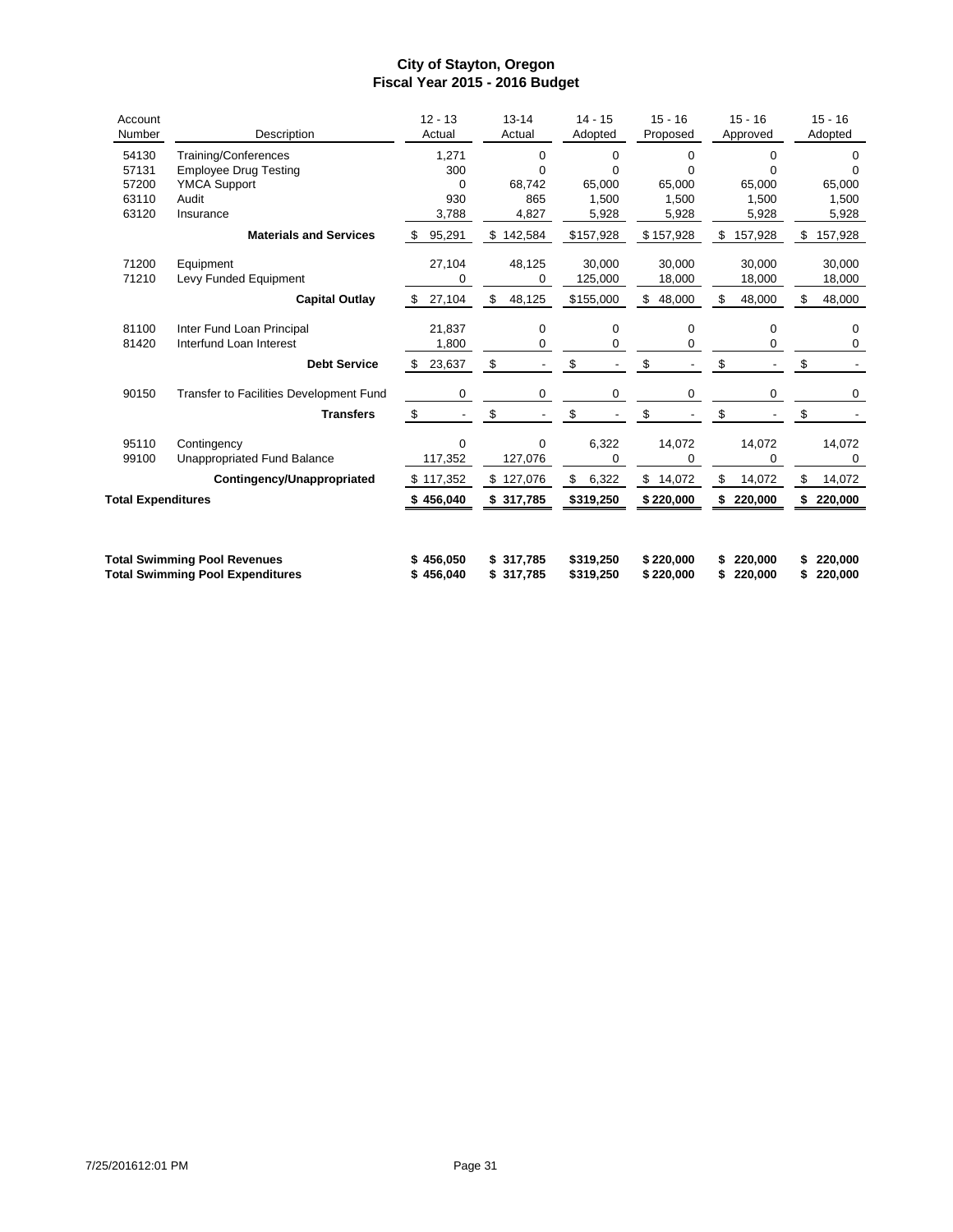| Account<br>Number         | Description                             | $12 - 13$<br>Actual            | $13 - 14$<br>Actual  | $14 - 15$<br>Adopted | $15 - 16$<br>Proposed | $15 - 16$<br>Approved | $15 - 16$<br>Adopted |
|---------------------------|-----------------------------------------|--------------------------------|----------------------|----------------------|-----------------------|-----------------------|----------------------|
| 54130                     | Training/Conferences                    | 1,271                          | $\Omega$             | $\Omega$             | $\Omega$              | $\Omega$              | 0                    |
| 57131                     | <b>Employee Drug Testing</b>            | 300                            | $\Omega$             | 0                    | 0                     | 0                     | $\Omega$             |
| 57200                     | <b>YMCA Support</b>                     | 0                              | 68,742               | 65.000               | 65,000                | 65,000                | 65,000               |
| 63110                     | Audit                                   | 930                            | 865                  | 1,500                | 1.500                 | 1.500                 | 1,500                |
| 63120                     | Insurance                               | 3,788                          | 4,827                | 5,928                | 5,928                 | 5,928                 | 5,928                |
|                           | <b>Materials and Services</b>           | 95,291<br>-\$                  | \$<br>142,584        | \$157,928            | \$157,928             | 157,928<br>\$         | 157,928<br>\$        |
| 71200                     | Equipment                               | 27,104                         | 48,125               | 30.000               | 30.000                | 30.000                | 30,000               |
| 71210                     | Levy Funded Equipment                   | 0                              | 0                    | 125,000              | 18,000                | 18,000                | 18,000               |
|                           | <b>Capital Outlay</b>                   | 27,104<br>\$                   | \$<br>48,125         | \$155,000            | 48,000<br>S           | \$<br>48,000          | \$<br>48,000         |
| 81100                     | Inter Fund Loan Principal               | 21,837                         | $\mathbf 0$          | $\mathbf 0$          | $\mathbf 0$           | $\mathbf 0$           | 0                    |
| 81420                     | Interfund Loan Interest                 | 1,800                          | 0                    | 0                    | 0                     | 0                     | 0                    |
|                           | <b>Debt Service</b>                     | \$<br>23,637                   | \$                   | \$                   | \$                    | \$                    | \$                   |
| 90150                     | Transfer to Facilities Development Fund | 0                              | 0                    | 0                    | 0                     | 0                     | 0                    |
|                           | <b>Transfers</b>                        | \$<br>$\overline{\phantom{a}}$ | \$<br>$\blacksquare$ | \$                   | \$                    | \$                    | \$                   |
| 95110                     | Contingency                             | 0                              | $\Omega$             | 6,322                | 14,072                | 14,072                | 14,072               |
| 99100                     | Unappropriated Fund Balance             | 117,352                        | 127,076              | 0                    | 0                     | 0                     | 0                    |
|                           | Contingency/Unappropriated              | \$117,352                      | 127,076<br>\$        | \$<br>6,322          | \$<br>14,072          | \$<br>14,072          | \$<br>14,072         |
| <b>Total Expenditures</b> |                                         | 456,040                        | 317,785<br>\$        | \$319,250            | \$220,000             | 220,000<br>\$         | 220,000              |
|                           |                                         |                                |                      |                      |                       |                       |                      |
|                           | <b>Total Swimming Pool Revenues</b>     | \$456,050                      | \$317,785            | \$319,250            | \$220,000             | 220,000               | 220,000              |
|                           | <b>Total Swimming Pool Expenditures</b> | \$456,040                      | \$<br>317,785        | \$319,250            | \$220,000             | 220,000<br>\$         | 220,000              |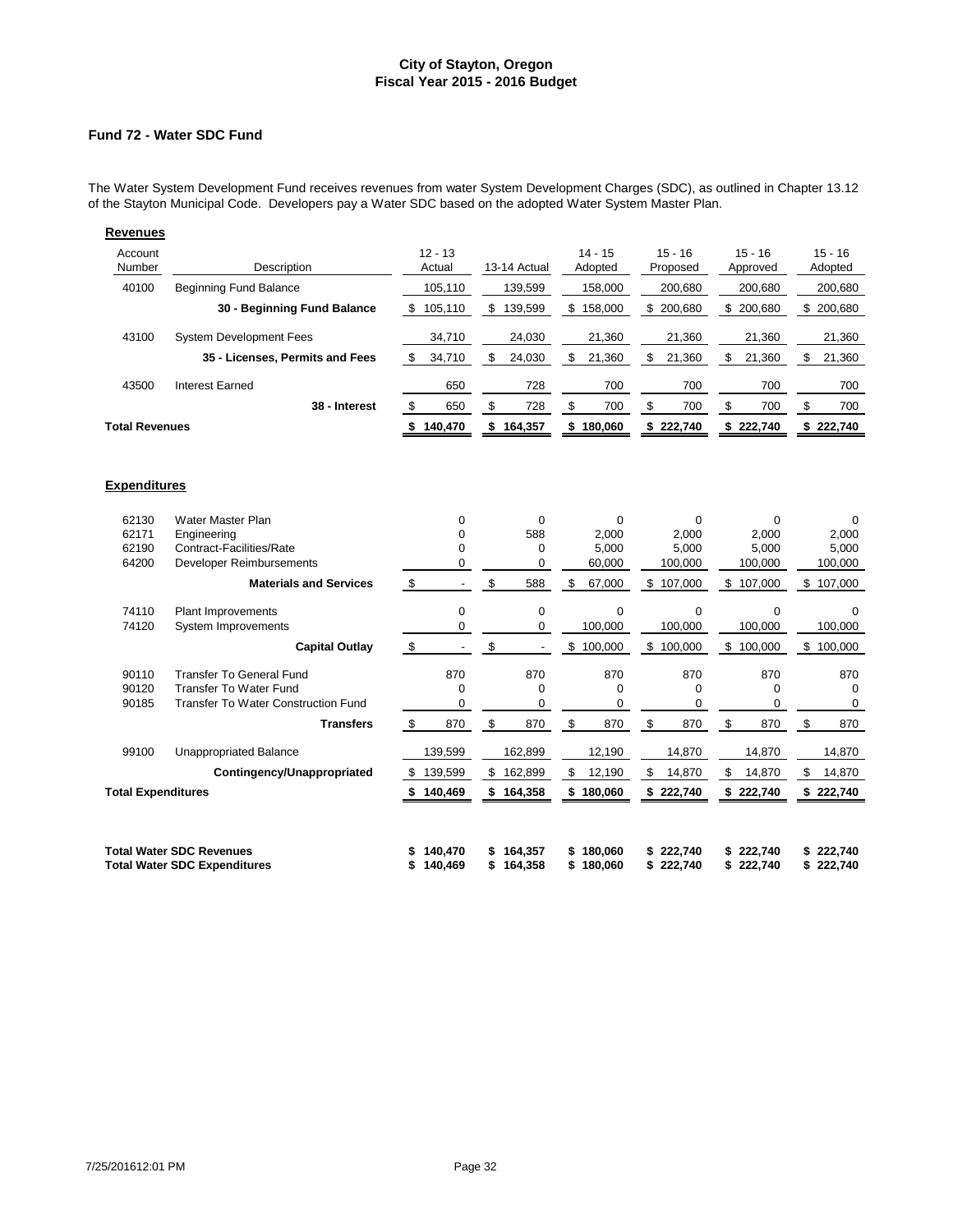# **Fund 72 - Water SDC Fund**

The Water System Development Fund receives revenues from water System Development Charges (SDC), as outlined in Chapter 13.12 of the Stayton Municipal Code. Developers pay a Water SDC based on the adopted Water System Master Plan.

| <b>Revenues</b>       |                                                         |                     |                 |                      |                       |                       |                      |
|-----------------------|---------------------------------------------------------|---------------------|-----------------|----------------------|-----------------------|-----------------------|----------------------|
| Account<br>Number     | Description                                             | $12 - 13$<br>Actual | 13-14 Actual    | $14 - 15$<br>Adopted | $15 - 16$<br>Proposed | $15 - 16$<br>Approved | $15 - 16$<br>Adopted |
| 40100                 | <b>Beginning Fund Balance</b>                           | 105,110             | 139,599         | 158,000              | 200,680               | 200,680               | 200,680              |
|                       | 30 - Beginning Fund Balance                             | 105,110<br>\$       | 139,599<br>\$   | \$<br>158,000        | 200,680<br>\$         | \$<br>200,680         | 200,680<br>\$        |
| 43100                 | <b>System Development Fees</b>                          | 34,710              | 24,030          | 21,360               | 21,360                | 21,360                | 21,360               |
|                       | 35 - Licenses, Permits and Fees                         | \$<br>34,710        | \$<br>24,030    | 21,360<br>\$         | \$<br>21,360          | \$<br>21,360          | 21,360<br>\$         |
| 43500                 | <b>Interest Earned</b>                                  | 650                 | 728             | 700                  | 700                   | 700                   | 700                  |
|                       | 38 - Interest                                           | \$<br>650           | \$<br>728       | \$<br>700            | 700<br>S              | 700<br>\$             | 700<br>\$.           |
| <b>Total Revenues</b> |                                                         | 140,470             | 164,357<br>S.   | 180,060<br>S.        | 222,740<br>\$         | 222,740<br>s.         | 222,740              |
| <b>Expenditures</b>   |                                                         |                     |                 |                      |                       |                       |                      |
| 62130<br>00171        | Water Master Plan<br><b>The sales of the collection</b> | 0<br>$\sim$         | 0<br>$\sqrt{2}$ | 0<br>0.000           | 0<br>0.000            | 0<br>o ooo            | 0<br>0.000           |

| 62171                     | Engineering                         |           |     | 588     |     | 2,000    |    | 2,000   | 2,000         |     | 2,000   |
|---------------------------|-------------------------------------|-----------|-----|---------|-----|----------|----|---------|---------------|-----|---------|
| 62190                     | Contract-Facilities/Rate            |           |     | 0       |     | 5,000    |    | 5,000   | 5,000         |     | 5,000   |
| 64200                     | Developer Reimbursements            |           |     | 0       |     | 60,000   |    | 100,000 | 100,000       |     | 100,000 |
|                           | <b>Materials and Services</b>       | \$        | \$  | 588     | \$  | 67,000   | \$ | 107,000 | \$<br>107,000 | \$  | 107,000 |
| 74110                     | <b>Plant Improvements</b>           | 0         |     | 0       |     | $\Omega$ |    | 0       | $\Omega$      |     | U       |
| 74120                     | System Improvements                 |           |     | 0       |     | 100,000  |    | 100,000 | 100,000       |     | 100,000 |
|                           | <b>Capital Outlay</b>               | \$        | \$  |         | \$  | 100,000  | \$ | 100,000 | \$<br>100,000 | \$  | 100,000 |
| 90110                     | Transfer To General Fund            | 870       |     | 870     |     | 870      |    | 870     | 870           |     | 870     |
| 90120                     | Transfer To Water Fund              |           |     | 0       |     | 0        |    | 0       | 0             |     | 0       |
| 90185                     | Transfer To Water Construction Fund | 0         |     | 0       |     | 0        |    | 0       | 0             |     | 0       |
|                           | <b>Transfers</b>                    | \$<br>870 | \$  | 870     | \$. | 870      | \$ | 870     | \$<br>870     | \$. | 870     |
| 99100                     | <b>Unappropriated Balance</b>       | 139,599   |     | 162,899 |     | 12,190   |    | 14,870  | 14,870        |     | 14,870  |
|                           | Contingency/Unappropriated          | 139,599   | \$  | 162,899 | S   | 12,190   | \$ | 14,870  | \$<br>14,870  | \$  | 14,870  |
| <b>Total Expenditures</b> |                                     | 140,469   |     | 164,358 | \$  | 180,060  | \$ | 222,740 | \$222,740     | \$  | 222,740 |
|                           |                                     |           |     |         |     |          |    |         |               |     |         |
|                           | <b>Total Water SDC Revenues</b>     | 140,470   | \$. | 164,357 | \$  | 180,060  | S  | 222,740 | \$222,740     | \$  | 222,740 |
|                           | <b>Total Water SDC Expenditures</b> | 140,469   |     | 164,358 |     | 180,060  |    | 222,740 | 222,740       |     | 222,740 |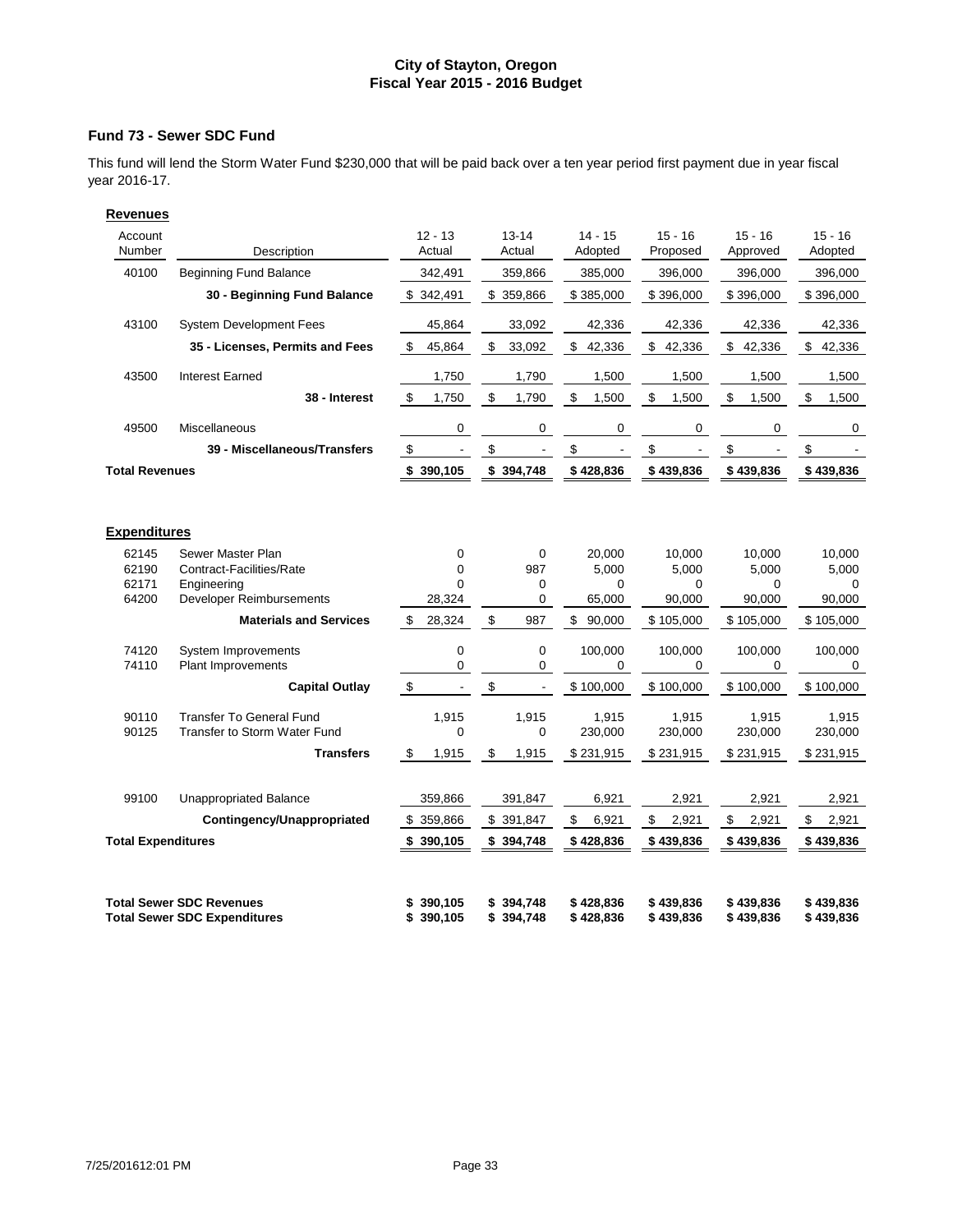### **Fund 73 - Sewer SDC Fund**

This fund will lend the Storm Water Fund \$230,000 that will be paid back over a ten year period first payment due in year fiscal year 2016-17.

| Account<br>Number         | Description                                                            | $12 - 13$<br>Actual                          | $13 - 14$<br>Actual        | $14 - 15$<br>Adopted   | $15 - 16$<br>Proposed  | $15 - 16$<br>Approved  | $15 - 16$<br>Adopted   |
|---------------------------|------------------------------------------------------------------------|----------------------------------------------|----------------------------|------------------------|------------------------|------------------------|------------------------|
| 40100                     | <b>Beginning Fund Balance</b>                                          | 342,491                                      | 359,866                    | 385,000                | 396,000                | 396,000                | 396,000                |
|                           | 30 - Beginning Fund Balance                                            | \$342,491                                    | \$359,866                  | \$385,000              | \$396,000              | \$396,000              | \$396,000              |
| 43100                     | <b>System Development Fees</b>                                         | 45,864                                       | 33,092                     | 42,336                 | 42,336                 | 42,336                 | 42,336                 |
|                           | 35 - Licenses, Permits and Fees                                        | \$<br>45,864                                 | \$<br>33,092               | \$42,336               | \$42,336               | \$<br>42,336           | \$<br>42,336           |
| 43500                     | <b>Interest Earned</b>                                                 | 1,750                                        | 1,790                      | 1,500                  | 1,500                  | 1,500                  | 1,500                  |
|                           | 38 - Interest                                                          | \$<br>1,750                                  | \$<br>1,790                | \$<br>1,500            | \$<br>1,500            | \$<br>1,500            | \$<br>1,500            |
| 49500                     | Miscellaneous                                                          | 0                                            | 0                          | 0                      | $\mathbf 0$            | $\mathbf 0$            | 0                      |
|                           | 39 - Miscellaneous/Transfers                                           | $\,$<br>$\blacksquare$                       | \$<br>$\blacksquare$       | \$<br>$\blacksquare$   | \$<br>$\blacksquare$   | \$                     | \$                     |
| <b>Total Revenues</b>     |                                                                        | \$390,105                                    | \$394,748                  | \$428,836              | \$439,836              | \$439,836              | \$439,836              |
|                           |                                                                        |                                              |                            |                        |                        |                        |                        |
| <b>Expenditures</b>       |                                                                        |                                              |                            |                        |                        |                        |                        |
| 62145                     | Sewer Master Plan                                                      | 0                                            | 0                          | 20,000                 | 10,000                 | 10,000                 | 10,000                 |
| 62190<br>62171            | Contract-Facilities/Rate                                               | 0<br>$\Omega$                                | 987                        | 5,000                  | 5,000                  | 5,000                  | 5,000                  |
| 64200                     | Engineering<br>Developer Reimbursements                                | 28,324                                       | 0<br>0                     | $\Omega$<br>65,000     | 0<br>90,000            | $\Omega$<br>90,000     | 0<br>90,000            |
|                           | <b>Materials and Services</b>                                          | \$<br>28,324                                 | \$<br>987                  | \$<br>90,000           | \$105,000              | \$105,000              | \$105,000              |
| 74120                     | <b>System Improvements</b>                                             | $\mathbf 0$                                  | 0                          | 100,000                | 100,000                | 100,000                | 100,000                |
| 74110                     | <b>Plant Improvements</b>                                              | 0                                            | 0                          | $\mathbf 0$            | 0                      | 0                      | 0                      |
|                           | <b>Capital Outlay</b>                                                  | $\boldsymbol{\mathsf{\$}}$<br>$\overline{a}$ | \$<br>$\blacksquare$       | \$100,000              | \$100,000              | \$100,000              | \$100,000              |
| 90110                     | <b>Transfer To General Fund</b>                                        | 1,915                                        | 1,915                      | 1,915                  | 1,915                  | 1,915                  | 1,915                  |
| 90125                     | <b>Transfer to Storm Water Fund</b>                                    | 0                                            | 0                          | 230,000                | 230,000                | 230,000                | 230,000                |
|                           | <b>Transfers</b>                                                       | \$<br>1,915                                  | \$<br>1,915                | \$231,915              | \$231,915              | \$231,915              | \$231,915              |
| 99100                     | Unappropriated Balance                                                 | 359,866                                      | 391,847                    | 6,921                  | 2,921                  | 2,921                  | 2,921                  |
|                           | Contingency/Unappropriated                                             | \$ 359,866                                   | \$ 391,847                 | \$<br>6,921            | \$<br>2,921            | \$<br>2,921            | \$<br>2,921            |
| <b>Total Expenditures</b> |                                                                        | \$<br>390,105                                | \$ 394,748                 | \$428,836              | \$439,836              | \$439,836              | \$439,836              |
|                           |                                                                        |                                              |                            |                        |                        |                        |                        |
|                           | <b>Total Sewer SDC Revenues</b><br><b>Total Sewer SDC Expenditures</b> | 390,105<br>390,105<br>\$                     | 394,748<br>\$<br>\$394,748 | \$428,836<br>\$428,836 | \$439,836<br>\$439,836 | \$439,836<br>\$439,836 | \$439,836<br>\$439,836 |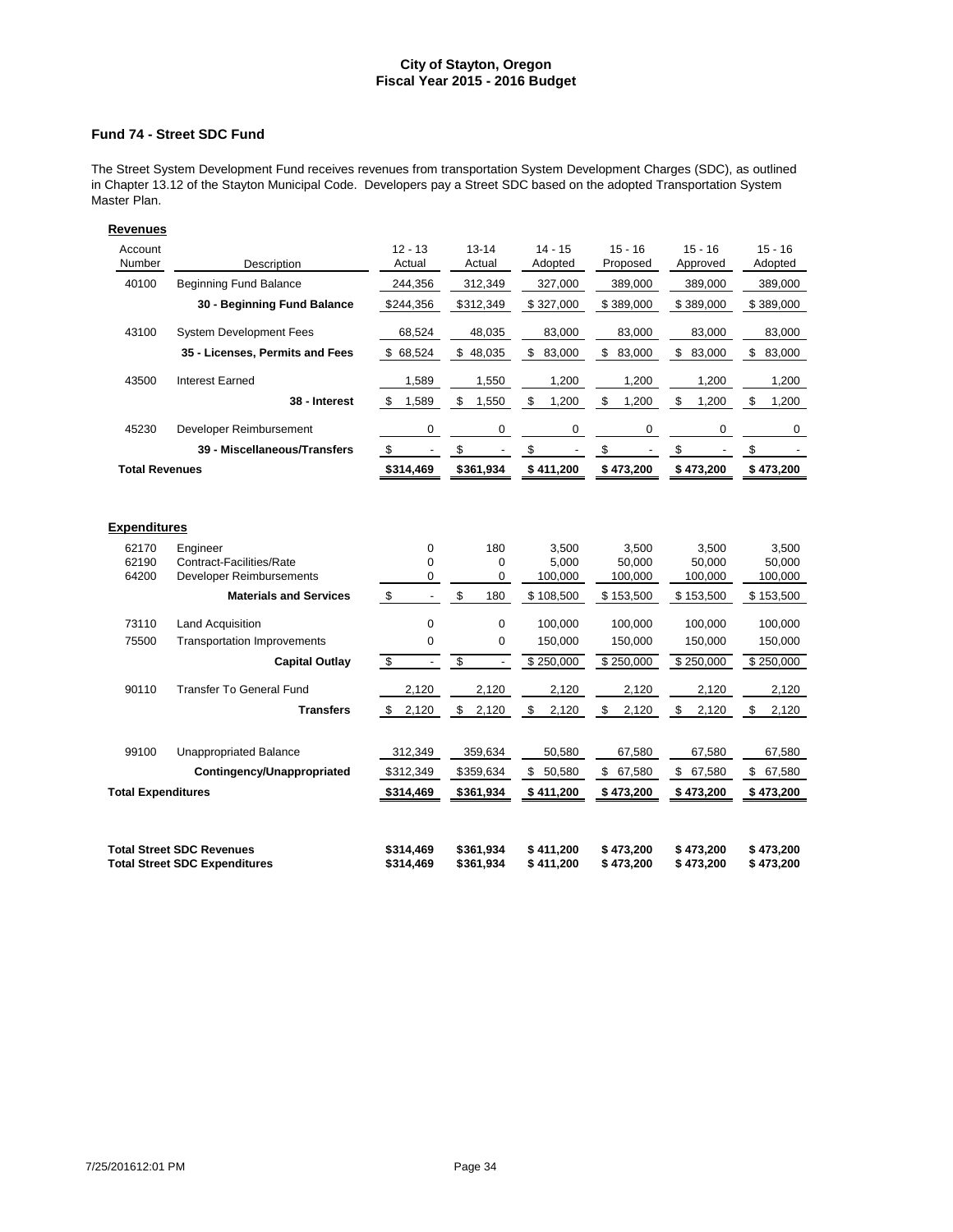# **Fund 74 - Street SDC Fund**

The Street System Development Fund receives revenues from transportation System Development Charges (SDC), as outlined in Chapter 13.12 of the Stayton Municipal Code. Developers pay a Street SDC based on the adopted Transportation System Master Plan.

| Revenues                  |                                                                          |                                       |                                                     |                         |                        |                        |                         |
|---------------------------|--------------------------------------------------------------------------|---------------------------------------|-----------------------------------------------------|-------------------------|------------------------|------------------------|-------------------------|
| Account                   |                                                                          | $12 - 13$                             | $13 - 14$                                           | $14 - 15$               | $15 - 16$              | $15 - 16$              | $15 - 16$               |
| Number                    | Description                                                              | Actual                                | Actual                                              | Adopted                 | Proposed               | Approved               | Adopted                 |
| 40100                     | <b>Beginning Fund Balance</b>                                            | 244.356                               | 312,349                                             | 327.000                 | 389.000                | 389,000                | 389,000                 |
|                           | 30 - Beginning Fund Balance                                              | \$244,356                             | \$312,349                                           | \$327,000               | \$389,000              | \$389,000              | \$389,000               |
| 43100                     | <b>System Development Fees</b>                                           | 68,524                                | 48,035                                              | 83,000                  | 83,000                 | 83,000                 | 83.000                  |
|                           | 35 - Licenses, Permits and Fees                                          | \$68,524                              | \$48,035                                            | \$<br>83,000            | \$<br>83,000           | \$<br>83,000           | $\frac{2}{3}$<br>83,000 |
| 43500                     | Interest Earned                                                          | 1,589                                 | 1,550                                               | 1,200                   | 1,200                  | 1,200                  | 1,200                   |
|                           | 38 - Interest                                                            | \$<br>1,589                           | \$<br>1,550                                         | \$<br>1,200             | \$<br>1,200            | \$<br>1,200            | \$<br>1,200             |
| 45230                     | Developer Reimbursement                                                  | 0                                     | 0                                                   | 0                       | $\mathbf 0$            | $\mathbf 0$            | 0                       |
|                           | 39 - Miscellaneous/Transfers                                             | \$<br>$\overline{\phantom{a}}$        | \$<br>$\overline{\phantom{a}}$                      | \$<br>$\frac{1}{2}$     | \$                     | \$                     | \$                      |
| <b>Total Revenues</b>     |                                                                          | \$314,469                             | \$361,934                                           | \$411,200               | \$473,200              | \$473,200              | \$473,200               |
| <b>Expenditures</b>       |                                                                          |                                       |                                                     |                         |                        |                        |                         |
|                           |                                                                          |                                       |                                                     |                         |                        |                        |                         |
| 62170                     | Engineer                                                                 | $\mathbf 0$                           | 180                                                 | 3,500                   | 3,500                  | 3.500                  | 3.500                   |
| 62190                     | Contract-Facilities/Rate                                                 | 0                                     | 0                                                   | 5,000                   | 50,000                 | 50,000                 | 50,000                  |
| 64200                     | Developer Reimbursements                                                 | 0                                     | 0                                                   | 100,000                 | 100,000                | 100,000                | 100,000                 |
|                           | <b>Materials and Services</b>                                            | \$<br>$\overline{a}$                  | $$\mathbb{S}$$<br>180                               | \$108,500               | \$153,500              | \$153,500              | \$153,500               |
| 73110                     | <b>Land Acquisition</b>                                                  | 0                                     | $\mathbf 0$                                         | 100,000                 | 100,000                | 100,000                | 100,000                 |
| 75500                     | <b>Transportation Improvements</b>                                       | 0                                     | $\mathbf 0$                                         | 150,000                 | 150,000                | 150,000                | 150,000                 |
|                           | <b>Capital Outlay</b>                                                    | $\bullet$<br>$\overline{\phantom{a}}$ | $\overline{\mathbf{S}}$<br>$\overline{\phantom{a}}$ | \$250,000               | \$250,000              | \$250,000              | \$250,000               |
| 90110                     | Transfer To General Fund                                                 | 2,120                                 | 2,120                                               | 2,120                   | 2,120                  | 2,120                  | 2,120                   |
|                           | <b>Transfers</b>                                                         | \$<br>2,120                           | \$<br>2,120                                         | $$\mathbb{S}$$<br>2,120 | \$<br>2,120            | \$<br>2,120            | \$<br>2,120             |
|                           |                                                                          |                                       |                                                     |                         |                        |                        |                         |
| 99100                     | <b>Unappropriated Balance</b>                                            | 312,349                               | 359,634                                             | 50,580                  | 67,580                 | 67,580                 | 67,580                  |
|                           | Contingency/Unappropriated                                               | \$312,349                             | \$359,634                                           | \$<br>50,580            | \$<br>67,580           | \$67,580               | \$67,580                |
| <b>Total Expenditures</b> |                                                                          | \$314,469                             | \$361,934                                           | \$411,200               | \$473,200              | \$473,200              | \$473,200               |
|                           |                                                                          |                                       |                                                     |                         |                        |                        |                         |
|                           | <b>Total Street SDC Revenues</b><br><b>Total Street SDC Expenditures</b> | \$314.469<br>\$314,469                | \$361,934<br>\$361,934                              | \$411,200<br>\$411,200  | \$473,200<br>\$473,200 | \$473.200<br>\$473,200 | \$473.200<br>\$473,200  |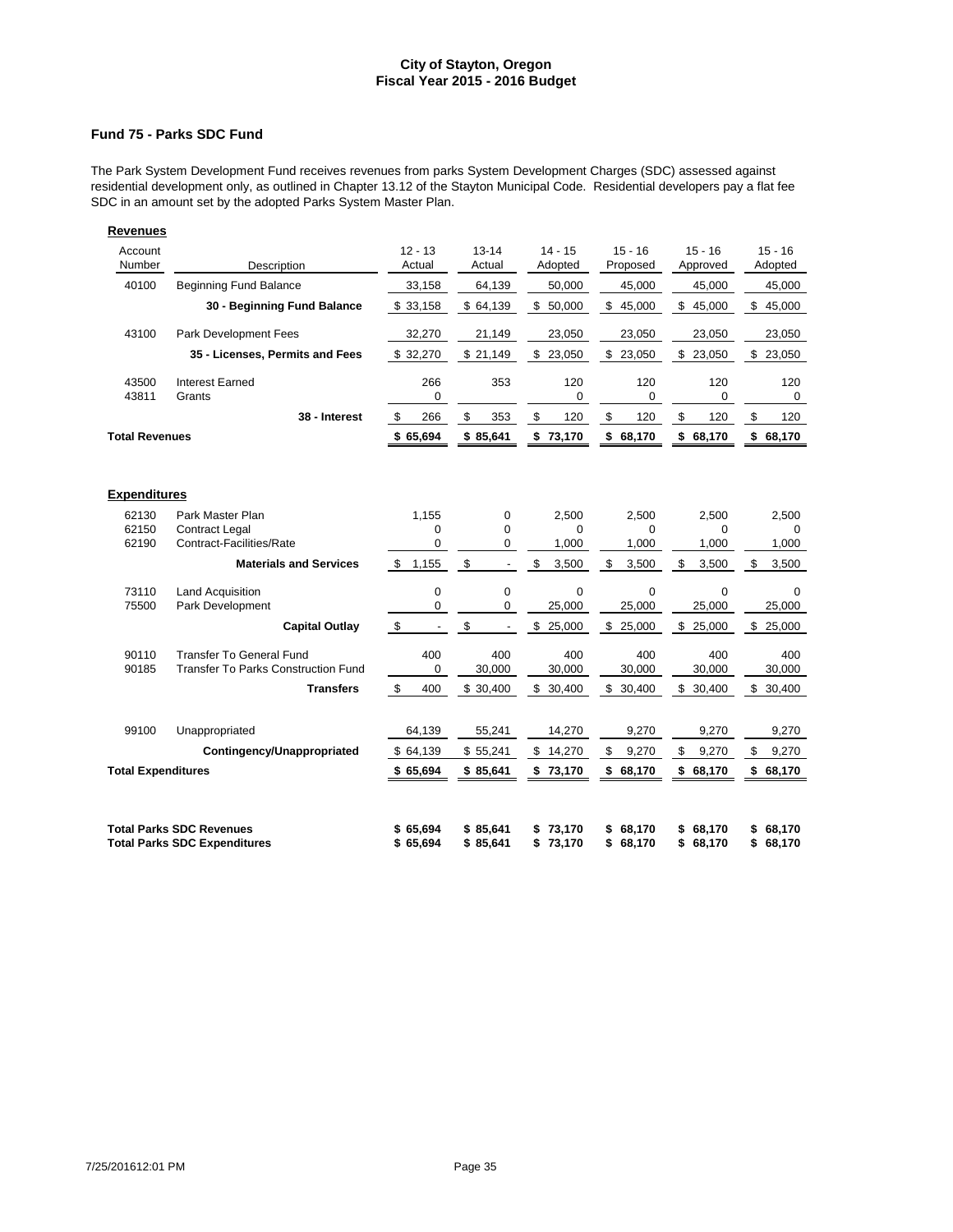### **Fund 75 - Parks SDC Fund**

The Park System Development Fund receives revenues from parks System Development Charges (SDC) assessed against residential development only, as outlined in Chapter 13.12 of the Stayton Municipal Code. Residential developers pay a flat fee SDC in an amount set by the adopted Parks System Master Plan.

| <b>Revenues</b>              |                                                                        |                                  |                                |                              |                              |                              |                              |
|------------------------------|------------------------------------------------------------------------|----------------------------------|--------------------------------|------------------------------|------------------------------|------------------------------|------------------------------|
| Account<br>Number            | Description                                                            | $12 - 13$<br>Actual              | $13 - 14$<br>Actual            | $14 - 15$<br>Adopted         | $15 - 16$<br>Proposed        | $15 - 16$<br>Approved        | $15 - 16$<br>Adopted         |
| 40100                        | <b>Beginning Fund Balance</b>                                          | 33.158                           | 64.139                         | 50.000                       | 45.000                       | 45.000                       | 45,000                       |
|                              | 30 - Beginning Fund Balance                                            | \$33,158                         | \$64,139                       | \$50,000                     | \$45,000                     | \$45,000                     | \$45,000                     |
| 43100                        | Park Development Fees                                                  | 32,270                           | 21,149                         | 23,050                       | 23,050                       | 23,050                       | 23,050                       |
|                              | 35 - Licenses, Permits and Fees                                        | \$32,270                         | \$21,149                       | \$23,050                     | \$23,050                     | \$23,050                     | \$23,050                     |
| 43500<br>43811               | <b>Interest Earned</b><br>Grants                                       | 266<br>0                         | 353                            | 120<br>0                     | 120<br>0                     | 120<br>0                     | 120<br>0                     |
|                              | 38 - Interest                                                          | \$<br>266                        | \$<br>353                      | \$<br>120                    | \$<br>120                    | \$<br>120                    | \$<br>120                    |
| <b>Total Revenues</b>        |                                                                        | \$65,694                         | \$85,641                       | \$73,170                     | \$68,170                     | \$<br>68,170                 | \$68,170                     |
| <b>Expenditures</b><br>62130 | Park Master Plan                                                       | 1.155                            | $\mathbf 0$                    | 2.500                        | 2.500                        | 2.500                        | 2.500                        |
| 62150                        | <b>Contract Legal</b>                                                  | 0                                | $\mathbf 0$                    | 0                            | 0                            | 0                            | 0                            |
| 62190                        | Contract-Facilities/Rate                                               | 0                                | 0                              | 1,000                        | 1,000                        | 1,000                        | 1,000                        |
|                              | <b>Materials and Services</b>                                          | \$<br>1,155                      | \$<br>$\overline{\phantom{a}}$ | \$<br>3,500                  | \$<br>3,500                  | \$<br>3,500                  | \$<br>3,500                  |
| 73110<br>75500               | <b>Land Acquisition</b><br>Park Development                            | 0<br>0                           | $\mathbf 0$<br>$\mathbf 0$     | $\mathbf 0$<br>25,000        | $\mathbf 0$<br>25,000        | $\mathbf 0$<br>25,000        | $\Omega$<br>25,000           |
|                              | <b>Capital Outlay</b>                                                  | $\sqrt[6]{3}$                    | \$                             | \$<br>25,000                 | \$<br>25,000                 | \$<br>25,000                 | \$<br>25,000                 |
| 90110<br>90185               | Transfer To General Fund<br>Transfer To Parks Construction Fund        | 400<br>$\mathbf 0$               | 400<br>30,000                  | 400<br>30,000                | 400<br>30,000                | 400<br>30,000                | 400<br>30,000                |
|                              | <b>Transfers</b>                                                       | $\boldsymbol{\mathsf{s}}$<br>400 | \$30,400                       | \$30,400                     | \$30,400                     | \$30,400                     | \$30,400                     |
| 99100                        | Unappropriated                                                         | 64,139                           | 55,241                         | 14,270                       | 9,270                        | 9,270                        | 9,270                        |
|                              | Contingency/Unappropriated                                             | \$64,139                         | \$55,241                       | \$14,270                     | \$<br>9,270                  | $\mathfrak s$<br>9,270       | \$<br>9,270                  |
| <b>Total Expenditures</b>    |                                                                        | \$65,694                         | \$85,641                       | \$73,170                     | \$68,170                     | \$<br>68,170                 | \$68,170                     |
|                              | <b>Total Parks SDC Revenues</b><br><b>Total Parks SDC Expenditures</b> | \$65,694<br>\$65,694             | \$85,641<br>\$85.641           | 73,170<br>\$<br>\$<br>73,170 | \$<br>68,170<br>\$<br>68,170 | 68,170<br>\$<br>\$<br>68,170 | 68,170<br>\$<br>68,170<br>\$ |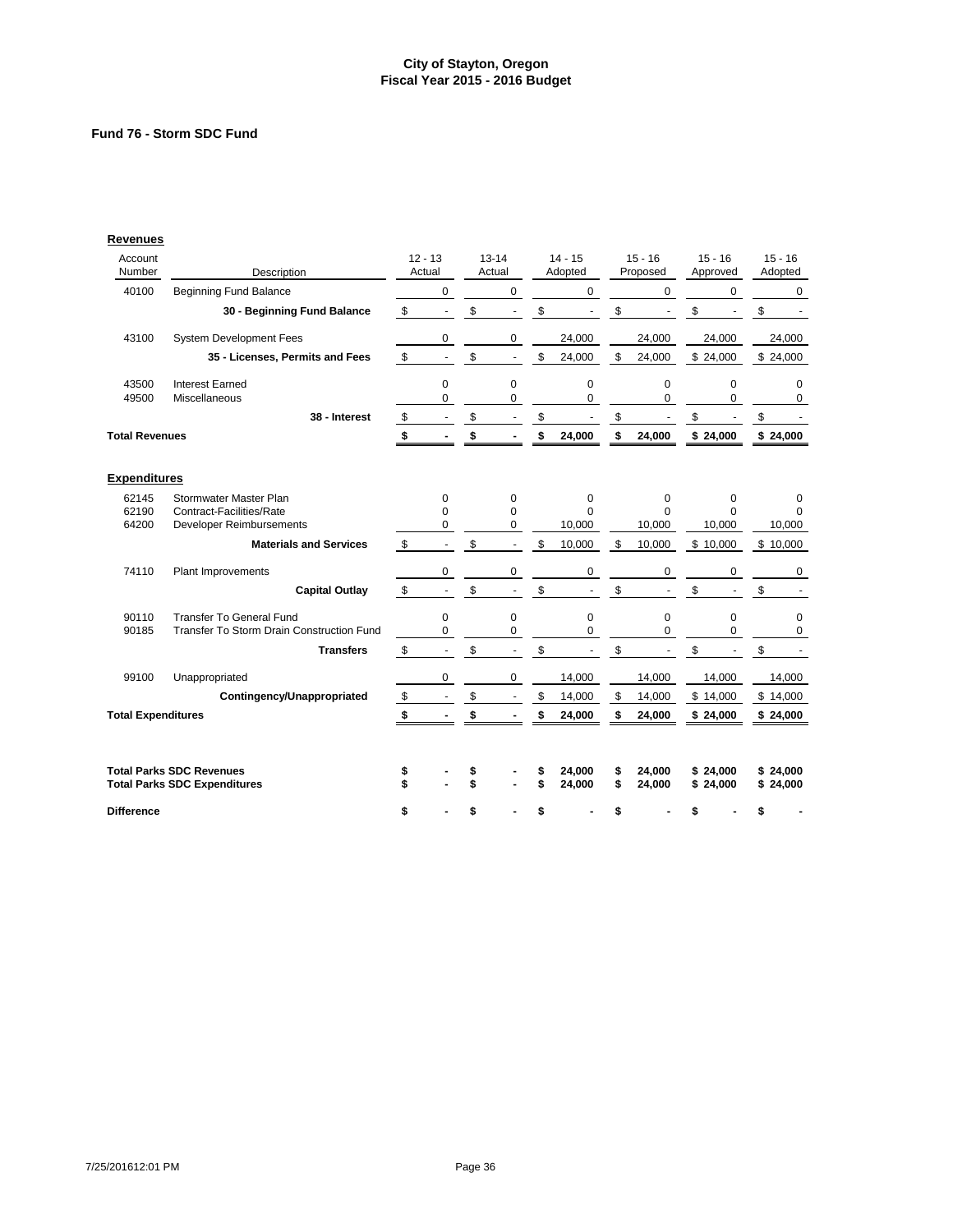# **Fund 76 - Storm SDC Fund**

| Account<br>Number         |                                                                        |                         | $12 - 13$<br>Actual |          | $13 - 14$<br>Actual |          | $14 - 15$<br>Adopted |          | $15 - 16$<br>Proposed | $15 - 16$<br>Approved |                      | $15 - 16$            |
|---------------------------|------------------------------------------------------------------------|-------------------------|---------------------|----------|---------------------|----------|----------------------|----------|-----------------------|-----------------------|----------------------|----------------------|
|                           | Description                                                            |                         |                     |          |                     |          |                      |          |                       |                       |                      | Adopted              |
| 40100                     | <b>Beginning Fund Balance</b>                                          |                         | $\mathbf 0$         |          | $\mathbf 0$         |          | $\mathbf 0$          |          | 0                     |                       | 0                    | 0                    |
|                           | 30 - Beginning Fund Balance                                            | \$                      | $\blacksquare$      | \$       |                     | \$       |                      | \$       |                       | \$                    |                      | \$                   |
| 43100                     | System Development Fees                                                |                         | $\pmb{0}$           |          | $\mathbf 0$         |          | 24,000               |          | 24,000                |                       | 24,000               | 24,000               |
|                           | 35 - Licenses, Permits and Fees                                        | \$                      | $\blacksquare$      | \$       |                     | \$       | 24,000               | \$       | 24,000                |                       | \$24,000             | \$24,000             |
| 43500<br>49500            | <b>Interest Earned</b><br>Miscellaneous                                |                         | 0<br>0              |          | $\mathbf 0$<br>0    |          | 0<br>0               |          | 0<br>0                |                       | 0<br>0               | 0<br>0               |
|                           | 38 - Interest                                                          | \$                      | $\blacksquare$      | \$       |                     | \$       |                      | \$       | $\blacksquare$        | \$                    | $\blacksquare$       | \$                   |
| <b>Total Revenues</b>     |                                                                        | \$                      |                     | \$       |                     | \$       | 24,000               | \$       | 24,000                |                       | \$24,000             | \$24,000             |
| <b>Expenditures</b>       |                                                                        |                         |                     |          |                     |          |                      |          |                       |                       |                      |                      |
| 62145                     | Stormwater Master Plan                                                 |                         | 0                   |          | 0                   |          | 0                    |          | $\mathbf 0$           |                       | 0                    | 0                    |
| 62190                     | Contract-Facilities/Rate                                               |                         | $\Omega$            |          | $\Omega$            |          | $\Omega$             |          | $\Omega$              |                       | $\Omega$             | $\Omega$             |
| 64200                     | Developer Reimbursements                                               |                         | 0                   |          | $\mathbf 0$         |          | 10,000               |          | 10,000                |                       | 10,000               | 10,000               |
|                           | <b>Materials and Services</b>                                          | \$                      | $\blacksquare$      | \$       |                     | \$       | 10,000               | \$       | 10,000                |                       | \$10,000             | \$10,000             |
| 74110                     | Plant Improvements                                                     |                         | 0                   |          | 0                   |          | 0                    |          | 0                     |                       | 0                    | 0                    |
|                           | <b>Capital Outlay</b>                                                  | \$                      | $\blacksquare$      | \$       | $\blacksquare$      | \$       |                      | \$       |                       | \$                    |                      | \$                   |
| 90110                     | <b>Transfer To General Fund</b>                                        |                         | $\mathbf 0$         |          | $\mathbf 0$         |          | 0                    |          | 0                     |                       | 0                    | 0                    |
| 90185                     | Transfer To Storm Drain Construction Fund                              |                         | 0                   |          | 0                   |          | 0                    |          | $\Omega$              |                       | $\Omega$             | 0                    |
|                           | <b>Transfers</b>                                                       | \$                      | $\blacksquare$      | \$       | $\blacksquare$      | \$       |                      | \$       |                       | \$                    |                      | \$                   |
| 99100                     | Unappropriated                                                         |                         | 0                   |          | 0                   |          | 14,000               |          | 14,000                |                       | 14,000               | 14,000               |
|                           | Contingency/Unappropriated                                             | $\sqrt[6]{\frac{1}{2}}$ |                     | \$       |                     | \$       | 14,000               | \$       | 14,000                |                       | \$14,000             | \$14,000             |
| <b>Total Expenditures</b> |                                                                        | \$                      |                     | \$       |                     | \$       | 24,000               | \$       | 24,000                |                       | \$24,000             | \$24,000             |
|                           |                                                                        |                         |                     |          |                     |          |                      |          |                       |                       |                      |                      |
|                           | <b>Total Parks SDC Revenues</b><br><b>Total Parks SDC Expenditures</b> | \$<br>\$                |                     | \$<br>\$ |                     | \$<br>\$ | 24,000<br>24,000     | \$<br>\$ | 24,000<br>24,000      |                       | \$24,000<br>\$24,000 | \$24,000<br>\$24,000 |
| <b>Difference</b>         |                                                                        | \$                      |                     | \$       |                     | \$       |                      | \$       |                       | \$                    |                      | \$                   |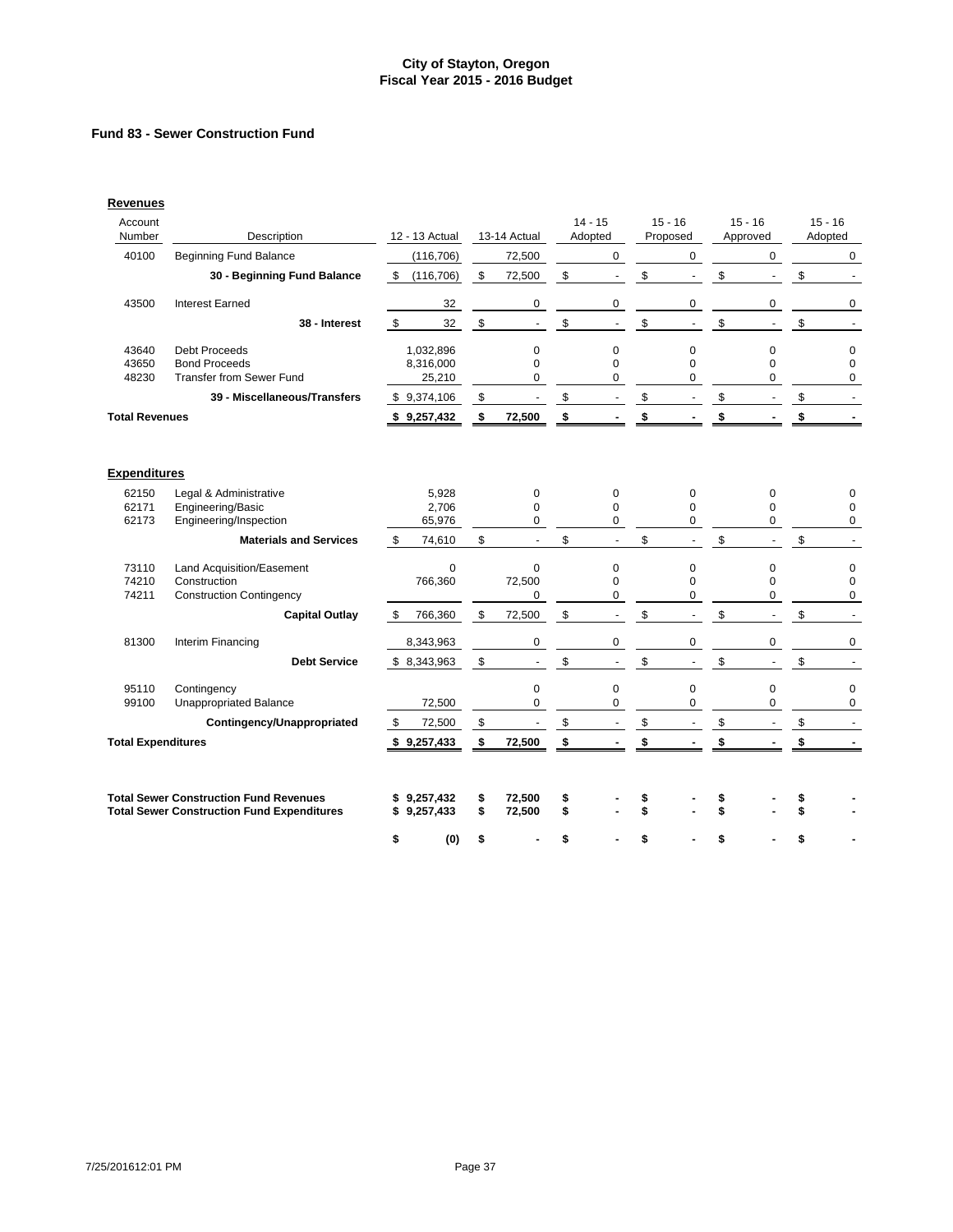# **Fund 83 - Sewer Construction Fund**

| <b>Revenues</b>           |                                                                                                    |                                  |          |                              |          |                              |                                |                                |                                        |
|---------------------------|----------------------------------------------------------------------------------------------------|----------------------------------|----------|------------------------------|----------|------------------------------|--------------------------------|--------------------------------|----------------------------------------|
| Account<br>Number         | Description                                                                                        | 12 - 13 Actual                   |          | 13-14 Actual                 |          | $14 - 15$<br>Adopted         | $15 - 16$<br>Proposed          | $15 - 16$<br>Approved          | $15 - 16$<br>Adopted                   |
| 40100                     | <b>Beginning Fund Balance</b>                                                                      | (116, 706)                       |          | 72,500                       |          | 0                            | $\mathbf 0$                    | $\mathbf 0$                    | $\mathbf 0$                            |
|                           | 30 - Beginning Fund Balance                                                                        | \$(116,706)                      | \$       | 72,500                       | \$       | $\overline{\phantom{a}}$     | \$<br>$\overline{\phantom{a}}$ | \$<br>$\overline{\phantom{a}}$ | \$                                     |
| 43500                     | <b>Interest Earned</b>                                                                             | 32                               |          | 0                            |          | $\pmb{0}$                    | 0                              | 0                              | 0                                      |
|                           | 38 - Interest                                                                                      | \$<br>32                         | \$       | ÷,                           | \$       | $\blacksquare$               | \$<br>L.                       | \$                             | \$<br>$\blacksquare$                   |
| 43640<br>43650<br>48230   | <b>Debt Proceeds</b><br><b>Bond Proceeds</b><br><b>Transfer from Sewer Fund</b>                    | 1,032,896<br>8,316,000<br>25,210 |          | 0<br>$\Omega$<br>$\mathbf 0$ |          | 0<br>$\Omega$<br>$\mathbf 0$ | 0<br>$\Omega$<br>0             | $\mathbf 0$<br>$\Omega$<br>0   | $\mathbf 0$<br>$\Omega$<br>$\mathbf 0$ |
|                           | 39 - Miscellaneous/Transfers                                                                       | \$9,374,106                      | \$       | $\blacksquare$               | \$       | $\overline{\phantom{a}}$     | \$<br>$\blacksquare$           | \$<br>÷,                       | \$<br>$\blacksquare$                   |
| <b>Total Revenues</b>     |                                                                                                    | \$9,257,432                      | \$       | 72,500                       | \$       |                              | \$                             | \$                             | \$                                     |
| <b>Expenditures</b>       |                                                                                                    |                                  |          |                              |          |                              |                                |                                |                                        |
| 62150                     | Legal & Administrative                                                                             | 5,928                            |          | 0                            |          | 0                            | 0                              | $\mathbf 0$                    | 0                                      |
| 62171<br>62173            | Engineering/Basic<br>Engineering/Inspection                                                        | 2,706<br>65,976                  |          | $\Omega$<br>0                |          | $\mathbf 0$<br>0             | $\Omega$<br>0                  | $\Omega$<br>0                  | $\mathbf 0$<br>0                       |
|                           | <b>Materials and Services</b>                                                                      | \$<br>74,610                     | \$       | $\blacksquare$               | \$       | $\blacksquare$               | \$<br>$\blacksquare$           | \$<br>ä,                       | \$<br>$\blacksquare$                   |
| 73110                     | Land Acquisition/Easement                                                                          | $\mathbf 0$                      |          | $\mathbf 0$                  |          | $\mathbf 0$                  | 0                              | $\pmb{0}$                      | $\mathbf 0$                            |
| 74210                     | Construction                                                                                       | 766,360                          |          | 72,500                       |          | $\mathbf 0$                  | $\mathbf 0$                    | $\Omega$                       | $\mathbf 0$                            |
| 74211                     | <b>Construction Contingency</b>                                                                    |                                  |          | 0                            |          | $\mathbf 0$                  | 0                              | $\mathbf 0$                    | $\Omega$                               |
|                           | <b>Capital Outlay</b>                                                                              | 766,360<br>\$                    | \$       | 72,500                       | \$       | $\overline{\phantom{a}}$     | \$<br>$\overline{\phantom{a}}$ | \$<br>$\overline{\phantom{a}}$ | \$<br>$\overline{a}$                   |
| 81300                     | Interim Financing                                                                                  | 8,343,963                        |          | 0                            |          | $\mathbf 0$                  | 0                              | 0                              | 0                                      |
|                           | <b>Debt Service</b>                                                                                | \$8,343,963                      | \$       | $\blacksquare$               | \$       | $\blacksquare$               | \$<br>$\blacksquare$           | \$<br>$\blacksquare$           | \$<br>$\blacksquare$                   |
| 95110                     | Contingency                                                                                        |                                  |          | $\mathbf 0$                  |          | $\mathbf 0$                  | $\mathbf 0$                    | $\mathbf 0$                    | $\mathbf 0$                            |
| 99100                     | <b>Unappropriated Balance</b>                                                                      | 72,500                           |          | $\mathbf 0$                  |          | $\mathbf 0$                  | 0                              | $\Omega$                       | $\mathbf 0$                            |
|                           | Contingency/Unappropriated                                                                         | \$<br>72,500                     | \$       | $\blacksquare$               | \$       | $\sim$                       | \$<br>$\overline{\phantom{a}}$ | \$                             | \$                                     |
| <b>Total Expenditures</b> |                                                                                                    | \$9,257,433                      | \$       | 72,500                       | \$       |                              | \$                             | \$                             | \$                                     |
|                           | <b>Total Sewer Construction Fund Revenues</b><br><b>Total Sewer Construction Fund Expenditures</b> | \$9,257,432<br>\$9,257,433       | \$<br>\$ | 72,500<br>72,500             | \$<br>\$ |                              | \$                             |                                |                                        |
|                           |                                                                                                    | \$<br>(0)                        | \$       |                              | \$       |                              | \$                             |                                |                                        |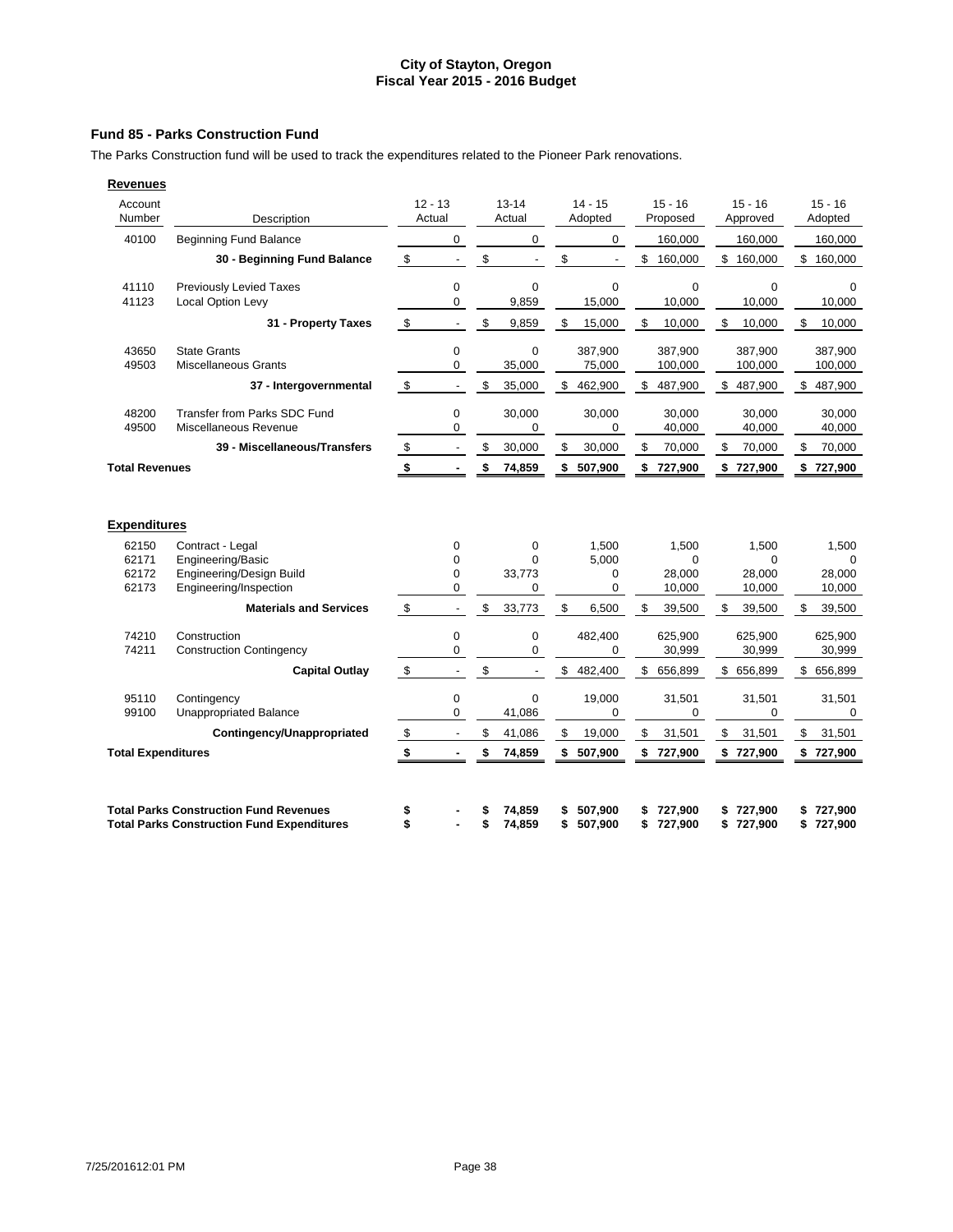### **Fund 85 - Parks Construction Fund**

The Parks Construction fund will be used to track the expenditures related to the Pioneer Park renovations.

| <b>Revenues</b>       |                                                            |                     |                       |     |                       |     |                       |                       |                      |
|-----------------------|------------------------------------------------------------|---------------------|-----------------------|-----|-----------------------|-----|-----------------------|-----------------------|----------------------|
| Account<br>Number     | Description                                                | $12 - 13$<br>Actual | $13 - 14$<br>Actual   |     | $14 - 15$<br>Adopted  |     | $15 - 16$<br>Proposed | $15 - 16$<br>Approved | $15 - 16$<br>Adopted |
| 40100                 | <b>Beginning Fund Balance</b>                              | 0                   | 0                     |     | $\mathbf 0$           |     | 160,000               | 160.000               | 160,000              |
|                       | 30 - Beginning Fund Balance                                | \$                  | \$                    | \$  | $\overline{a}$        | \$  | 160,000               | \$<br>160,000         | \$<br>160,000        |
| 41110<br>41123        | <b>Previously Levied Taxes</b><br><b>Local Option Levy</b> | 0<br>0              | 0<br>9,859            |     | $\mathbf 0$<br>15,000 |     | $\mathbf 0$<br>10,000 | 0<br>10,000           | $\Omega$<br>10,000   |
|                       | 31 - Property Taxes                                        | \$                  | \$<br>9,859           | \$  | 15,000                | \$  | 10,000                | \$<br>10,000          | \$<br>10,000         |
| 43650<br>49503        | <b>State Grants</b><br><b>Miscellaneous Grants</b>         | 0<br>0              | $\mathbf 0$<br>35,000 |     | 387,900<br>75,000     |     | 387.900<br>100,000    | 387.900<br>100,000    | 387.900<br>100,000   |
|                       | 37 - Intergovernmental                                     | \$                  | \$<br>35,000          | \$. | 462,900               | \$. | 487,900               | \$<br>487,900         | \$<br>487,900        |
| 48200<br>49500        | Transfer from Parks SDC Fund<br>Miscellaneous Revenue      | 0<br>0              | 30,000<br>0           |     | 30,000<br>$\mathbf 0$ |     | 30,000<br>40,000      | 30,000<br>40,000      | 30,000<br>40,000     |
|                       | 39 - Miscellaneous/Transfers                               | \$                  | \$<br>30,000          | \$  | 30,000                | \$  | 70,000                | \$<br>70,000          | \$<br>70,000         |
| <b>Total Revenues</b> |                                                            | \$                  | \$<br>74,859          | \$  | 507,900               | \$  | 727,900               | \$727,900             | \$727,900            |
| <b>Expenditures</b>   |                                                            |                     |                       |     |                       |     |                       |                       |                      |
| 62150                 | Contract - Legal                                           | 0                   | 0                     |     | 1,500                 |     | 1,500                 | 1,500                 | 1,500                |
| 62171<br>62172        | Engineering/Basic<br>Engineering/Design Build              | 0<br>0              | $\Omega$<br>33,773    |     | 5,000<br>$\Omega$     |     | $\Omega$<br>28,000    | $\Omega$<br>28,000    | $\Omega$<br>28,000   |
| 62173                 | Engineering/Inspection                                     | 0                   | 0                     |     | $\mathbf 0$           |     | 10,000                | 10,000                | 10,000               |
|                       | <b>Materials and Services</b>                              | \$                  | \$<br>33,773          | \$  | 6,500                 | \$  | 39,500                | \$<br>39,500          | \$<br>39.500         |
| 74210<br>74211        | Construction<br><b>Construction Contingency</b>            | 0<br>$\Omega$       | 0<br>$\mathbf 0$      |     | 482,400<br>0          |     | 625,900<br>30,999     | 625,900<br>30,999     | 625,900<br>30,999    |
|                       | <b>Capital Outlay</b>                                      | \$                  | \$                    | \$  | 482,400               | \$  | 656,899               | \$<br>656,899         | \$ 656,899           |
|                       |                                                            |                     |                       |     |                       |     |                       |                       |                      |

| <b>Expenditures</b>       |                                                   |    |    |                |               |               |    |         |    |          |
|---------------------------|---------------------------------------------------|----|----|----------------|---------------|---------------|----|---------|----|----------|
| 62150                     | Contract - Legal                                  | 0  |    | $\mathbf 0$    | 1,500         | 1,500         |    | 1,500   |    | 1,500    |
| 62171                     | Engineering/Basic                                 |    |    | $\Omega$       | 5,000         | $\Omega$      |    | 0       |    | $\Omega$ |
| 62172                     | Engineering/Design Build                          | 0  |    | 33,773         | $\Omega$      | 28,000        |    | 28,000  |    | 28,000   |
| 62173                     | Engineering/Inspection                            | 0  |    | 0              | 0             | 10,000        |    | 10,000  |    | 10,000   |
|                           | <b>Materials and Services</b>                     | \$ | \$ | 33,773         | \$<br>6,500   | \$<br>39,500  | S  | 39,500  | S  | 39,500   |
| 74210                     | Construction                                      | 0  |    | 0              | 482,400       | 625,900       |    | 625,900 |    | 625,900  |
| 74211                     | <b>Construction Contingency</b>                   | 0  |    | 0              | 0             | 30,999        |    | 30,999  |    | 30,999   |
|                           | <b>Capital Outlay</b>                             | \$ | \$ | $\overline{a}$ | \$<br>482,400 | \$<br>656,899 | \$ | 656,899 | \$ | 656,899  |
| 95110                     | Contingency                                       | 0  |    | $\mathbf 0$    | 19,000        | 31,501        |    | 31,501  |    | 31,501   |
| 99100                     | <b>Unappropriated Balance</b>                     | 0  |    | 41,086         | 0             | 0             |    | 0       |    | $\Omega$ |
|                           | Contingency/Unappropriated                        | \$ | \$ | 41,086         | \$<br>19,000  | \$<br>31,501  | \$ | 31,501  | \$ | 31,501   |
| <b>Total Expenditures</b> |                                                   |    | \$ | 74,859         | \$<br>507,900 | \$<br>727,900 | \$ | 727,900 | S. | 727,900  |
|                           |                                                   |    |    |                |               |               |    |         |    |          |
|                           | <b>Total Parks Construction Fund Revenues</b>     |    | S  | 74,859         | 507,900       | 727,900       |    | 727.900 |    | 727,900  |
|                           | <b>Total Parks Construction Fund Expenditures</b> |    | S  | 74,859         | 507,900       | 727,900       | S  | 727,900 |    | 727,900  |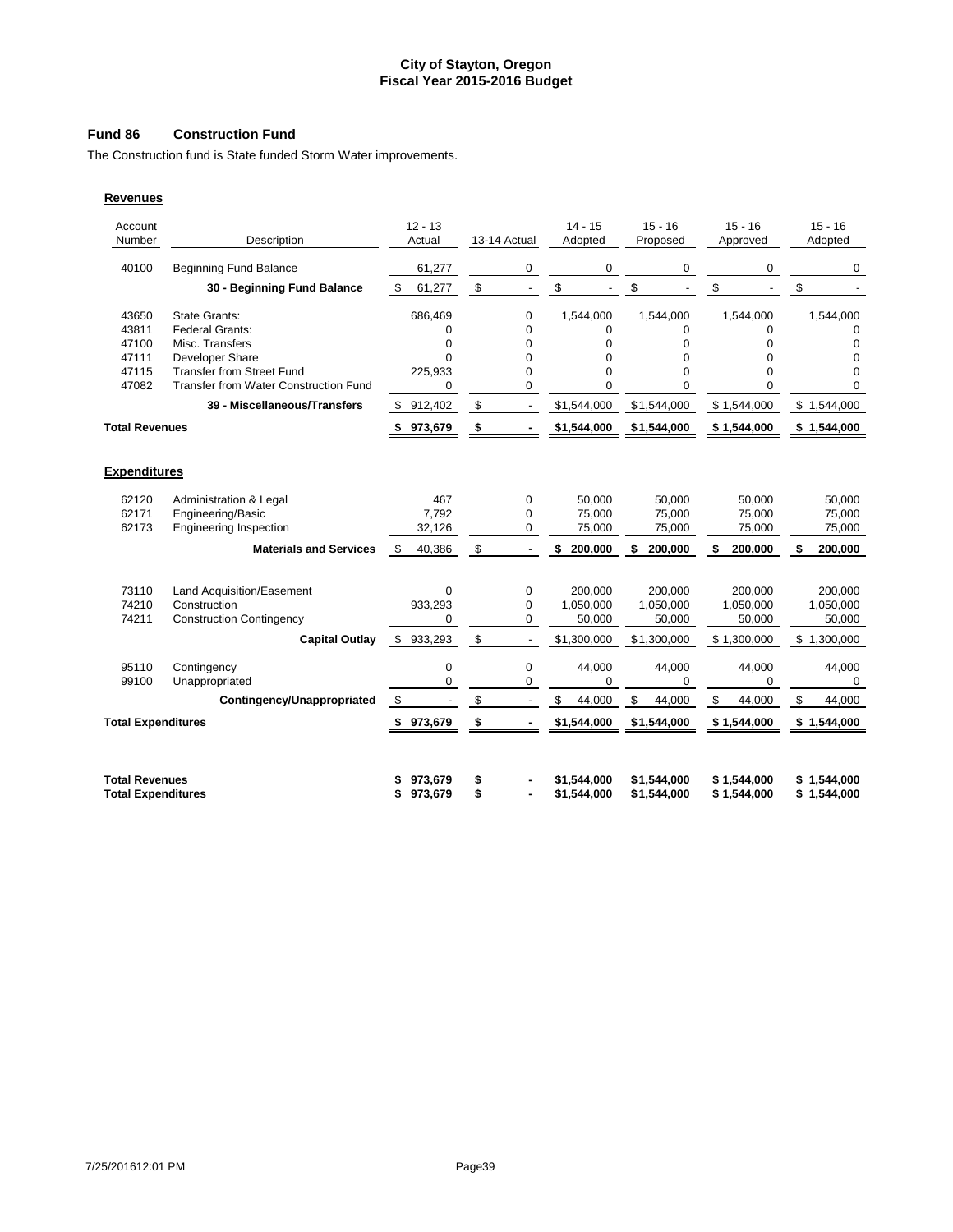# **Fund 86 Construction Fund**

The Construction fund is State funded Storm Water improvements.

| Description                                        | $12 - 13$<br>Actual                                                                                                                                                                                                       |                                                                                                  |             | $14 - 15$<br>Adopted                                        | $15 - 16$<br>Proposed                                                         | $15 - 16$<br>Approved                                                                       | $15 - 16$<br>Adopted                                                       |
|----------------------------------------------------|---------------------------------------------------------------------------------------------------------------------------------------------------------------------------------------------------------------------------|--------------------------------------------------------------------------------------------------|-------------|-------------------------------------------------------------|-------------------------------------------------------------------------------|---------------------------------------------------------------------------------------------|----------------------------------------------------------------------------|
| <b>Beginning Fund Balance</b>                      | 61,277                                                                                                                                                                                                                    |                                                                                                  | 0           | 0                                                           | 0                                                                             | 0                                                                                           | 0                                                                          |
| 30 - Beginning Fund Balance                        | 61,277<br>\$                                                                                                                                                                                                              | \$                                                                                               |             | \$                                                          | \$                                                                            | \$                                                                                          | \$                                                                         |
| <b>State Grants:</b>                               | 686,469                                                                                                                                                                                                                   |                                                                                                  | 0           | 1,544,000                                                   | 1,544,000                                                                     | 1,544,000                                                                                   | 1,544,000                                                                  |
|                                                    |                                                                                                                                                                                                                           |                                                                                                  |             |                                                             |                                                                               |                                                                                             | $\Omega$                                                                   |
|                                                    |                                                                                                                                                                                                                           |                                                                                                  |             |                                                             |                                                                               |                                                                                             | 0                                                                          |
|                                                    |                                                                                                                                                                                                                           |                                                                                                  |             |                                                             |                                                                               |                                                                                             | 0                                                                          |
| <b>Transfer from Water Construction Fund</b>       | 0                                                                                                                                                                                                                         |                                                                                                  | 0           | 0                                                           | 0                                                                             | $\Omega$                                                                                    | $\Omega$<br>$\Omega$                                                       |
| 39 - Miscellaneous/Transfers                       | \$912,402                                                                                                                                                                                                                 | \$                                                                                               |             | \$1,544,000                                                 | \$1,544,000                                                                   | \$1,544,000                                                                                 | \$1,544,000                                                                |
| <b>Total Revenues</b>                              | 973,679<br>\$                                                                                                                                                                                                             | \$                                                                                               |             | \$1,544,000                                                 | \$1,544,000                                                                   | \$1,544,000                                                                                 | \$1,544,000                                                                |
|                                                    |                                                                                                                                                                                                                           |                                                                                                  |             |                                                             |                                                                               |                                                                                             |                                                                            |
| <b>Expenditures</b>                                |                                                                                                                                                                                                                           |                                                                                                  |             |                                                             |                                                                               |                                                                                             |                                                                            |
| Administration & Legal                             | 467                                                                                                                                                                                                                       |                                                                                                  | 0           | 50,000                                                      | 50,000                                                                        | 50,000                                                                                      | 50,000                                                                     |
| Engineering/Basic                                  | 7,792                                                                                                                                                                                                                     |                                                                                                  | $\mathbf 0$ | 75,000                                                      | 75,000                                                                        | 75,000                                                                                      | 75,000                                                                     |
|                                                    |                                                                                                                                                                                                                           |                                                                                                  | 0           |                                                             |                                                                               | 75,000                                                                                      | 75,000                                                                     |
| <b>Materials and Services</b>                      | \$<br>40,386                                                                                                                                                                                                              | \$                                                                                               |             | \$<br>200,000                                               | 200,000                                                                       | 200,000                                                                                     | 200,000<br>\$                                                              |
|                                                    |                                                                                                                                                                                                                           |                                                                                                  |             |                                                             |                                                                               |                                                                                             | 200,000                                                                    |
|                                                    |                                                                                                                                                                                                                           |                                                                                                  |             |                                                             |                                                                               |                                                                                             | 1,050,000                                                                  |
|                                                    |                                                                                                                                                                                                                           |                                                                                                  |             |                                                             |                                                                               |                                                                                             | 50,000                                                                     |
| <b>Capital Outlay</b>                              | \$933,293                                                                                                                                                                                                                 | \$                                                                                               |             | \$1,300,000                                                 | \$1,300,000                                                                   | \$1,300,000                                                                                 | \$1,300,000                                                                |
|                                                    |                                                                                                                                                                                                                           |                                                                                                  |             |                                                             |                                                                               |                                                                                             |                                                                            |
| Unappropriated                                     | 0                                                                                                                                                                                                                         |                                                                                                  | 0           | $\mathbf 0$                                                 | $\Omega$                                                                      | $\Omega$                                                                                    | 44,000<br>0                                                                |
| Contingency/Unappropriated                         | \$                                                                                                                                                                                                                        | \$                                                                                               |             | \$<br>44,000                                                | \$<br>44,000                                                                  | \$<br>44,000                                                                                | \$<br>44,000                                                               |
| <b>Total Expenditures</b>                          | \$973,679                                                                                                                                                                                                                 | \$                                                                                               |             | \$1,544,000                                                 | \$1,544,000                                                                   | \$1,544,000                                                                                 | \$1,544,000                                                                |
|                                                    |                                                                                                                                                                                                                           |                                                                                                  |             |                                                             |                                                                               |                                                                                             |                                                                            |
| <b>Total Revenues</b><br><b>Total Expenditures</b> | 973,679<br>973,679<br>\$                                                                                                                                                                                                  | \$<br>\$                                                                                         |             | \$1.544.000<br>\$1,544,000                                  | \$1,544,000<br>\$1,544,000                                                    | \$1,544,000<br>\$1,544,000                                                                  | \$1,544,000<br>\$1,544,000                                                 |
|                                                    | Federal Grants:<br>Misc. Transfers<br>Developer Share<br><b>Transfer from Street Fund</b><br><b>Engineering Inspection</b><br>Land Acquisition/Easement<br>Construction<br><b>Construction Contingency</b><br>Contingency | $\Omega$<br>0<br>$\Omega$<br>225,933<br>32,126<br>$\Omega$<br>933,293<br>$\Omega$<br>$\mathbf 0$ |             | 13-14 Actual<br>$\Omega$<br>0<br>0<br>0<br>0<br>0<br>0<br>0 | 0<br>0<br>$\Omega$<br>0<br>75,000<br>200,000<br>1,050,000<br>50,000<br>44,000 | $\Omega$<br>0<br>$\Omega$<br>$\Omega$<br>75,000<br>200,000<br>1,050,000<br>50,000<br>44,000 | 0<br>0<br>$\Omega$<br>$\Omega$<br>200.000<br>1,050,000<br>50,000<br>44,000 |